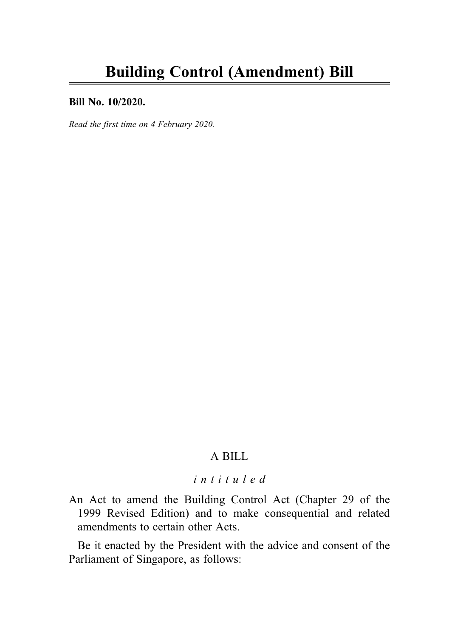#### Bill No. 10/2020.

Read the first time on 4 February 2020.

## A BILL

## intituled

An Act to amend the Building Control Act (Chapter 29 of the 1999 Revised Edition) and to make consequential and related amendments to certain other Acts.

Be it enacted by the President with the advice and consent of the Parliament of Singapore, as follows: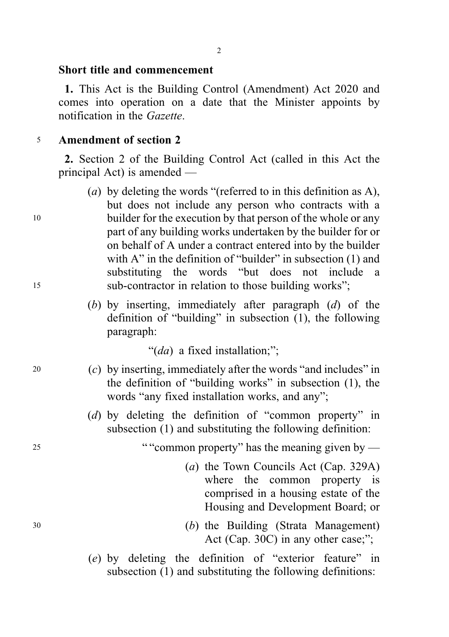#### Short title and commencement

1. This Act is the Building Control (Amendment) Act 2020 and comes into operation on a date that the Minister appoints by notification in the Gazette.

#### <sup>5</sup> Amendment of section 2

2. Section 2 of the Building Control Act (called in this Act the principal Act) is amended —

- (a) by deleting the words "(referred to in this definition as A), but does not include any person who contracts with a <sup>10</sup> builder for the execution by that person of the whole or any part of any building works undertaken by the builder for or on behalf of A under a contract entered into by the builder with A" in the definition of "builder" in subsection (1) and substituting the words "but does not include a <sup>15</sup> sub-contractor in relation to those building works";
	- (b) by inserting, immediately after paragraph  $(d)$  of the definition of "building" in subsection (1), the following paragraph:

"(da) a fixed installation;";

- <sup>20</sup> (c) by inserting, immediately after the words "and includes" in the definition of "building works" in subsection (1), the words "any fixed installation works, and any";
	- (d) by deleting the definition of "common property" in subsection (1) and substituting the following definition:

<sup>25</sup> ""common property" has the meaning given by —

- (a) the Town Councils Act (Cap. 329A) where the common property is comprised in a housing estate of the Housing and Development Board; or
- <sup>30</sup> (b) the Building (Strata Management) Act (Cap. 30C) in any other case;";
	- (e) by deleting the definition of "exterior feature" in subsection (1) and substituting the following definitions: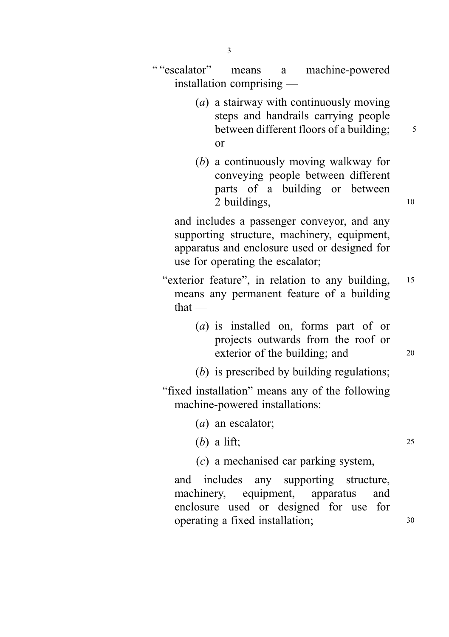" "escalator" means a machine-powered installation comprising —

- (a) a stairway with continuously moving steps and handrails carrying people between different floors of a building;  $\frac{5}{5}$ or
- (b) a continuously moving walkway for conveying people between different parts of a building or between 2 buildings, 10

and includes a passenger conveyor, and any supporting structure, machinery, equipment, apparatus and enclosure used or designed for use for operating the escalator;

- "exterior feature", in relation to any building, <sup>15</sup> means any permanent feature of a building that —
	- (a) is installed on, forms part of or projects outwards from the roof or exterior of the building; and 20
	- (b) is prescribed by building regulations;
- "fixed installation" means any of the following machine-powered installations:
	- (*a*) an escalator;
	- $(b)$  a lift; 25
	- (c) a mechanised car parking system,

and includes any supporting structure, machinery, equipment, apparatus and enclosure used or designed for use for operating a fixed installation; 30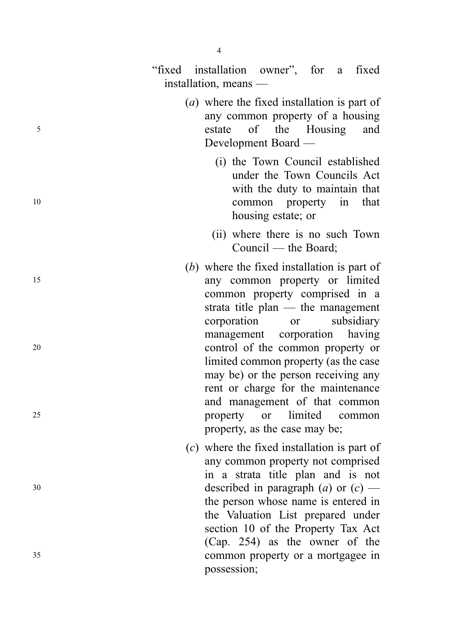|          | 4                                                                                                                                                                                                                                                                         |
|----------|---------------------------------------------------------------------------------------------------------------------------------------------------------------------------------------------------------------------------------------------------------------------------|
|          | "fixed installation owner", for a fixed<br>installation, means —                                                                                                                                                                                                          |
| 5        | (a) where the fixed installation is part of<br>any common property of a housing<br>of the Housing<br>and<br>estate<br>Development Board —                                                                                                                                 |
| 10       | (i) the Town Council established<br>under the Town Councils Act<br>with the duty to maintain that<br>common property in<br>that<br>housing estate; or                                                                                                                     |
|          | (ii) where there is no such Town<br>Council — the Board;                                                                                                                                                                                                                  |
| 15       | $(b)$ where the fixed installation is part of<br>any common property or limited<br>common property comprised in a<br>strata title plan $-$ the management<br>subsidiary<br>corporation<br>or                                                                              |
| 20<br>25 | management corporation<br>having<br>control of the common property or<br>limited common property (as the case<br>may be) or the person receiving any<br>rent or charge for the maintenance<br>and management of that common<br>limited<br><b>or</b><br>property<br>common |
|          | property, as the case may be;<br>$(c)$ where the fixed installation is part of                                                                                                                                                                                            |
| 30       | any common property not comprised<br>in a strata title plan and is not<br>described in paragraph (a) or $(c)$ —<br>the person whose name is entered in<br>the Valuation List prepared under<br>section 10 of the Property Tax Act<br>(Cap. 254) as the owner of the       |
| 35       | common property or a mortgagee in<br>possession;                                                                                                                                                                                                                          |

 $\overline{4}$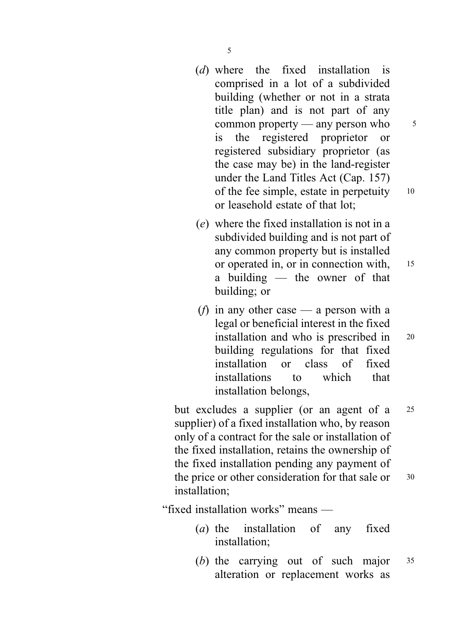- (d) where the fixed installation is comprised in a lot of a subdivided building (whether or not in a strata title plan) and is not part of any common property — any person who  $5$ is the registered proprietor or registered subsidiary proprietor (as the case may be) in the land-register under the Land Titles Act (Cap. 157) of the fee simple, estate in perpetuity <sup>10</sup> or leasehold estate of that lot;
- (e) where the fixed installation is not in a subdivided building and is not part of any common property but is installed or operated in, or in connection with, <sup>15</sup> a building — the owner of that building; or
- (*f*) in any other case a person with a legal or beneficial interest in the fixed installation and who is prescribed in <sup>20</sup> building regulations for that fixed installation or class of fixed installations to which that installation belongs,

but excludes a supplier (or an agent of a <sup>25</sup> supplier) of a fixed installation who, by reason only of a contract for the sale or installation of the fixed installation, retains the ownership of the fixed installation pending any payment of the price or other consideration for that sale or 30 installation;

"fixed installation works" means —

- (a) the installation of any fixed installation;
- (b) the carrying out of such major <sup>35</sup> alteration or replacement works as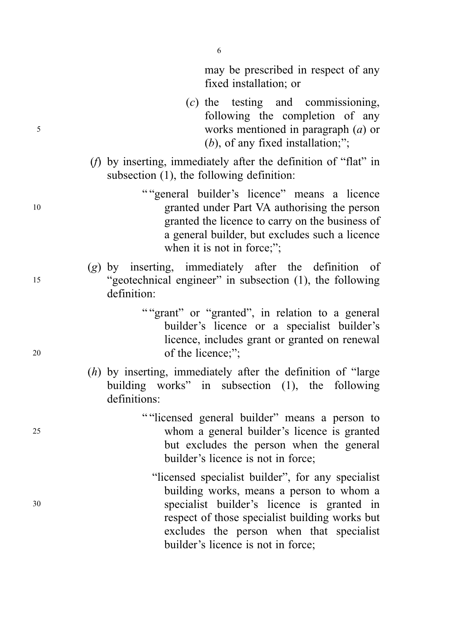may be prescribed in respect of any fixed installation; or

- (c) the testing and commissioning, following the completion of any <sup>5</sup> works mentioned in paragraph (a) or  $(b)$ , of any fixed installation;";
	- (f) by inserting, immediately after the definition of "flat" in subsection (1), the following definition:

" "general builder's licence" means a licence <sup>10</sup> granted under Part VA authorising the person granted the licence to carry on the business of a general builder, but excludes such a licence when it is not in force;";

- (g) by inserting, immediately after the definition of <sup>15</sup> "geotechnical engineer" in subsection (1), the following definition:
- "" grant" or "granted", in relation to a general builder's licence or a specialist builder's licence, includes grant or granted on renewal <sup>20</sup> of the licence;";
	- (h) by inserting, immediately after the definition of "large building works" in subsection (1), the following definitions:
- " "licensed general builder" means a person to <sup>25</sup> whom a general builder's licence is granted but excludes the person when the general builder's licence is not in force;
- "licensed specialist builder", for any specialist building works, means a person to whom a <sup>30</sup> specialist builder's licence is granted in respect of those specialist building works but excludes the person when that specialist builder's licence is not in force;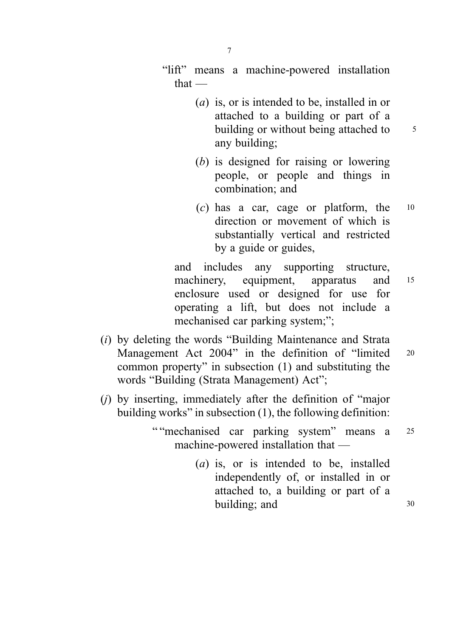"lift" means a machine-powered installation that —

- (a) is, or is intended to be, installed in or attached to a building or part of a building or without being attached to  $\frac{5}{5}$ any building;
- (b) is designed for raising or lowering people, or people and things in combination; and
- (c) has a car, cage or platform, the <sup>10</sup> direction or movement of which is substantially vertical and restricted by a guide or guides,

and includes any supporting structure, machinery, equipment, apparatus and 15 enclosure used or designed for use for operating a lift, but does not include a mechanised car parking system;";

- (i) by deleting the words "Building Maintenance and Strata Management Act 2004" in the definition of "limited 20 common property" in subsection (1) and substituting the words "Building (Strata Management) Act";
- (j) by inserting, immediately after the definition of "major building works" in subsection (1), the following definition:

" "mechanised car parking system" means a <sup>25</sup> machine-powered installation that —

> (a) is, or is intended to be, installed independently of, or installed in or attached to, a building or part of a building; and 30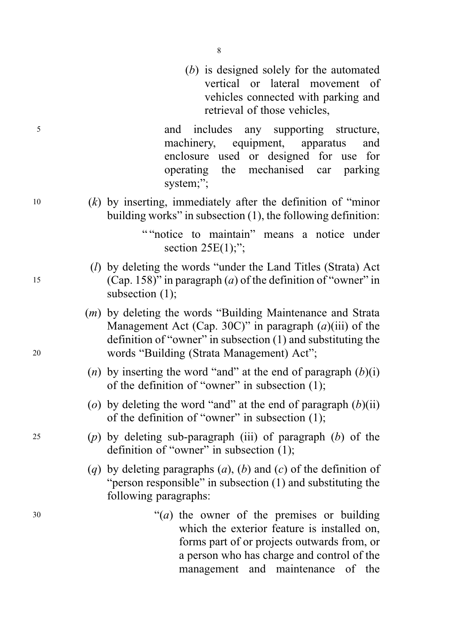(b) is designed solely for the automated vertical or lateral movement of vehicles connected with parking and retrieval of those vehicles,

<sup>5</sup> and includes any supporting structure, machinery, equipment, apparatus and enclosure used or designed for use for operating the mechanised car parking system;":

 $10$  (k) by inserting, immediately after the definition of "minor" building works" in subsection (1), the following definition:

> " "notice to maintain" means a notice under section  $25E(1)$ ;";

- $(l)$  by deleting the words "under the Land Titles (Strata) Act 15 (Cap. 158)" in paragraph (a) of the definition of "owner" in subsection (1);
- (m) by deleting the words "Building Maintenance and Strata Management Act (Cap. 30C)" in paragraph  $(a)$ (iii) of the definition of "owner" in subsection (1) and substituting the <sup>20</sup> words "Building (Strata Management) Act";
	- (n) by inserting the word "and" at the end of paragraph  $(b)(i)$ of the definition of "owner" in subsection (1);
	- (o) by deleting the word "and" at the end of paragraph  $(b)(ii)$ of the definition of "owner" in subsection (1);
- 25 (p) by deleting sub-paragraph (iii) of paragraph  $(b)$  of the definition of "owner" in subsection (1);
	- (q) by deleting paragraphs  $(a)$ ,  $(b)$  and  $(c)$  of the definition of "person responsible" in subsection (1) and substituting the following paragraphs:
- $30$  "(*a*) the owner of the premises or building which the exterior feature is installed on. forms part of or projects outwards from, or a person who has charge and control of the management and maintenance of the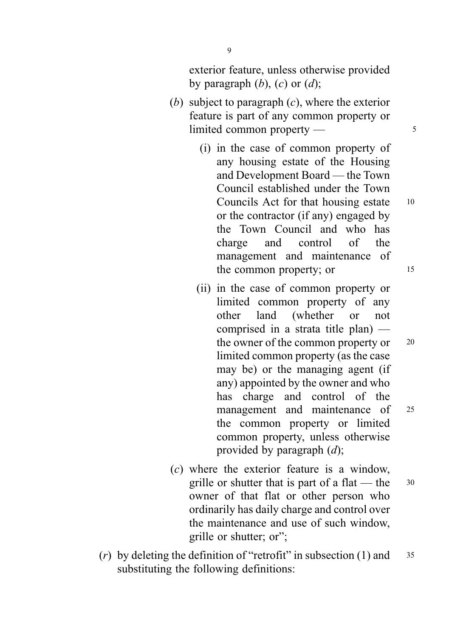exterior feature, unless otherwise provided by paragraph  $(b)$ ,  $(c)$  or  $(d)$ ;

- (b) subject to paragraph  $(c)$ , where the exterior feature is part of any common property or limited common property — 5
	- (i) in the case of common property of any housing estate of the Housing and Development Board — the Town Council established under the Town Councils Act for that housing estate 10 or the contractor (if any) engaged by the Town Council and who has charge and control of the management and maintenance of the common property; or 15
	- (ii) in the case of common property or limited common property of any other land (whether or not comprised in a strata title plan) the owner of the common property or 20 limited common property (as the case may be) or the managing agent (if any) appointed by the owner and who has charge and control of the management and maintenance of 25 the common property or limited common property, unless otherwise provided by paragraph  $(d)$ ;
- (c) where the exterior feature is a window, grille or shutter that is part of a flat — the  $30$ owner of that flat or other person who ordinarily has daily charge and control over the maintenance and use of such window, grille or shutter; or";
- (r) by deleting the definition of "retrofit" in subsection (1) and  $35$ substituting the following definitions:

9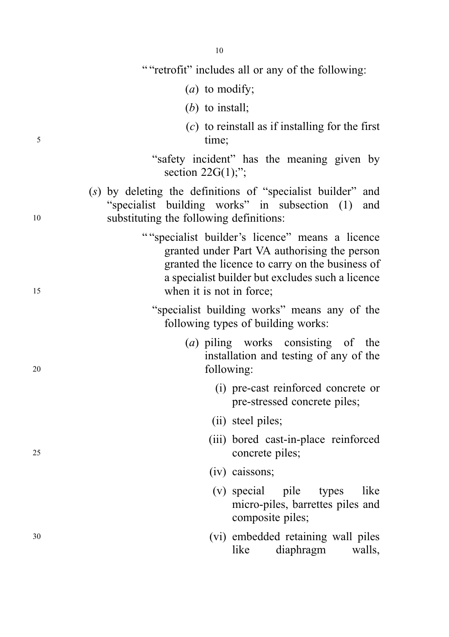" "retrofit" includes all or any of the following:

- (a) to modify;
- (b) to install;
- $(c)$  to reinstall as if installing for the first 5 time;
	- "safety incident" has the meaning given by section  $22G(1)$ ;";
- (s) by deleting the definitions of "specialist builder" and "specialist building works" in subsection (1) and <sup>10</sup> substituting the following definitions:
- "" specialist builder's licence" means a licence granted under Part VA authorising the person granted the licence to carry on the business of a specialist builder but excludes such a licence 15 when it is not in force:
	- "specialist building works" means any of the following types of building works:
- (a) piling works consisting of the installation and testing of any of the <sup>20</sup> following:
	- (i) pre-cast reinforced concrete or pre-stressed concrete piles;
	- (ii) steel piles;
- (iii) bored cast-in-place reinforced <sup>25</sup> concrete piles;
	- (iv) caissons;
	- (v) special pile types like micro-piles, barrettes piles and composite piles;
- <sup>30</sup> (vi) embedded retaining wall piles like diaphragm walls,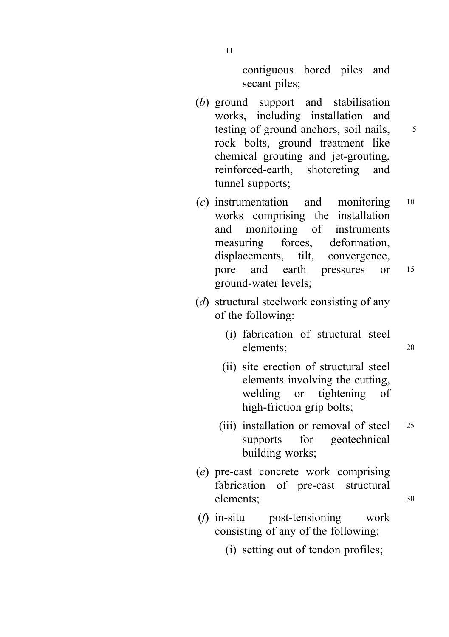contiguous bored piles and secant piles;

- (b) ground support and stabilisation works, including installation and testing of ground anchors, soil nails,  $\frac{5}{5}$ rock bolts, ground treatment like chemical grouting and jet-grouting, reinforced-earth, shotcreting and tunnel supports;
- (c) instrumentation and monitoring <sup>10</sup> works comprising the installation and monitoring of instruments measuring forces, deformation, displacements, tilt, convergence, pore and earth pressures or <sup>15</sup> ground-water levels;
- (d) structural steelwork consisting of any of the following:
	- (i) fabrication of structural steel elements; <sup>20</sup>
	- (ii) site erection of structural steel elements involving the cutting, welding or tightening of high-friction grip bolts;
	- (iii) installation or removal of steel 25 supports for geotechnical building works;
- (e) pre-cast concrete work comprising fabrication of pre-cast structural elements; 30
- (f) in-situ post-tensioning work consisting of any of the following:
	- (i) setting out of tendon profiles;

11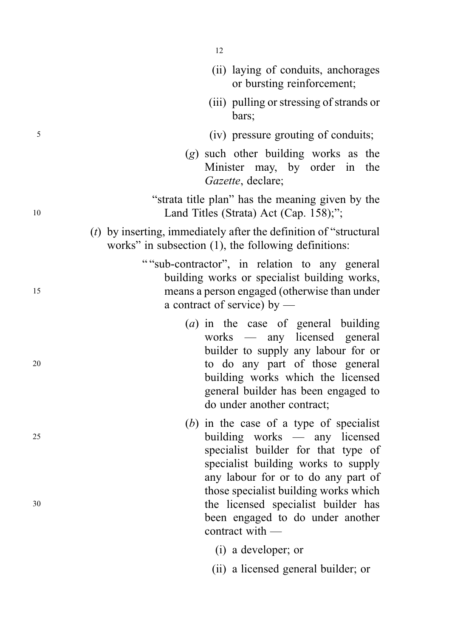|    | (ii) laying of conduits, anchorages<br>or bursting reinforcement;                                                                                                                                                                                         |
|----|-----------------------------------------------------------------------------------------------------------------------------------------------------------------------------------------------------------------------------------------------------------|
|    | (iii) pulling or stressing of strands or<br>bars;                                                                                                                                                                                                         |
| 5  | (iv) pressure grouting of conduits;                                                                                                                                                                                                                       |
|    | $(g)$ such other building works as the<br>Minister may, by order in<br>the<br>Gazette, declare;                                                                                                                                                           |
| 10 | "strata title plan" has the meaning given by the<br>Land Titles (Strata) Act (Cap. 158);";                                                                                                                                                                |
|    | $(t)$ by inserting, immediately after the definition of "structural"<br>works" in subsection $(1)$ , the following definitions:                                                                                                                           |
| 15 | ""sub-contractor", in relation to any general<br>building works or specialist building works,<br>means a person engaged (otherwise than under<br>a contract of service) by $-$                                                                            |
| 20 | $(a)$ in the case of general building<br>works — any licensed general<br>builder to supply any labour for or<br>to do any part of those general<br>building works which the licensed<br>general builder has been engaged to<br>do under another contract; |
| 25 | $(b)$ in the case of a type of specialist<br>building works — any licensed<br>specialist builder for that type of<br>specialist building works to supply<br>any labour for or to do any part of                                                           |
| 30 | those specialist building works which<br>the licensed specialist builder has<br>been engaged to do under another<br>contract with -                                                                                                                       |
|    | (i) a developer; or                                                                                                                                                                                                                                       |
|    | (ii) a licensed general builder; or                                                                                                                                                                                                                       |

12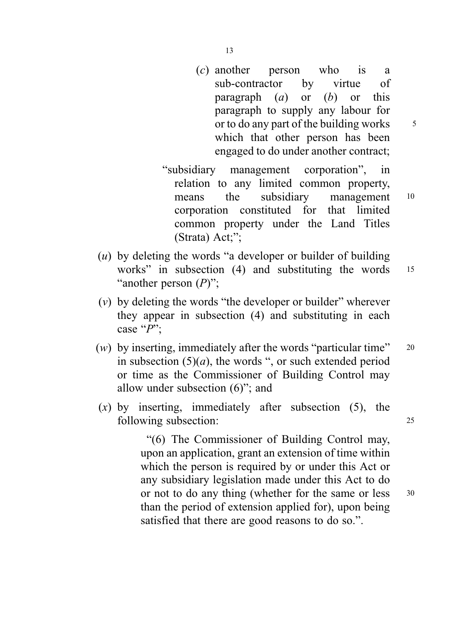(c) another person who is a sub-contractor by virtue of paragraph  $(a)$  or  $(b)$  or this paragraph to supply any labour for or to do any part of the building works  $\frac{5}{5}$ which that other person has been

engaged to do under another contract;

- "subsidiary management corporation", in relation to any limited common property, means the subsidiary management 10 corporation constituted for that limited common property under the Land Titles (Strata) Act;";
- (u) by deleting the words "a developer or builder of building works" in subsection (4) and substituting the words 15 "another person  $(P)$ ";
- $(v)$  by deleting the words "the developer or builder" wherever they appear in subsection (4) and substituting in each case " $P$ ";
- (w) by inserting, immediately after the words "particular time"  $20$ in subsection  $(5)(a)$ , the words ", or such extended period or time as the Commissioner of Building Control may allow under subsection (6)"; and
- $(x)$  by inserting, immediately after subsection (5), the following subsection: 25

"(6) The Commissioner of Building Control may, upon an application, grant an extension of time within which the person is required by or under this Act or any subsidiary legislation made under this Act to do or not to do any thing (whether for the same or less 30 than the period of extension applied for), upon being satisfied that there are good reasons to do so.".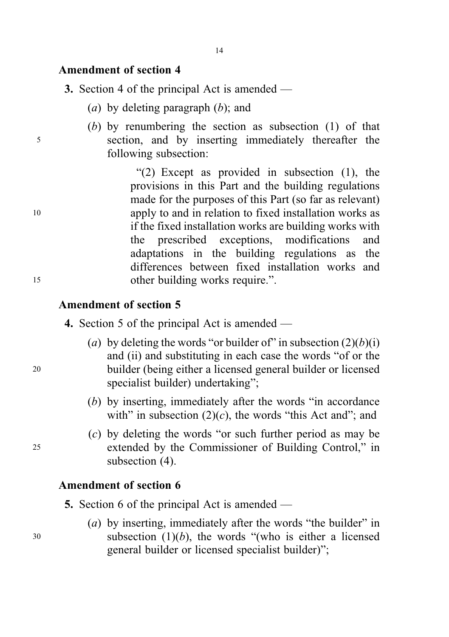## Amendment of section 4

3. Section 4 of the principal Act is amended —

- (a) by deleting paragraph  $(b)$ ; and
- (b) by renumbering the section as subsection (1) of that <sup>5</sup> section, and by inserting immediately thereafter the following subsection:

"(2) Except as provided in subsection (1), the provisions in this Part and the building regulations made for the purposes of this Part (so far as relevant) <sup>10</sup> apply to and in relation to fixed installation works as if the fixed installation works are building works with the prescribed exceptions, modifications and adaptations in the building regulations as the differences between fixed installation works and 15 other building works require.".

## Amendment of section 5

- 4. Section 5 of the principal Act is amended —
- (a) by deleting the words "or builder of" in subsection  $(2)(b)(i)$ and (ii) and substituting in each case the words "of or the <sup>20</sup> builder (being either a licensed general builder or licensed specialist builder) undertaking";
	- (b) by inserting, immediately after the words "in accordance with" in subsection  $(2)(c)$ , the words "this Act and"; and
- (c) by deleting the words "or such further period as may be <sup>25</sup> extended by the Commissioner of Building Control," in subsection  $(4)$ .

## Amendment of section 6

5. Section 6 of the principal Act is amended —

(a) by inserting, immediately after the words "the builder" in  $30$  subsection  $(1)(b)$ , the words "(who is either a licensed general builder or licensed specialist builder)";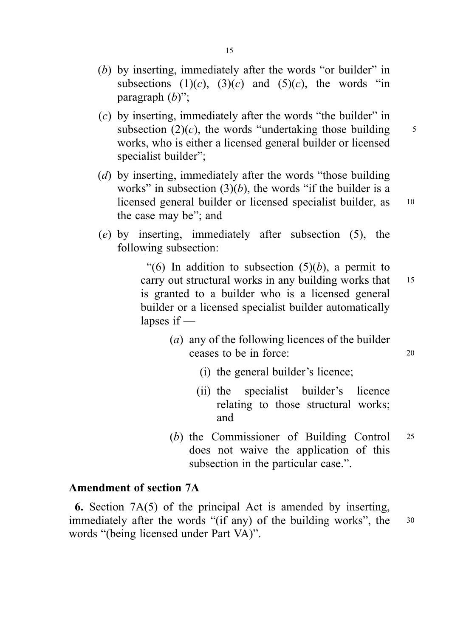- (b) by inserting, immediately after the words "or builder" in subsections  $(1)(c)$ ,  $(3)(c)$  and  $(5)(c)$ , the words "in paragraph  $(b)$ ";
- $(c)$  by inserting, immediately after the words "the builder" in subsection (2)(*c*), the words "undertaking those building  $\frac{5}{5}$ works, who is either a licensed general builder or licensed specialist builder";
- (d) by inserting, immediately after the words "those building" works" in subsection  $(3)(b)$ , the words "if the builder is a licensed general builder or licensed specialist builder, as 10 the case may be"; and
- (e) by inserting, immediately after subsection (5), the following subsection:

"(6) In addition to subsection  $(5)(b)$ , a permit to carry out structural works in any building works that 15 is granted to a builder who is a licensed general builder or a licensed specialist builder automatically lapses if —

- (a) any of the following licences of the builder ceases to be in force: <sup>20</sup>
	- (i) the general builder's licence;
	- (ii) the specialist builder's licence relating to those structural works; and
- (b) the Commissioner of Building Control <sup>25</sup> does not waive the application of this subsection in the particular case.".

## Amendment of section 7A

6. Section 7A(5) of the principal Act is amended by inserting, immediately after the words "(if any) of the building works", the 30 words "(being licensed under Part VA)".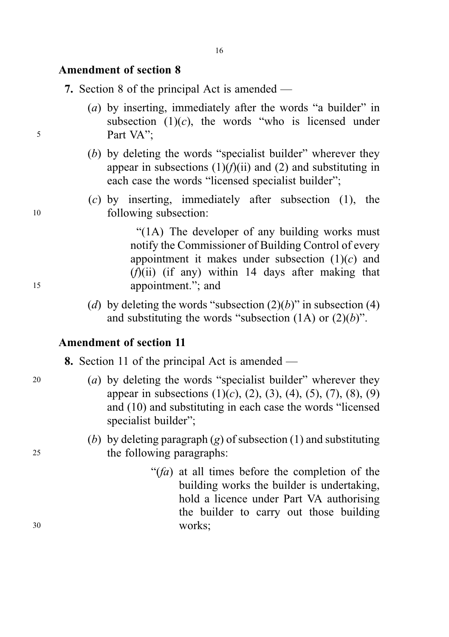## Amendment of section 8

7. Section 8 of the principal Act is amended —

- (a) by inserting, immediately after the words "a builder" in subsection  $(1)(c)$ , the words "who is licensed under <sup>5</sup> Part VA";
	- (b) by deleting the words "specialist builder" wherever they appear in subsections  $(1)(f)(ii)$  and  $(2)$  and substituting in each case the words "licensed specialist builder";
- $(c)$  by inserting, immediately after subsection (1), the <sup>10</sup> following subsection:

"(1A) The developer of any building works must notify the Commissioner of Building Control of every appointment it makes under subsection  $(1)(c)$  and  $(f)(ii)$  (if any) within 14 days after making that <sup>15</sup> appointment."; and

> (d) by deleting the words "subsection  $(2)(b)$ " in subsection (4) and substituting the words "subsection  $(1A)$  or  $(2)(b)$ ".

## Amendment of section 11

8. Section 11 of the principal Act is amended —

- 20 (a) by deleting the words "specialist builder" wherever they appear in subsections  $(1)(c)$ ,  $(2)$ ,  $(3)$ ,  $(4)$ ,  $(5)$ ,  $(7)$ ,  $(8)$ ,  $(9)$ and (10) and substituting in each case the words "licensed specialist builder":
- (b) by deleting paragraph  $(g)$  of subsection (1) and substituting <sup>25</sup> the following paragraphs:
- " $(fa)$  at all times before the completion of the building works the builder is undertaking, hold a licence under Part VA authorising the builder to carry out those building <sup>30</sup> works;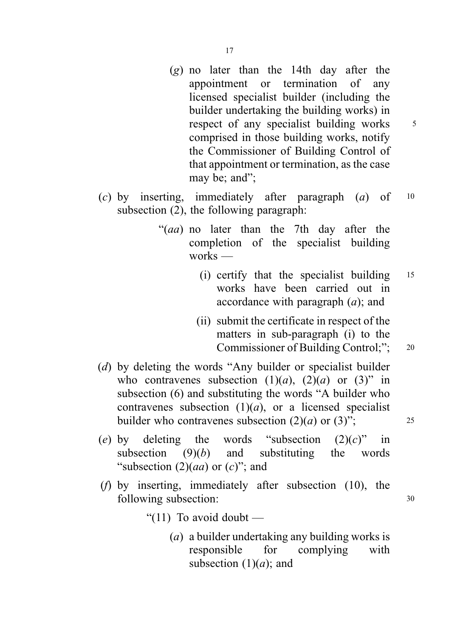- (g) no later than the 14th day after the appointment or termination of any licensed specialist builder (including the builder undertaking the building works) in respect of any specialist building works  $5$ comprised in those building works, notify the Commissioner of Building Control of that appointment or termination, as the case may be; and":
- (c) by inserting, immediately after paragraph  $(a)$  of  $10$ subsection (2), the following paragraph:
	- "(aa) no later than the 7th day after the completion of the specialist building works —
		- (i) certify that the specialist building <sup>15</sup> works have been carried out in accordance with paragraph  $(a)$ ; and
		- (ii) submit the certificate in respect of the matters in sub-paragraph (i) to the Commissioner of Building Control;"; 20
- (d) by deleting the words "Any builder or specialist builder who contravenes subsection  $(1)(a)$ ,  $(2)(a)$  or  $(3)$ " in subsection (6) and substituting the words "A builder who contravenes subsection  $(1)(a)$ , or a licensed specialist builder who contravenes subsection  $(2)(a)$  or  $(3)$ "; 25
- (e) by deleting the words "subsection  $(2)(c)$ " in subsection  $(9)(b)$  and substituting the words "subsection  $(2)(aa)$  or  $(c)$ "; and
- (f) by inserting, immediately after subsection (10), the following subsection:  $30$ 
	- " $(11)$  To avoid doubt
		- (a) a builder undertaking any building works is responsible for complying with subsection  $(1)(a)$ ; and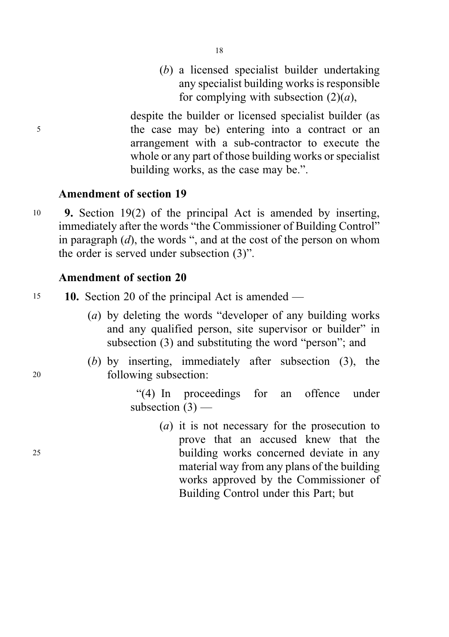(b) a licensed specialist builder undertaking any specialist building works is responsible for complying with subsection  $(2)(a)$ ,

despite the builder or licensed specialist builder (as <sup>5</sup> the case may be) entering into a contract or an arrangement with a sub-contractor to execute the whole or any part of those building works or specialist building works, as the case may be.".

# Amendment of section 19

<sup>10</sup> 9. Section 19(2) of the principal Act is amended by inserting, immediately after the words "the Commissioner of Building Control" in paragraph  $(d)$ , the words ", and at the cost of the person on whom the order is served under subsection (3)".

# Amendment of section 20

- 15 **10.** Section 20 of the principal Act is amended
	- (a) by deleting the words "developer of any building works and any qualified person, site supervisor or builder" in subsection (3) and substituting the word "person"; and
- (b) by inserting, immediately after subsection (3), the <sup>20</sup> following subsection:

"(4) In proceedings for an offence under subsection  $(3)$  —

(a) it is not necessary for the prosecution to prove that an accused knew that the <sup>25</sup> building works concerned deviate in any material way from any plans of the building works approved by the Commissioner of Building Control under this Part; but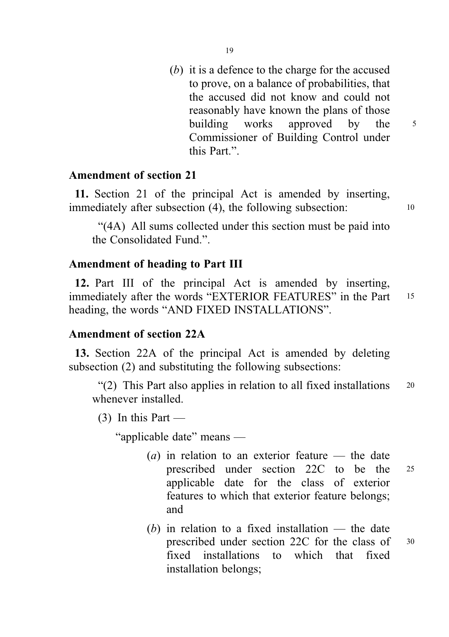(b) it is a defence to the charge for the accused to prove, on a balance of probabilities, that the accused did not know and could not reasonably have known the plans of those building works approved by the 5 Commissioner of Building Control under this Part.".

### Amendment of section 21

11. Section 21 of the principal Act is amended by inserting, immediately after subsection (4), the following subsection: 10

"(4A) All sums collected under this section must be paid into the Consolidated Fund.".

# Amendment of heading to Part III

12. Part III of the principal Act is amended by inserting, immediately after the words "EXTERIOR FEATURES" in the Part 15 heading, the words "AND FIXED INSTALLATIONS".

#### Amendment of section 22A

13. Section 22A of the principal Act is amended by deleting subsection (2) and substituting the following subsections:

"(2) This Part also applies in relation to all fixed installations <sup>20</sup> whenever installed.

 $(3)$  In this Part —

"applicable date" means —

- (a) in relation to an exterior feature the date prescribed under section 22C to be the <sup>25</sup> applicable date for the class of exterior features to which that exterior feature belongs; and
- $(b)$  in relation to a fixed installation the date prescribed under section 22C for the class of <sup>30</sup> fixed installations to which that fixed installation belongs;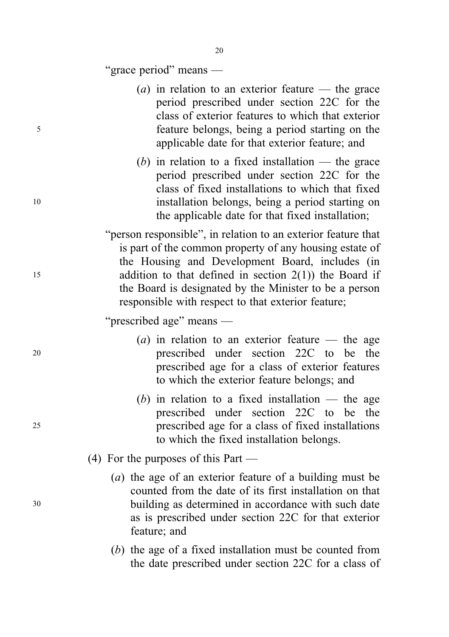"grace period" means —

- (*a*) in relation to an exterior feature the grace period prescribed under section 22C for the class of exterior features to which that exterior <sup>5</sup> feature belongs, being a period starting on the applicable date for that exterior feature; and
- (b) in relation to a fixed installation  $-$  the grace period prescribed under section 22C for the class of fixed installations to which that fixed <sup>10</sup> installation belongs, being a period starting on the applicable date for that fixed installation;
- "person responsible", in relation to an exterior feature that is part of the common property of any housing estate of the Housing and Development Board, includes (in 15 addition to that defined in section  $2(1)$ ) the Board if the Board is designated by the Minister to be a person responsible with respect to that exterior feature;

"prescribed age" means —

- (*a*) in relation to an exterior feature the age <sup>20</sup> prescribed under section 22C to be the prescribed age for a class of exterior features to which the exterior feature belongs; and
- (b) in relation to a fixed installation the age prescribed under section 22C to be the <sup>25</sup> prescribed age for a class of fixed installations to which the fixed installation belongs.
	- (4) For the purposes of this Part —
- (a) the age of an exterior feature of a building must be counted from the date of its first installation on that <sup>30</sup> building as determined in accordance with such date as is prescribed under section 22C for that exterior feature; and
	- (b) the age of a fixed installation must be counted from the date prescribed under section 22C for a class of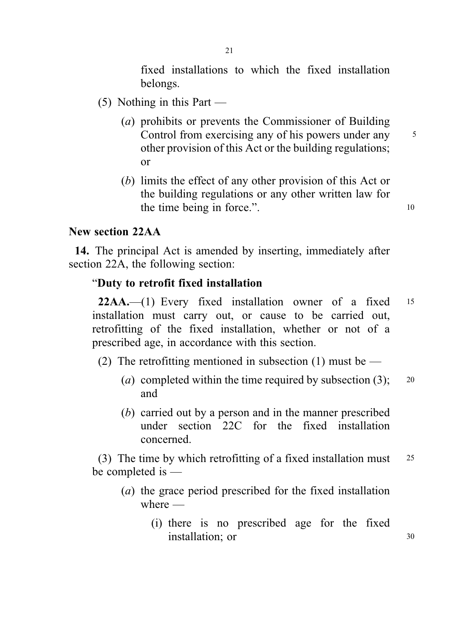fixed installations to which the fixed installation belongs.

- (5) Nothing in this Part
	- (a) prohibits or prevents the Commissioner of Building Control from exercising any of his powers under any 5 other provision of this Act or the building regulations; or
	- (b) limits the effect of any other provision of this Act or the building regulations or any other written law for the time being in force.".

## New section 22AA

14. The principal Act is amended by inserting, immediately after section 22A, the following section:

### "Duty to retrofit fixed installation

22AA.—(1) Every fixed installation owner of a fixed <sup>15</sup> installation must carry out, or cause to be carried out, retrofitting of the fixed installation, whether or not of a prescribed age, in accordance with this section.

- (2) The retrofitting mentioned in subsection (1) must be
	- (a) completed within the time required by subsection  $(3)$ ; 20 and
	- (b) carried out by a person and in the manner prescribed under section 22C for the fixed installation concerned.

(3) The time by which retrofitting of a fixed installation must <sup>25</sup> be completed is —

- (a) the grace period prescribed for the fixed installation where  $-$ 
	- (i) there is no prescribed age for the fixed installation; or 30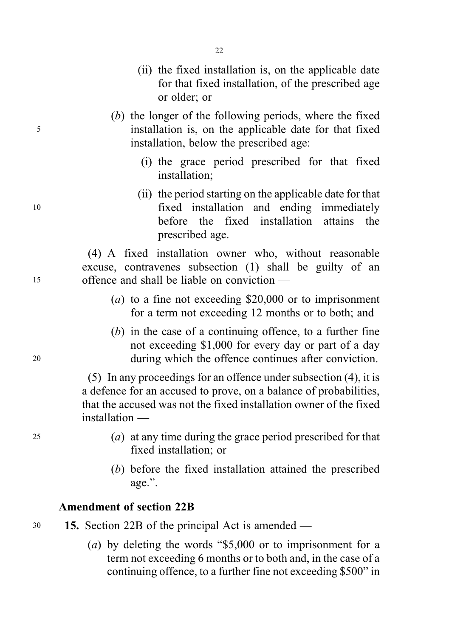- (ii) the fixed installation is, on the applicable date for that fixed installation, of the prescribed age or older; or
- (b) the longer of the following periods, where the fixed <sup>5</sup> installation is, on the applicable date for that fixed installation, below the prescribed age:
	- (i) the grace period prescribed for that fixed installation;
- (ii) the period starting on the applicable date for that <sup>10</sup> fixed installation and ending immediately before the fixed installation attains the prescribed age.

(4) A fixed installation owner who, without reasonable excuse, contravenes subsection (1) shall be guilty of an <sup>15</sup> offence and shall be liable on conviction —

- (*a*) to a fine not exceeding  $$20,000$  or to imprisonment for a term not exceeding 12 months or to both; and
- (b) in the case of a continuing offence, to a further fine not exceeding \$1,000 for every day or part of a day <sup>20</sup> during which the offence continues after conviction.

(5) In any proceedings for an offence under subsection (4), it is a defence for an accused to prove, on a balance of probabilities, that the accused was not the fixed installation owner of the fixed installation —

- <sup>25</sup> (a) at any time during the grace period prescribed for that fixed installation; or
	- (b) before the fixed installation attained the prescribed age.".

### Amendment of section 22B

<sup>30</sup> 15. Section 22B of the principal Act is amended —

(a) by deleting the words "\$5,000 or to imprisonment for a term not exceeding 6 months or to both and, in the case of a continuing offence, to a further fine not exceeding \$500" in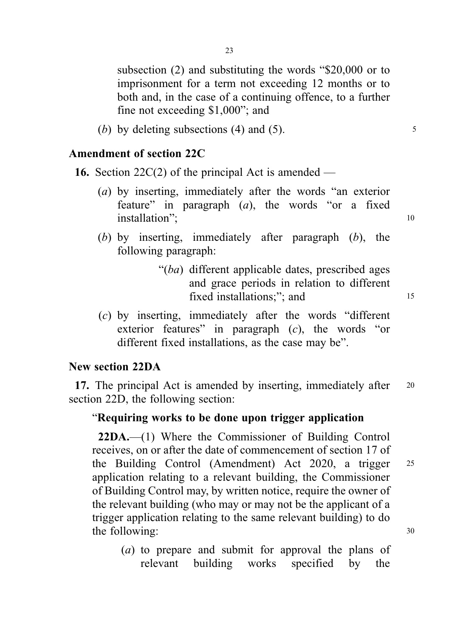subsection (2) and substituting the words "\$20,000 or to imprisonment for a term not exceeding 12 months or to both and, in the case of a continuing offence, to a further fine not exceeding \$1,000"; and

(b) by deleting subsections (4) and (5).  $\frac{5}{2}$ 

#### Amendment of section 22C

**16.** Section 22C(2) of the principal Act is amended —

- (a) by inserting, immediately after the words "an exterior feature" in paragraph  $(a)$ , the words "or a fixed installation"; 10
- (b) by inserting, immediately after paragraph (b), the following paragraph:
	- "(ba) different applicable dates, prescribed ages and grace periods in relation to different fixed installations;": and 15
- (c) by inserting, immediately after the words "different exterior features" in paragraph (c), the words "or different fixed installations, as the case may be".

#### New section 22DA

17. The principal Act is amended by inserting, immediately after 20 section 22D, the following section:

#### "Requiring works to be done upon trigger application

22DA.—(1) Where the Commissioner of Building Control receives, on or after the date of commencement of section 17 of the Building Control (Amendment) Act 2020, a trigger <sup>25</sup> application relating to a relevant building, the Commissioner of Building Control may, by written notice, require the owner of the relevant building (who may or may not be the applicant of a trigger application relating to the same relevant building) to do the following:  $30$ 

(a) to prepare and submit for approval the plans of relevant building works specified by the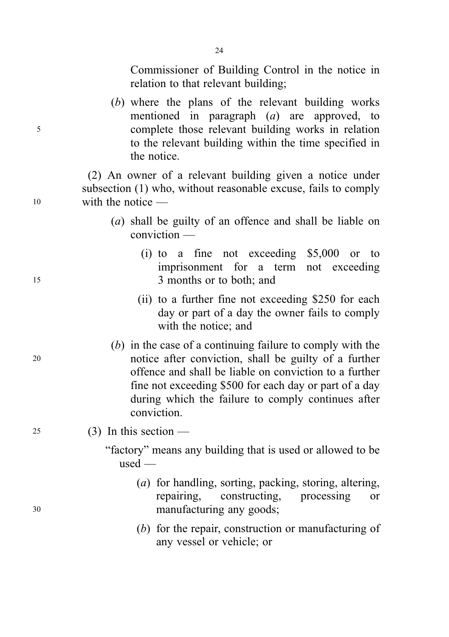Commissioner of Building Control in the notice in relation to that relevant building;

(b) where the plans of the relevant building works mentioned in paragraph (a) are approved, to <sup>5</sup> complete those relevant building works in relation to the relevant building within the time specified in the notice.

(2) An owner of a relevant building given a notice under subsection (1) who, without reasonable excuse, fails to comply <sup>10</sup> with the notice —

- (a) shall be guilty of an offence and shall be liable on conviction —
- (i) to a fine not exceeding \$5,000 or to imprisonment for a term not exceeding <sup>15</sup> 3 months or to both; and
	- (ii) to a further fine not exceeding \$250 for each day or part of a day the owner fails to comply with the notice; and
- (b) in the case of a continuing failure to comply with the <sup>20</sup> notice after conviction, shall be guilty of a further offence and shall be liable on conviction to a further fine not exceeding \$500 for each day or part of a day during which the failure to comply continues after conviction.
- 25 (3) In this section
	- "factory" means any building that is used or allowed to be used —
- (a) for handling, sorting, packing, storing, altering, repairing, constructing, processing or <sup>30</sup> manufacturing any goods;
	- (b) for the repair, construction or manufacturing of any vessel or vehicle; or

24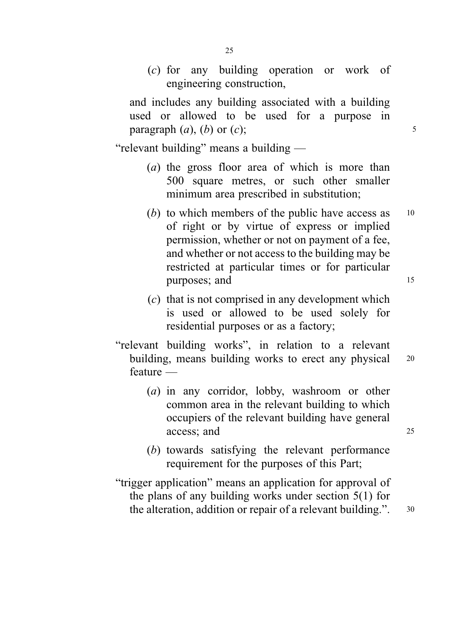(c) for any building operation or work of engineering construction,

and includes any building associated with a building used or allowed to be used for a purpose in paragraph  $(a)$ ,  $(b)$  or  $(c)$ ; 5

"relevant building" means a building —

- (a) the gross floor area of which is more than 500 square metres, or such other smaller minimum area prescribed in substitution;
- (b) to which members of the public have access as  $10$ of right or by virtue of express or implied permission, whether or not on payment of a fee, and whether or not access to the building may be restricted at particular times or for particular purposes; and 15
- (c) that is not comprised in any development which is used or allowed to be used solely for residential purposes or as a factory;
- "relevant building works", in relation to a relevant building, means building works to erect any physical 20 feature —
	- (a) in any corridor, lobby, washroom or other common area in the relevant building to which occupiers of the relevant building have general access: and 25
	- (b) towards satisfying the relevant performance requirement for the purposes of this Part;
- "trigger application" means an application for approval of the plans of any building works under section 5(1) for the alteration, addition or repair of a relevant building.". 30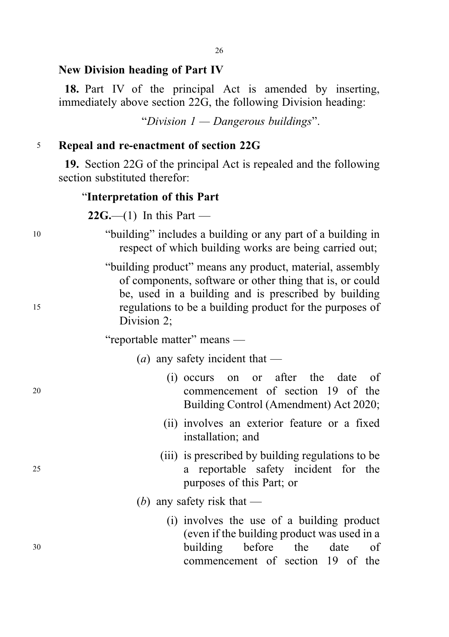# New Division heading of Part IV

18. Part IV of the principal Act is amended by inserting, immediately above section 22G, the following Division heading:

"Division  $1 -$ Dangerous buildings".

# <sup>5</sup> Repeal and re-enactment of section 22G

19. Section 22G of the principal Act is repealed and the following section substituted therefor:

#### "Interpretation of this Part

 $22G$ ,—(1) In this Part —

<sup>10</sup> "building" includes a building or any part of a building in respect of which building works are being carried out; "building product" means any product, material, assembly of components, software or other thing that is, or could be, used in a building and is prescribed by building <sup>15</sup> regulations to be a building product for the purposes of Division 2; "reportable matter" means — (*a*) any safety incident that — (i) occurs on or after the date of <sup>20</sup> commencement of section 19 of the Building Control (Amendment) Act 2020; (ii) involves an exterior feature or a fixed installation; and (iii) is prescribed by building regulations to be <sup>25</sup> a reportable safety incident for the purposes of this Part; or (b) any safety risk that  $-$ (i) involves the use of a building product (even if the building product was used in a <sup>30</sup> building before the date of commencement of section 19 of the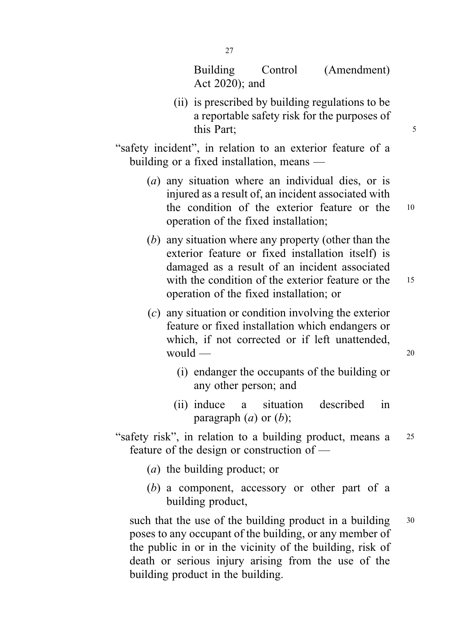Building Control (Amendment) Act 2020); and

(ii) is prescribed by building regulations to be a reportable safety risk for the purposes of this Part: 5

"safety incident", in relation to an exterior feature of a building or a fixed installation, means —

- (a) any situation where an individual dies, or is injured as a result of, an incident associated with the condition of the exterior feature or the <sup>10</sup> operation of the fixed installation;
- (b) any situation where any property (other than the exterior feature or fixed installation itself) is damaged as a result of an incident associated with the condition of the exterior feature or the 15 operation of the fixed installation; or
- (c) any situation or condition involving the exterior feature or fixed installation which endangers or which, if not corrected or if left unattended.  $would$  — 20
	- (i) endanger the occupants of the building or any other person; and
	- (ii) induce a situation described in paragraph  $(a)$  or  $(b)$ ;

"safety risk", in relation to a building product, means a <sup>25</sup> feature of the design or construction of —

- (a) the building product; or
- (b) a component, accessory or other part of a building product,

such that the use of the building product in a building  $30$ poses to any occupant of the building, or any member of the public in or in the vicinity of the building, risk of death or serious injury arising from the use of the building product in the building.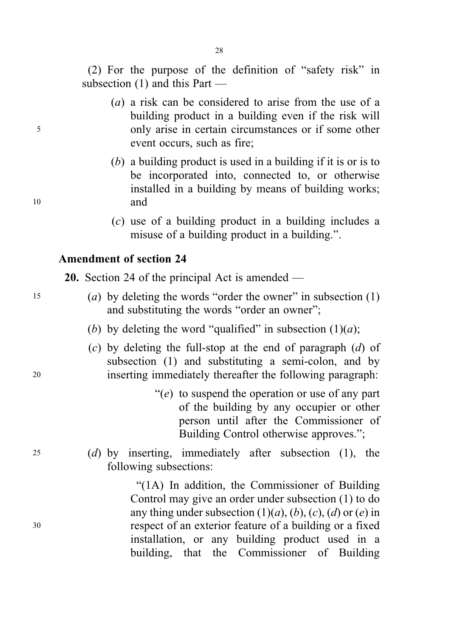28

(2) For the purpose of the definition of "safety risk" in subsection (1) and this Part —

- (a) a risk can be considered to arise from the use of a building product in a building even if the risk will <sup>5</sup> only arise in certain circumstances or if some other event occurs, such as fire;
- (b) a building product is used in a building if it is or is to be incorporated into, connected to, or otherwise installed in a building by means of building works; <sup>10</sup> and
	- (c) use of a building product in a building includes a misuse of a building product in a building.".

## Amendment of section 24

20. Section 24 of the principal Act is amended —

- <sup>15</sup> (a) by deleting the words "order the owner" in subsection (1) and substituting the words "order an owner";
	- (b) by deleting the word "qualified" in subsection  $(1)(a)$ ;
- (c) by deleting the full-stop at the end of paragraph  $(d)$  of subsection (1) and substituting a semi-colon, and by <sup>20</sup> inserting immediately thereafter the following paragraph:
	- $\degree$ (e) to suspend the operation or use of any part of the building by any occupier or other person until after the Commissioner of Building Control otherwise approves.";
- <sup>25</sup> (d) by inserting, immediately after subsection (1), the following subsections:

"(1A) In addition, the Commissioner of Building Control may give an order under subsection (1) to do any thing under subsection  $(1)(a)$ ,  $(b)$ ,  $(c)$ ,  $(d)$  or  $(e)$  in <sup>30</sup> respect of an exterior feature of a building or a fixed installation, or any building product used in a building, that the Commissioner of Building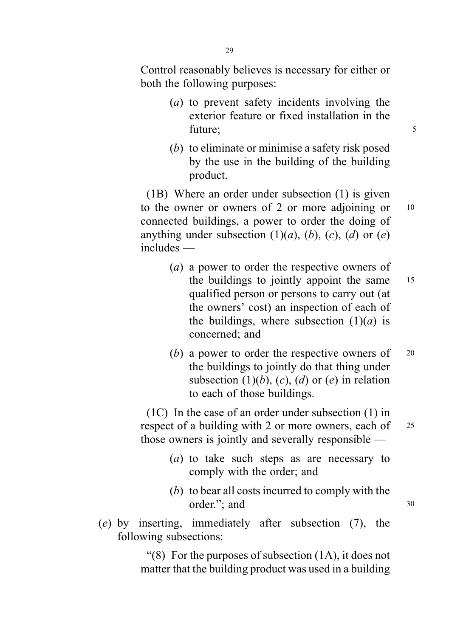Control reasonably believes is necessary for either or both the following purposes:

- (a) to prevent safety incidents involving the exterior feature or fixed installation in the future; 5
- (b) to eliminate or minimise a safety risk posed by the use in the building of the building product.

(1B) Where an order under subsection (1) is given to the owner or owners of 2 or more adjoining or 10 connected buildings, a power to order the doing of anything under subsection  $(1)(a)$ ,  $(b)$ ,  $(c)$ ,  $(d)$  or  $(e)$ includes —

- (a) a power to order the respective owners of the buildings to jointly appoint the same 15 qualified person or persons to carry out (at the owners' cost) an inspection of each of the buildings, where subsection  $(1)(a)$  is concerned; and
- (b) a power to order the respective owners of  $20$ the buildings to jointly do that thing under subsection  $(1)(b)$ ,  $(c)$ ,  $(d)$  or  $(e)$  in relation to each of those buildings.

(1C) In the case of an order under subsection (1) in respect of a building with 2 or more owners, each of 25 those owners is jointly and severally responsible —

- (a) to take such steps as are necessary to comply with the order; and
- (b) to bear all costs incurred to comply with the order."; and 30
- (e) by inserting, immediately after subsection (7), the following subsections:

"(8) For the purposes of subsection  $(1A)$ , it does not matter that the building product was used in a building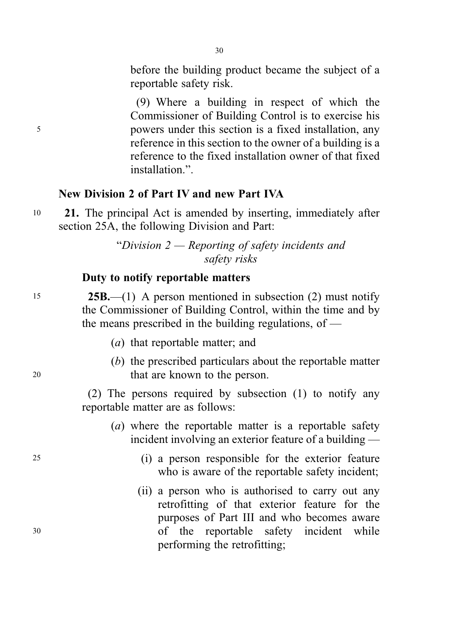before the building product became the subject of a reportable safety risk.

(9) Where a building in respect of which the Commissioner of Building Control is to exercise his <sup>5</sup> powers under this section is a fixed installation, any reference in this section to the owner of a building is a reference to the fixed installation owner of that fixed installation.".

#### New Division 2 of Part IV and new Part IVA

<sup>10</sup> 21. The principal Act is amended by inserting, immediately after section 25A, the following Division and Part:

> "Division 2 — Reporting of safety incidents and safety risks

# Duty to notify reportable matters

<sup>15</sup> 25B.—(1) A person mentioned in subsection (2) must notify the Commissioner of Building Control, within the time and by the means prescribed in the building regulations, of  $-$ 

- (a) that reportable matter; and
- (b) the prescribed particulars about the reportable matter <sup>20</sup> that are known to the person.

(2) The persons required by subsection (1) to notify any reportable matter are as follows:

- (a) where the reportable matter is a reportable safety incident involving an exterior feature of a building —
- <sup>25</sup> (i) a person responsible for the exterior feature who is aware of the reportable safety incident;
- (ii) a person who is authorised to carry out any retrofitting of that exterior feature for the purposes of Part III and who becomes aware <sup>30</sup> of the reportable safety incident while performing the retrofitting;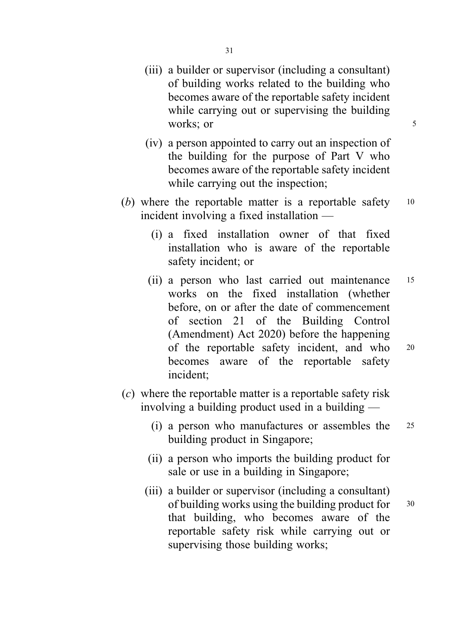- (iii) a builder or supervisor (including a consultant) of building works related to the building who becomes aware of the reportable safety incident while carrying out or supervising the building works; or 5
- (iv) a person appointed to carry out an inspection of the building for the purpose of Part V who becomes aware of the reportable safety incident while carrying out the inspection;
- (b) where the reportable matter is a reportable safety 10 incident involving a fixed installation —
	- (i) a fixed installation owner of that fixed installation who is aware of the reportable safety incident; or
	- (ii) a person who last carried out maintenance <sup>15</sup> works on the fixed installation (whether before, on or after the date of commencement of section 21 of the Building Control (Amendment) Act 2020) before the happening of the reportable safety incident, and who <sup>20</sup> becomes aware of the reportable safety incident;
- (c) where the reportable matter is a reportable safety risk involving a building product used in a building —
	- (i) a person who manufactures or assembles the <sup>25</sup> building product in Singapore;
	- (ii) a person who imports the building product for sale or use in a building in Singapore;
	- (iii) a builder or supervisor (including a consultant) of building works using the building product for  $30$ that building, who becomes aware of the reportable safety risk while carrying out or supervising those building works;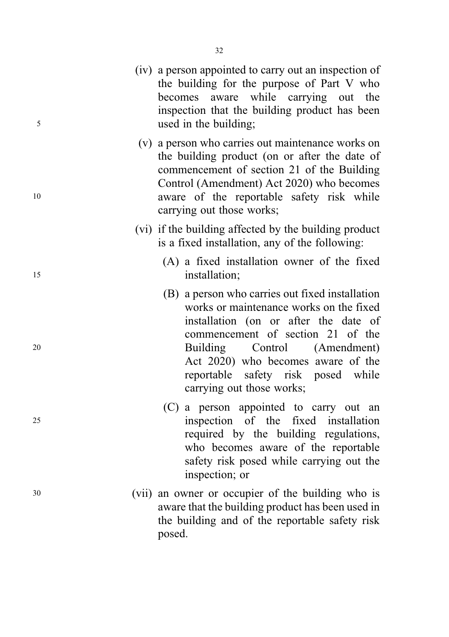- (iv) a person appointed to carry out an inspection of the building for the purpose of Part V who becomes aware while carrying out the inspection that the building product has been <sup>5</sup> used in the building;
- (v) a person who carries out maintenance works on the building product (on or after the date of commencement of section 21 of the Building Control (Amendment) Act 2020) who becomes <sup>10</sup> aware of the reportable safety risk while carrying out those works;
	- (vi) if the building affected by the building product is a fixed installation, any of the following:
- (A) a fixed installation owner of the fixed 15 installation;
- (B) a person who carries out fixed installation works or maintenance works on the fixed installation (on or after the date of commencement of section 21 of the <sup>20</sup> Building Control (Amendment) Act 2020) who becomes aware of the reportable safety risk posed while carrying out those works;
- (C) a person appointed to carry out an <sup>25</sup> inspection of the fixed installation required by the building regulations, who becomes aware of the reportable safety risk posed while carrying out the inspection; or
- <sup>30</sup> (vii) an owner or occupier of the building who is aware that the building product has been used in the building and of the reportable safety risk posed.

32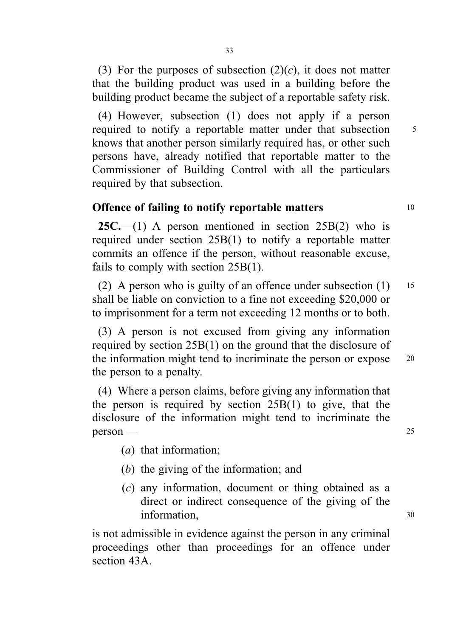(3) For the purposes of subsection  $(2)(c)$ , it does not matter that the building product was used in a building before the building product became the subject of a reportable safety risk.

(4) However, subsection (1) does not apply if a person required to notify a reportable matter under that subsection 5 knows that another person similarly required has, or other such persons have, already notified that reportable matter to the Commissioner of Building Control with all the particulars required by that subsection.

## Offence of failing to notify reportable matters 10

**25C.**—(1) A person mentioned in section  $25B(2)$  who is required under section 25B(1) to notify a reportable matter commits an offence if the person, without reasonable excuse, fails to comply with section 25B(1).

(2) A person who is guilty of an offence under subsection  $(1)$  15 shall be liable on conviction to a fine not exceeding \$20,000 or to imprisonment for a term not exceeding 12 months or to both.

(3) A person is not excused from giving any information required by section 25B(1) on the ground that the disclosure of the information might tend to incriminate the person or expose 20 the person to a penalty.

(4) Where a person claims, before giving any information that the person is required by section 25B(1) to give, that the disclosure of the information might tend to incriminate the person — 25

- (a) that information;
- (b) the giving of the information; and
- (c) any information, document or thing obtained as a direct or indirect consequence of the giving of the information, 30

is not admissible in evidence against the person in any criminal proceedings other than proceedings for an offence under section 43A.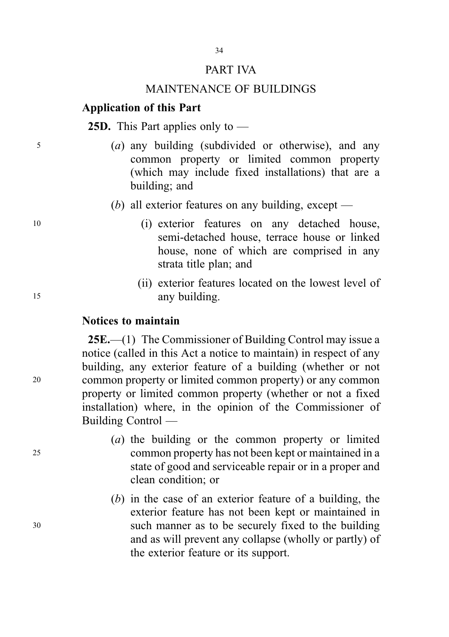#### PART IVA

34

#### MAINTENANCE OF BUILDINGS

## Application of this Part

#### 25D. This Part applies only to —

- <sup>5</sup> (a) any building (subdivided or otherwise), and any common property or limited common property (which may include fixed installations) that are a building; and
	- (b) all exterior features on any building, except —
- <sup>10</sup> (i) exterior features on any detached house, semi-detached house, terrace house or linked house, none of which are comprised in any strata title plan; and
- (ii) exterior features located on the lowest level of <sup>15</sup> any building.

#### Notices to maintain

25E.—(1) The Commissioner of Building Control may issue a notice (called in this Act a notice to maintain) in respect of any building, any exterior feature of a building (whether or not <sup>20</sup> common property or limited common property) or any common property or limited common property (whether or not a fixed installation) where, in the opinion of the Commissioner of Building Control —

- (a) the building or the common property or limited <sup>25</sup> common property has not been kept or maintained in a state of good and serviceable repair or in a proper and clean condition; or
- (b) in the case of an exterior feature of a building, the exterior feature has not been kept or maintained in <sup>30</sup> such manner as to be securely fixed to the building and as will prevent any collapse (wholly or partly) of the exterior feature or its support.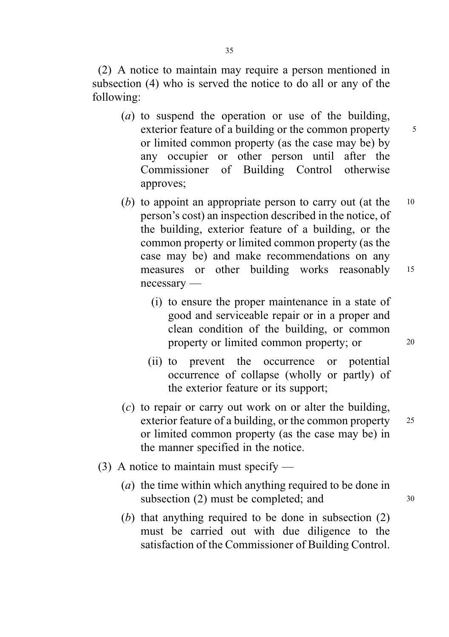(2) A notice to maintain may require a person mentioned in subsection (4) who is served the notice to do all or any of the following:

- (a) to suspend the operation or use of the building, exterior feature of a building or the common property 5 or limited common property (as the case may be) by any occupier or other person until after the Commissioner of Building Control otherwise approves;
- (b) to appoint an appropriate person to carry out (at the  $10$ person's cost) an inspection described in the notice, of the building, exterior feature of a building, or the common property or limited common property (as the case may be) and make recommendations on any measures or other building works reasonably <sup>15</sup> necessary —
	- (i) to ensure the proper maintenance in a state of good and serviceable repair or in a proper and clean condition of the building, or common property or limited common property; or 20
	- (ii) to prevent the occurrence or potential occurrence of collapse (wholly or partly) of the exterior feature or its support;
- (c) to repair or carry out work on or alter the building, exterior feature of a building, or the common property 25 or limited common property (as the case may be) in the manner specified in the notice.
- (3) A notice to maintain must specify
	- (a) the time within which anything required to be done in subsection  $(2)$  must be completed; and  $30$
	- (b) that anything required to be done in subsection  $(2)$ must be carried out with due diligence to the satisfaction of the Commissioner of Building Control.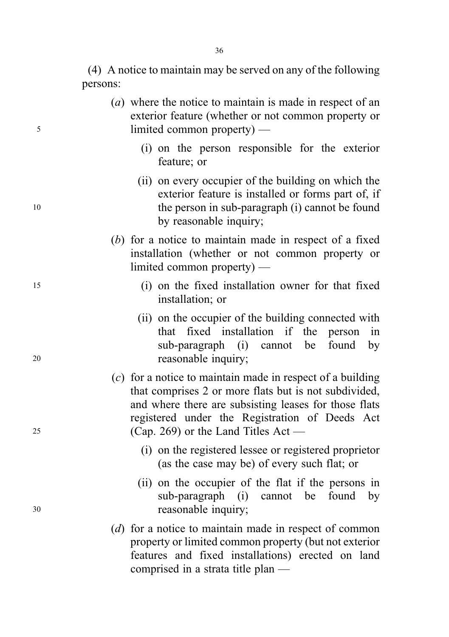(4) A notice to maintain may be served on any of the following persons:

- (a) where the notice to maintain is made in respect of an exterior feature (whether or not common property or <sup>5</sup> limited common property) —
	- (i) on the person responsible for the exterior feature; or
- (ii) on every occupier of the building on which the exterior feature is installed or forms part of, if 10 the person in sub-paragraph (i) cannot be found by reasonable inquiry;
	- (b) for a notice to maintain made in respect of a fixed installation (whether or not common property or limited common property) —
- <sup>15</sup> (i) on the fixed installation owner for that fixed installation; or
- (ii) on the occupier of the building connected with that fixed installation if the person in sub-paragraph (i) cannot be found by <sup>20</sup> reasonable inquiry;
- (c) for a notice to maintain made in respect of a building that comprises 2 or more flats but is not subdivided, and where there are subsisting leases for those flats registered under the Registration of Deeds Act <sup>25</sup> (Cap. 269) or the Land Titles Act —
	- (i) on the registered lessee or registered proprietor (as the case may be) of every such flat; or
- (ii) on the occupier of the flat if the persons in sub-paragraph (i) cannot be found by <sup>30</sup> reasonable inquiry;
	- (d) for a notice to maintain made in respect of common property or limited common property (but not exterior features and fixed installations) erected on land comprised in a strata title plan —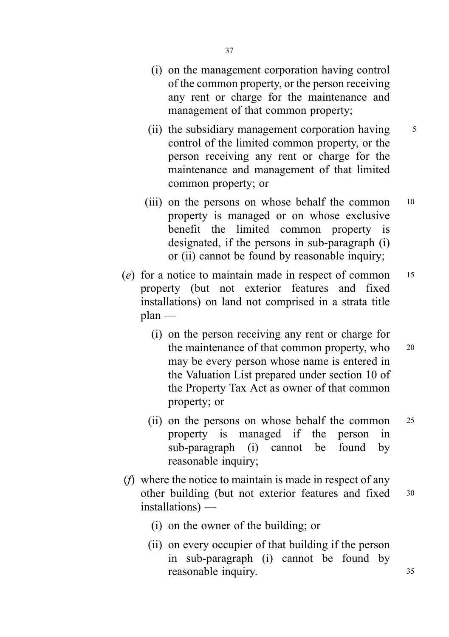- (i) on the management corporation having control of the common property, or the person receiving any rent or charge for the maintenance and management of that common property;
- (ii) the subsidiary management corporation having  $\frac{5}{5}$ control of the limited common property, or the person receiving any rent or charge for the maintenance and management of that limited common property; or
- (iii) on the persons on whose behalf the common 10 property is managed or on whose exclusive benefit the limited common property is designated, if the persons in sub-paragraph (i) or (ii) cannot be found by reasonable inquiry;
- (e) for a notice to maintain made in respect of common <sup>15</sup> property (but not exterior features and fixed installations) on land not comprised in a strata title plan —
	- (i) on the person receiving any rent or charge for the maintenance of that common property, who 20 may be every person whose name is entered in the Valuation List prepared under section 10 of the Property Tax Act as owner of that common property; or
	- (ii) on the persons on whose behalf the common <sup>25</sup> property is managed if the person in sub-paragraph (i) cannot be found by reasonable inquiry;
- (f) where the notice to maintain is made in respect of any other building (but not exterior features and fixed <sup>30</sup> installations) —
	- (i) on the owner of the building; or
	- (ii) on every occupier of that building if the person in sub-paragraph (i) cannot be found by reasonable inquiry. 35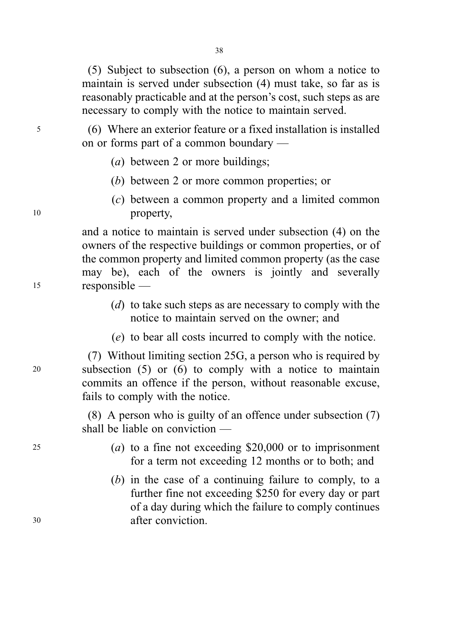(5) Subject to subsection (6), a person on whom a notice to maintain is served under subsection (4) must take, so far as is reasonably practicable and at the person's cost, such steps as are necessary to comply with the notice to maintain served.

<sup>5</sup> (6) Where an exterior feature or a fixed installation is installed on or forms part of a common boundary —

- (*a*) between 2 or more buildings;
- (b) between 2 or more common properties; or
- (c) between a common property and a limited common <sup>10</sup> property,

and a notice to maintain is served under subsection (4) on the owners of the respective buildings or common properties, or of the common property and limited common property (as the case may be), each of the owners is jointly and severally <sup>15</sup> responsible —

- (d) to take such steps as are necessary to comply with the notice to maintain served on the owner; and
- (e) to bear all costs incurred to comply with the notice.

(7) Without limiting section 25G, a person who is required by <sup>20</sup> subsection (5) or (6) to comply with a notice to maintain commits an offence if the person, without reasonable excuse, fails to comply with the notice.

> (8) A person who is guilty of an offence under subsection (7) shall be liable on conviction —

- <sup>25</sup> (a) to a fine not exceeding \$20,000 or to imprisonment for a term not exceeding 12 months or to both; and
- (b) in the case of a continuing failure to comply, to a further fine not exceeding \$250 for every day or part of a day during which the failure to comply continues <sup>30</sup> after conviction.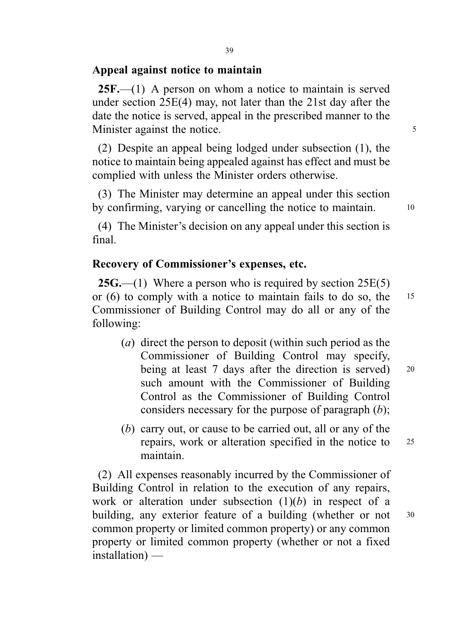#### Appeal against notice to maintain

 $25F$ ,—(1) A person on whom a notice to maintain is served under section 25E(4) may, not later than the 21st day after the date the notice is served, appeal in the prescribed manner to the Minister against the notice.

(2) Despite an appeal being lodged under subsection (1), the notice to maintain being appealed against has effect and must be complied with unless the Minister orders otherwise.

(3) The Minister may determine an appeal under this section by confirming, varying or cancelling the notice to maintain. 10

(4) The Minister's decision on any appeal under this section is final.

## Recovery of Commissioner's expenses, etc.

**25G.**—(1) Where a person who is required by section  $25E(5)$ or (6) to comply with a notice to maintain fails to do so, the <sup>15</sup> Commissioner of Building Control may do all or any of the following:

- (a) direct the person to deposit (within such period as the Commissioner of Building Control may specify, being at least 7 days after the direction is served) 20 such amount with the Commissioner of Building Control as the Commissioner of Building Control considers necessary for the purpose of paragraph  $(b)$ ;
- (b) carry out, or cause to be carried out, all or any of the repairs, work or alteration specified in the notice to <sup>25</sup> maintain.

(2) All expenses reasonably incurred by the Commissioner of Building Control in relation to the execution of any repairs, work or alteration under subsection  $(1)(b)$  in respect of a building, any exterior feature of a building (whether or not 30 common property or limited common property) or any common property or limited common property (whether or not a fixed installation) —

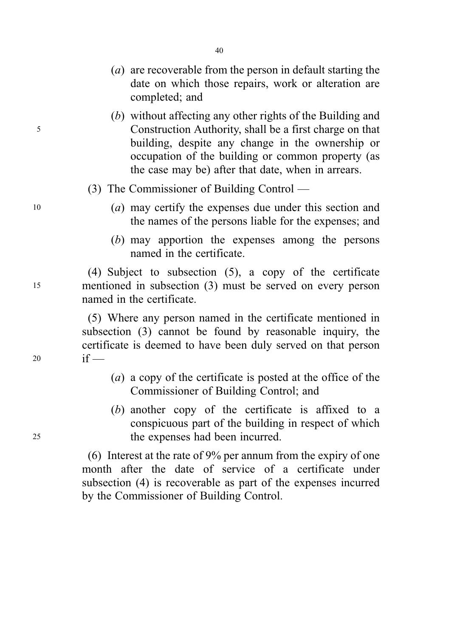- (a) are recoverable from the person in default starting the date on which those repairs, work or alteration are completed; and
- (b) without affecting any other rights of the Building and <sup>5</sup> Construction Authority, shall be a first charge on that building, despite any change in the ownership or occupation of the building or common property (as the case may be) after that date, when in arrears.
	- (3) The Commissioner of Building Control —
- <sup>10</sup> (a) may certify the expenses due under this section and the names of the persons liable for the expenses; and
	- (b) may apportion the expenses among the persons named in the certificate.

(4) Subject to subsection (5), a copy of the certificate <sup>15</sup> mentioned in subsection (3) must be served on every person named in the certificate.

(5) Where any person named in the certificate mentioned in subsection (3) cannot be found by reasonable inquiry, the certificate is deemed to have been duly served on that person <sup>20</sup> if —

- (a) a copy of the certificate is posted at the office of the Commissioner of Building Control; and
- (b) another copy of the certificate is affixed to a conspicuous part of the building in respect of which <sup>25</sup> the expenses had been incurred.

(6) Interest at the rate of 9% per annum from the expiry of one month after the date of service of a certificate under subsection (4) is recoverable as part of the expenses incurred by the Commissioner of Building Control.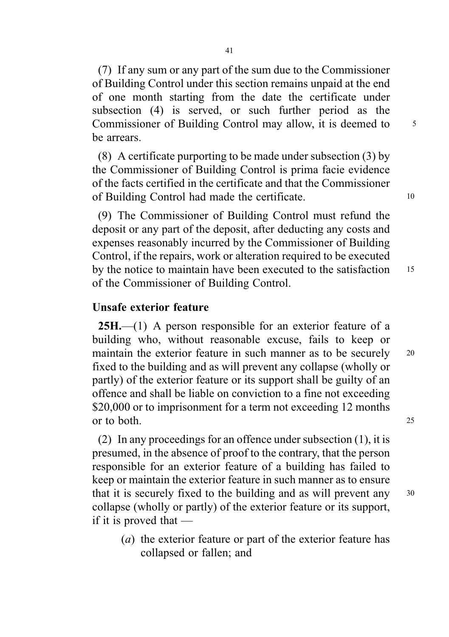(7) If any sum or any part of the sum due to the Commissioner of Building Control under this section remains unpaid at the end of one month starting from the date the certificate under subsection (4) is served, or such further period as the Commissioner of Building Control may allow, it is deemed to 5 be arrears.

(8) A certificate purporting to be made under subsection (3) by the Commissioner of Building Control is prima facie evidence of the facts certified in the certificate and that the Commissioner of Building Control had made the certificate. <sup>10</sup>

(9) The Commissioner of Building Control must refund the deposit or any part of the deposit, after deducting any costs and expenses reasonably incurred by the Commissioner of Building Control, if the repairs, work or alteration required to be executed by the notice to maintain have been executed to the satisfaction 15 of the Commissioner of Building Control.

#### Unsafe exterior feature

25H.—(1) A person responsible for an exterior feature of a building who, without reasonable excuse, fails to keep or maintain the exterior feature in such manner as to be securely 20 fixed to the building and as will prevent any collapse (wholly or partly) of the exterior feature or its support shall be guilty of an offence and shall be liable on conviction to a fine not exceeding \$20,000 or to imprisonment for a term not exceeding 12 months or to both. <sup>25</sup>

(2) In any proceedings for an offence under subsection (1), it is presumed, in the absence of proof to the contrary, that the person responsible for an exterior feature of a building has failed to keep or maintain the exterior feature in such manner as to ensure that it is securely fixed to the building and as will prevent any <sup>30</sup> collapse (wholly or partly) of the exterior feature or its support, if it is proved that —

(a) the exterior feature or part of the exterior feature has collapsed or fallen; and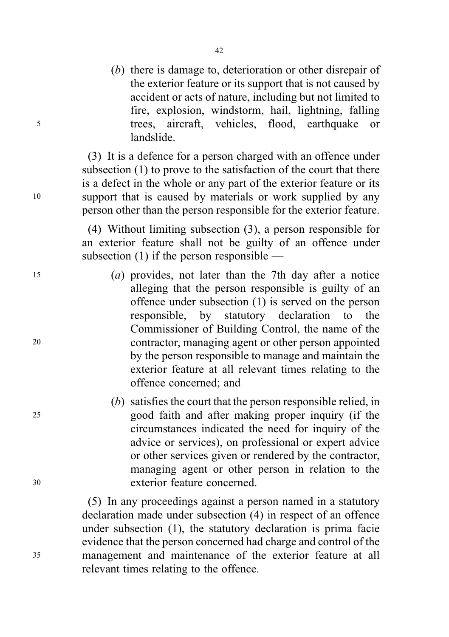(b) there is damage to, deterioration or other disrepair of the exterior feature or its support that is not caused by accident or acts of nature, including but not limited to fire, explosion, windstorm, hail, lightning, falling <sup>5</sup> trees, aircraft, vehicles, flood, earthquake or landslide.

(3) It is a defence for a person charged with an offence under subsection (1) to prove to the satisfaction of the court that there is a defect in the whole or any part of the exterior feature or its <sup>10</sup> support that is caused by materials or work supplied by any person other than the person responsible for the exterior feature.

> (4) Without limiting subsection (3), a person responsible for an exterior feature shall not be guilty of an offence under subsection (1) if the person responsible —

- <sup>15</sup> (a) provides, not later than the 7th day after a notice alleging that the person responsible is guilty of an offence under subsection (1) is served on the person responsible, by statutory declaration to the Commissioner of Building Control, the name of the <sup>20</sup> contractor, managing agent or other person appointed by the person responsible to manage and maintain the exterior feature at all relevant times relating to the offence concerned; and
- (b) satisfies the court that the person responsible relied, in <sup>25</sup> good faith and after making proper inquiry (if the circumstances indicated the need for inquiry of the advice or services), on professional or expert advice or other services given or rendered by the contractor, managing agent or other person in relation to the <sup>30</sup> exterior feature concerned.

(5) In any proceedings against a person named in a statutory declaration made under subsection (4) in respect of an offence under subsection (1), the statutory declaration is prima facie evidence that the person concerned had charge and control of the <sup>35</sup> management and maintenance of the exterior feature at all relevant times relating to the offence.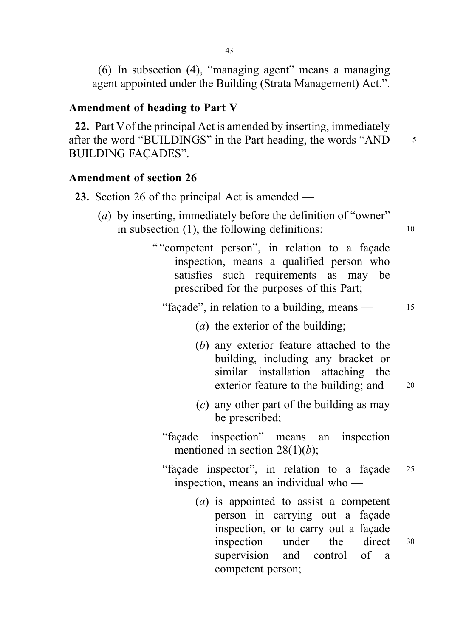(6) In subsection (4), "managing agent" means a managing agent appointed under the Building (Strata Management) Act.".

### Amendment of heading to Part V

22. Part Vof the principal Act is amended by inserting, immediately after the word "BUILDINGS" in the Part heading, the words "AND 5 BUILDING FAÇADES".

# Amendment of section 26

| 23. Section 26 of the principal Act is amended —                                                                                                                                                              |    |
|---------------------------------------------------------------------------------------------------------------------------------------------------------------------------------------------------------------|----|
| (a) by inserting, immediately before the definition of "owner"<br>in subsection $(1)$ , the following definitions:                                                                                            | 10 |
| ""competent person", in relation to a façade<br>inspection, means a qualified person who<br>satisfies such requirements as may be<br>prescribed for the purposes of this Part;                                |    |
| "façade", in relation to a building, means —                                                                                                                                                                  | 15 |
| ( <i>a</i> ) the exterior of the building;                                                                                                                                                                    |    |
| (b) any exterior feature attached to the<br>building, including any bracket or<br>similar installation attaching the<br>exterior feature to the building; and                                                 | 20 |
| $(c)$ any other part of the building as may<br>be prescribed;                                                                                                                                                 |    |
| "façade inspection" means an inspection<br>mentioned in section 28(1)( <i>b</i> );                                                                                                                            |    |
| "façade inspector", in relation to a façade<br>inspection, means an individual who —                                                                                                                          | 25 |
| $(a)$ is appointed to assist a competent<br>person in carrying out a façade<br>inspection, or to carry out a façade<br>inspection under<br>the direct<br>supervision and control of<br>a<br>competent person; | 30 |
|                                                                                                                                                                                                               |    |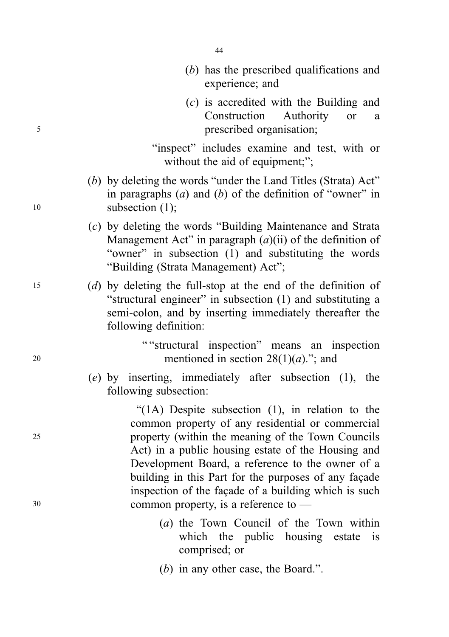- (b) has the prescribed qualifications and experience; and
- (c) is accredited with the Building and Construction Authority or a <sup>5</sup> prescribed organisation;
	- "inspect" includes examine and test, with or without the aid of equipment;";
- (b) by deleting the words "under the Land Titles (Strata) Act" in paragraphs  $(a)$  and  $(b)$  of the definition of "owner" in 10 subsection (1);
	- (c) by deleting the words "Building Maintenance and Strata Management Act" in paragraph  $(a)(ii)$  of the definition of "owner" in subsection (1) and substituting the words "Building (Strata Management) Act";
- <sup>15</sup> (d) by deleting the full-stop at the end of the definition of "structural engineer" in subsection (1) and substituting a semi-colon, and by inserting immediately thereafter the following definition:
- " "structural inspection" means an inspection 20 mentioned in section  $28(1)(a)$ ."; and
	- (e) by inserting, immediately after subsection (1), the following subsection:

"(1A) Despite subsection (1), in relation to the common property of any residential or commercial <sup>25</sup> property (within the meaning of the Town Councils Act) in a public housing estate of the Housing and Development Board, a reference to the owner of a building in this Part for the purposes of any façade inspection of the façade of a building which is such <sup>30</sup> common property, is a reference to —

- (a) the Town Council of the Town within which the public housing estate is comprised; or
- (b) in any other case, the Board.".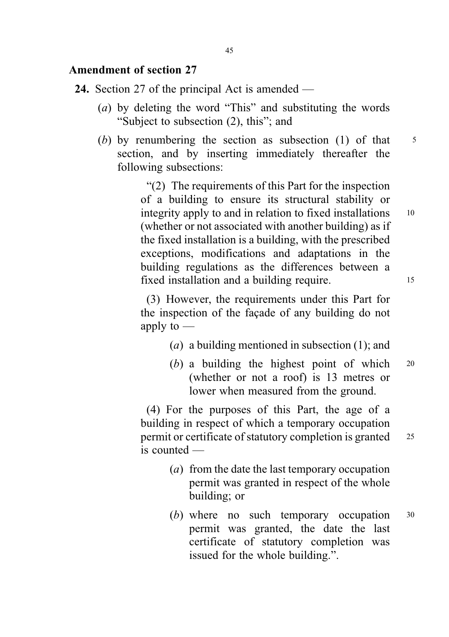#### Amendment of section 27

- 24. Section 27 of the principal Act is amended
	- (a) by deleting the word "This" and substituting the words "Subject to subsection (2), this"; and
	- (b) by renumbering the section as subsection (1) of that  $\frac{5}{5}$ section, and by inserting immediately thereafter the following subsections:

"(2) The requirements of this Part for the inspection of a building to ensure its structural stability or integrity apply to and in relation to fixed installations 10 (whether or not associated with another building) as if the fixed installation is a building, with the prescribed exceptions, modifications and adaptations in the building regulations as the differences between a fixed installation and a building require.

(3) However, the requirements under this Part for the inspection of the façade of any building do not apply to  $-$ 

- (a) a building mentioned in subsection (1); and
- (b) a building the highest point of which  $20$ (whether or not a roof) is 13 metres or lower when measured from the ground.

(4) For the purposes of this Part, the age of a building in respect of which a temporary occupation permit or certificate of statutory completion is granted <sup>25</sup> is counted —

- (a) from the date the last temporary occupation permit was granted in respect of the whole building; or
- (b) where no such temporary occupation  $30$ permit was granted, the date the last certificate of statutory completion was issued for the whole building.".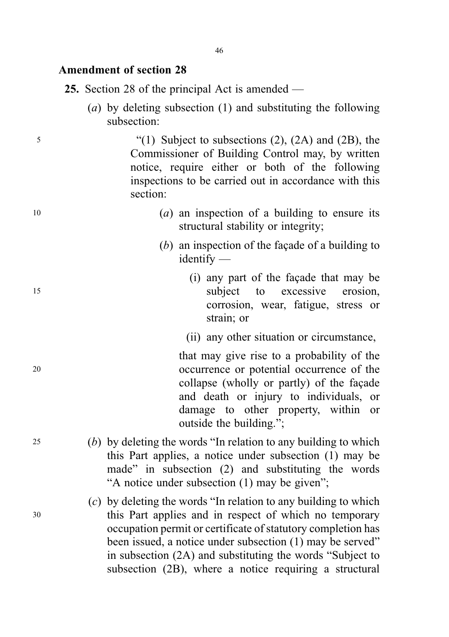#### Amendment of section 28

25. Section 28 of the principal Act is amended —

(a) by deleting subsection (1) and substituting the following subsection:

<sup>5</sup> "(1) Subject to subsections (2), (2A) and (2B), the Commissioner of Building Control may, by written notice, require either or both of the following inspections to be carried out in accordance with this section:

- $(a)$  an inspection of a building to ensure its structural stability or integrity;
	- (b) an inspection of the façade of a building to identify —
- (i) any part of the façade that may be 15 subject to excessive erosion, corrosion, wear, fatigue, stress or strain; or
	- (ii) any other situation or circumstance,

that may give rise to a probability of the <sup>20</sup> occurrence or potential occurrence of the collapse (wholly or partly) of the façade and death or injury to individuals, or damage to other property, within or outside the building.";

- <sup>25</sup> (b) by deleting the words "In relation to any building to which this Part applies, a notice under subsection (1) may be made" in subsection (2) and substituting the words "A notice under subsection (1) may be given";
- $(c)$  by deleting the words "In relation to any building to which <sup>30</sup> this Part applies and in respect of which no temporary occupation permit or certificate of statutory completion has been issued, a notice under subsection (1) may be served" in subsection (2A) and substituting the words "Subject to subsection (2B), where a notice requiring a structural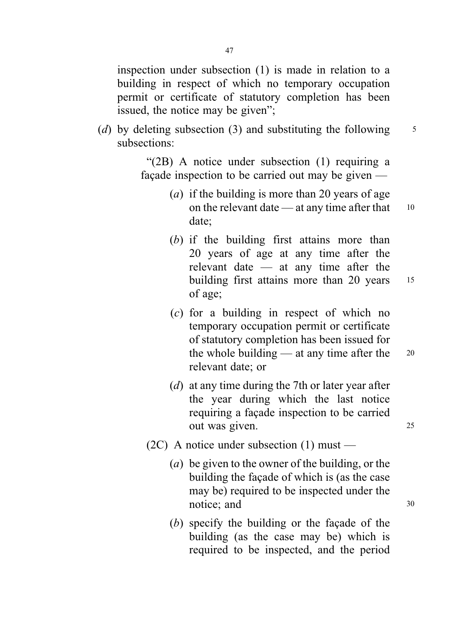inspection under subsection (1) is made in relation to a building in respect of which no temporary occupation permit or certificate of statutory completion has been issued, the notice may be given";

(d) by deleting subsection (3) and substituting the following  $\frac{5}{5}$ subsections:

> "(2B) A notice under subsection (1) requiring a façade inspection to be carried out may be given —

- (a) if the building is more than 20 years of age on the relevant date — at any time after that  $10$ date;
- (b) if the building first attains more than 20 years of age at any time after the relevant date — at any time after the building first attains more than 20 years 15 of age;
- (c) for a building in respect of which no temporary occupation permit or certificate of statutory completion has been issued for the whole building — at any time after the  $20$ relevant date; or
- (*d*) at any time during the 7th or later year after the year during which the last notice requiring a façade inspection to be carried out was given. <sup>25</sup>
- $(2C)$  A notice under subsection  $(1)$  must
	- (a) be given to the owner of the building, or the building the façade of which is (as the case may be) required to be inspected under the notice; and 30
	- (b) specify the building or the façade of the building (as the case may be) which is required to be inspected, and the period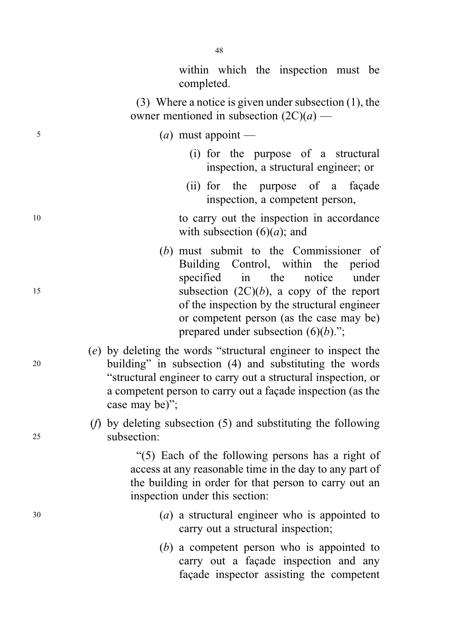within which the inspection must be completed.

(3) Where a notice is given under subsection (1), the owner mentioned in subsection  $(2C)(a)$  —

#### $(a)$  must appoint —

- (i) for the purpose of a structural inspection, a structural engineer; or
- (ii) for the purpose of a façade inspection, a competent person,
- 10 to carry out the inspection in accordance with subsection  $(6)(a)$ ; and
- (b) must submit to the Commissioner of Building Control, within the period specified in the notice under 15 subsection  $(2C)(b)$ , a copy of the report of the inspection by the structural engineer or competent person (as the case may be) prepared under subsection  $(6)(b)$ .";
- (e) by deleting the words "structural engineer to inspect the <sup>20</sup> building" in subsection (4) and substituting the words "structural engineer to carry out a structural inspection, or a competent person to carry out a façade inspection (as the case may be)";
- (f) by deleting subsection (5) and substituting the following <sup>25</sup> subsection:

"(5) Each of the following persons has a right of access at any reasonable time in the day to any part of the building in order for that person to carry out an inspection under this section:

- $(a)$  a structural engineer who is appointed to carry out a structural inspection;
	- (b) a competent person who is appointed to carry out a façade inspection and any façade inspector assisting the competent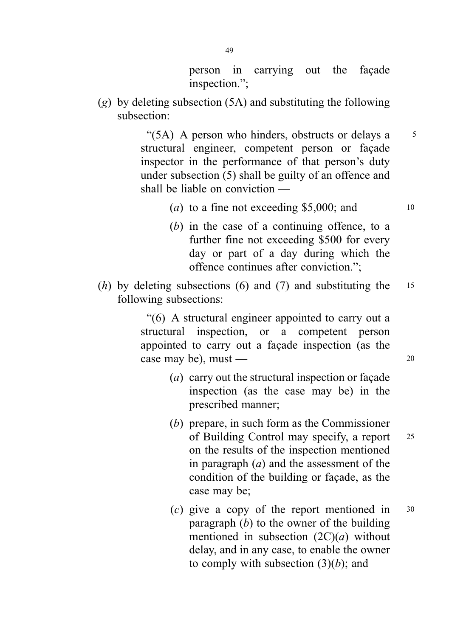person in carrying out the façade inspection.";

 $(g)$  by deleting subsection (5A) and substituting the following subsection:

> " $(5A)$  A person who hinders, obstructs or delays a  $5$ structural engineer, competent person or façade inspector in the performance of that person's duty under subsection (5) shall be guilty of an offence and shall be liable on conviction —

- (a) to a fine not exceeding \$5,000; and  $10$
- (b) in the case of a continuing offence, to a further fine not exceeding \$500 for every day or part of a day during which the offence continues after conviction.";
- (h) by deleting subsections (6) and (7) and substituting the  $15$ following subsections:

"(6) A structural engineer appointed to carry out a structural inspection, or a competent person appointed to carry out a façade inspection (as the case may be), must  $\sim$  20

- (a) carry out the structural inspection or façade inspection (as the case may be) in the prescribed manner;
- (b) prepare, in such form as the Commissioner of Building Control may specify, a report <sup>25</sup> on the results of the inspection mentioned in paragraph  $(a)$  and the assessment of the condition of the building or façade, as the case may be;
- (c) give a copy of the report mentioned in <sup>30</sup> paragraph  $(b)$  to the owner of the building mentioned in subsection  $(2C)(a)$  without delay, and in any case, to enable the owner to comply with subsection  $(3)(b)$ ; and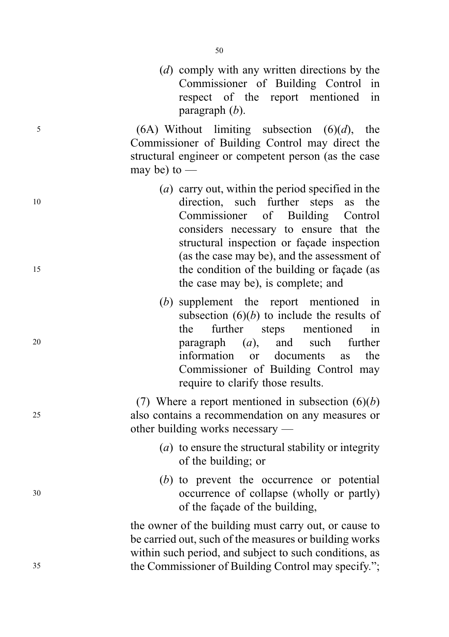(d) comply with any written directions by the Commissioner of Building Control in respect of the report mentioned in paragraph (b).

 $(6A)$  Without limiting subsection  $(6)(d)$ , the Commissioner of Building Control may direct the structural engineer or competent person (as the case may be) to  $-$ 

- (a) carry out, within the period specified in the <sup>10</sup> direction, such further steps as the Commissioner of Building Control considers necessary to ensure that the structural inspection or façade inspection (as the case may be), and the assessment of 15 the condition of the building or facade (as the case may be), is complete; and
- (b) supplement the report mentioned in subsection  $(6)(b)$  to include the results of the further steps mentioned in <sup>20</sup> paragraph (a), and such further information or documents as the Commissioner of Building Control may require to clarify those results.

(7) Where a report mentioned in subsection  $(6)(b)$ <sup>25</sup> also contains a recommendation on any measures or other building works necessary —

- (a) to ensure the structural stability or integrity of the building; or
- (b) to prevent the occurrence or potential <sup>30</sup> occurrence of collapse (wholly or partly) of the façade of the building,

the owner of the building must carry out, or cause to be carried out, such of the measures or building works within such period, and subject to such conditions, as <sup>35</sup> the Commissioner of Building Control may specify.";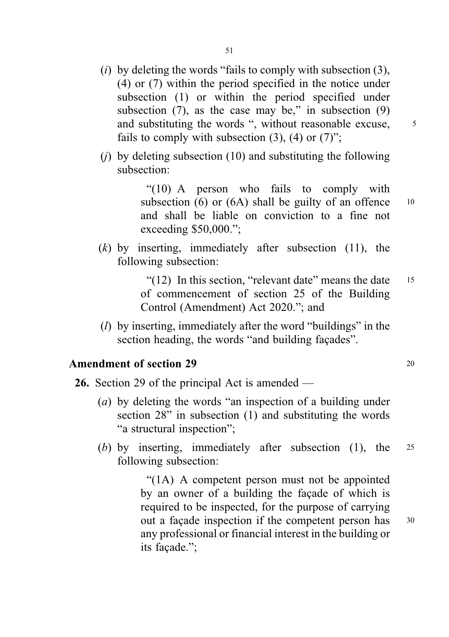- (i) by deleting the words "fails to comply with subsection  $(3)$ , (4) or (7) within the period specified in the notice under subsection (1) or within the period specified under subsection  $(7)$ , as the case may be," in subsection  $(9)$ and substituting the words ", without reasonable excuse,  $\frac{5}{3}$ fails to comply with subsection  $(3)$ ,  $(4)$  or  $(7)$ ";
- (i) by deleting subsection  $(10)$  and substituting the following subsection:

"(10) A person who fails to comply with subsection (6) or (6A) shall be guilty of an offence  $10$ and shall be liable on conviction to a fine not exceeding \$50,000.";

 $(k)$  by inserting, immediately after subsection (11), the following subsection:

> " $(12)$  In this section, "relevant date" means the date 15 of commencement of section 25 of the Building Control (Amendment) Act 2020."; and

( $l$ ) by inserting, immediately after the word "buildings" in the section heading, the words "and building façades".

### Amendment of section 29 20 20

- 26. Section 29 of the principal Act is amended
	- (a) by deleting the words "an inspection of a building under section 28" in subsection (1) and substituting the words "a structural inspection";
	- (b) by inserting, immediately after subsection (1), the <sup>25</sup> following subsection:

"(1A) A competent person must not be appointed by an owner of a building the façade of which is required to be inspected, for the purpose of carrying out a facade inspection if the competent person has 30 any professional or financial interest in the building or its façade.";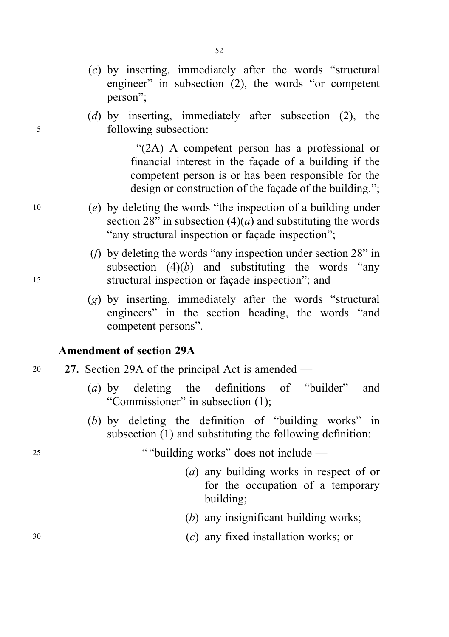- (c) by inserting, immediately after the words "structural engineer" in subsection (2), the words "or competent person";
- (d) by inserting, immediately after subsection (2), the <sup>5</sup> following subsection:

"(2A) A competent person has a professional or financial interest in the façade of a building if the competent person is or has been responsible for the design or construction of the façade of the building.";

- <sup>10</sup> (e) by deleting the words "the inspection of a building under section 28" in subsection  $(4)(a)$  and substituting the words "any structural inspection or façade inspection";
- (f) by deleting the words "any inspection under section 28" in subsection  $(4)(b)$  and substituting the words "any <sup>15</sup> structural inspection or façade inspection"; and
	- (g) by inserting, immediately after the words "structural engineers" in the section heading, the words "and competent persons".

#### Amendment of section 29A

- <sup>20</sup> 27. Section 29A of the principal Act is amended
	- (a) by deleting the definitions of "builder" and "Commissioner" in subsection (1);
	- (b) by deleting the definition of "building works" in subsection (1) and substituting the following definition:

<sup>25</sup> " "building works" does not include —

- (a) any building works in respect of or for the occupation of a temporary building;
- (b) any insignificant building works;
- <sup>30</sup> (c) any fixed installation works; or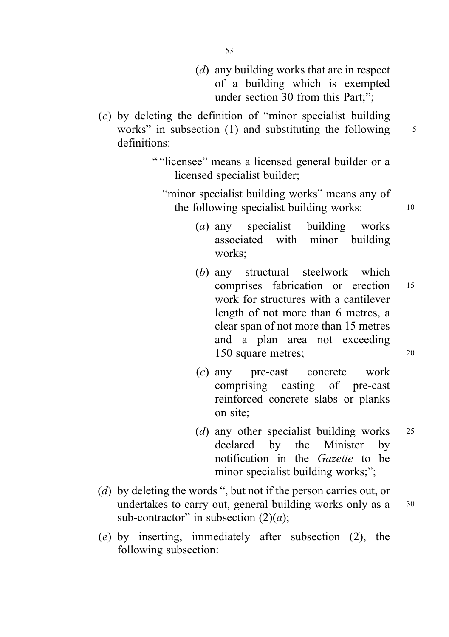- (d) any building works that are in respect of a building which is exempted under section 30 from this Part:":
- (c) by deleting the definition of "minor specialist building works" in subsection  $(1)$  and substituting the following  $5$ definitions:
	- " "licensee" means a licensed general builder or a licensed specialist builder;
		- "minor specialist building works" means any of the following specialist building works: 10
			- (a) any specialist building works associated with minor building works;
			- (b) any structural steelwork which comprises fabrication or erection <sup>15</sup> work for structures with a cantilever length of not more than 6 metres, a clear span of not more than 15 metres and a plan area not exceeding 150 square metres; <sup>20</sup>
			- (c) any pre-cast concrete work comprising casting of pre-cast reinforced concrete slabs or planks on site;
			- (*d*) any other specialist building works 25 declared by the Minister by notification in the Gazette to be minor specialist building works;";
- (d) by deleting the words ", but not if the person carries out, or undertakes to carry out, general building works only as a 30 sub-contractor" in subsection  $(2)(a)$ ;
- (e) by inserting, immediately after subsection (2), the following subsection: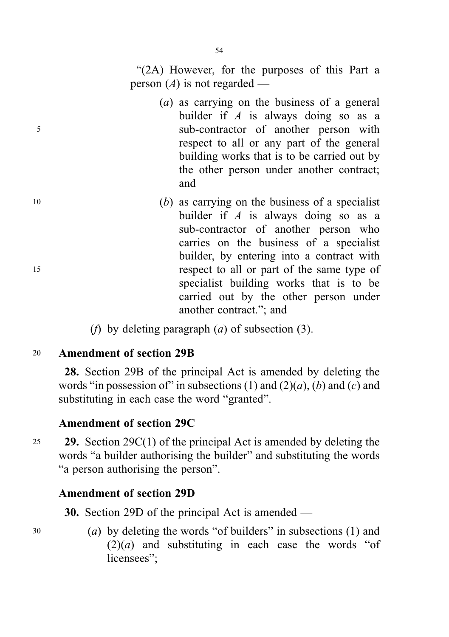- (a) as carrying on the business of a general builder if  $A$  is always doing so as a <sup>5</sup> sub-contractor of another person with respect to all or any part of the general building works that is to be carried out by the other person under another contract; and
- $10$  (b) as carrying on the business of a specialist builder if  $A$  is always doing so as a sub-contractor of another person who carries on the business of a specialist builder, by entering into a contract with <sup>15</sup> respect to all or part of the same type of specialist building works that is to be carried out by the other person under another contract."; and
	- (*f*) by deleting paragraph (*a*) of subsection (3).

### <sup>20</sup> Amendment of section 29B

28. Section 29B of the principal Act is amended by deleting the words "in possession of" in subsections (1) and (2)(*a*), (*b*) and (*c*) and substituting in each case the word "granted".

# Amendment of section 29C

25 29. Section 29 $C(1)$  of the principal Act is amended by deleting the words "a builder authorising the builder" and substituting the words "a person authorising the person".

# Amendment of section 29D

30. Section 29D of the principal Act is amended —

<sup>30</sup> (a) by deleting the words "of builders" in subsections (1) and  $(2)(a)$  and substituting in each case the words "of licensees":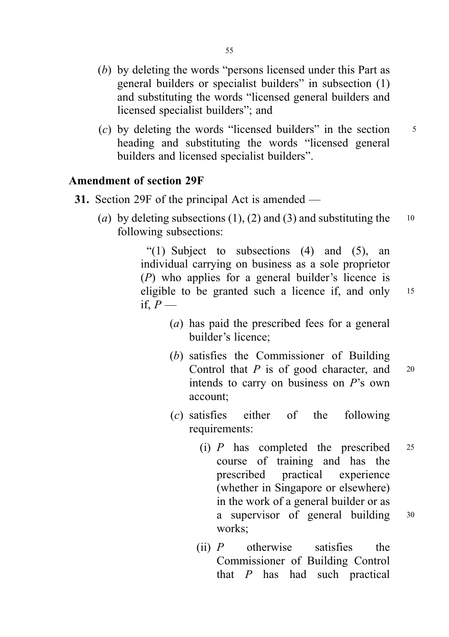- (b) by deleting the words "persons licensed under this Part as general builders or specialist builders" in subsection (1) and substituting the words "licensed general builders and licensed specialist builders"; and
- (c) by deleting the words "licensed builders" in the section  $\frac{5}{5}$ heading and substituting the words "licensed general builders and licensed specialist builders".

### Amendment of section 29F

- 31. Section 29F of the principal Act is amended
	- (a) by deleting subsections (1), (2) and (3) and substituting the  $10$ following subsections:

"(1) Subject to subsections  $(4)$  and  $(5)$ , an individual carrying on business as a sole proprietor (P) who applies for a general builder's licence is eligible to be granted such a licence if, and only <sup>15</sup> if,  $P$  —

- 
- (a) has paid the prescribed fees for a general builder's licence;
- (b) satisfies the Commissioner of Building Control that  $P$  is of good character, and  $20$ intends to carry on business on P's own account;
- (c) satisfies either of the following requirements:
	- (i)  $P$  has completed the prescribed 25 course of training and has the prescribed practical experience (whether in Singapore or elsewhere) in the work of a general builder or as a supervisor of general building <sup>30</sup> works;
	- (ii)  $P$  otherwise satisfies the Commissioner of Building Control that  $P$  has had such practical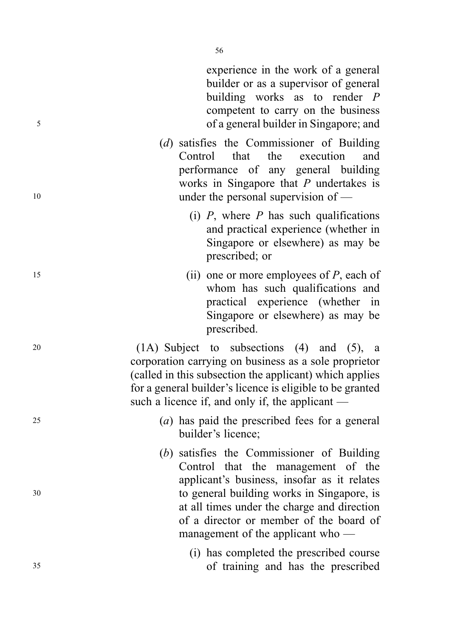experience in the work of a general builder or as a supervisor of general building works as to render P competent to carry on the business <sup>5</sup> of a general builder in Singapore; and

- (d) satisfies the Commissioner of Building Control that the execution and performance of any general building works in Singapore that  $P$  undertakes is 10 under the personal supervision of —
	- (i)  $P$ , where  $P$  has such qualifications and practical experience (whether in Singapore or elsewhere) as may be prescribed; or
- $(iii)$  one or more employees of P, each of whom has such qualifications and practical experience (whether in Singapore or elsewhere) as may be prescribed.

<sup>20</sup> (1A) Subject to subsections (4) and (5), a corporation carrying on business as a sole proprietor (called in this subsection the applicant) which applies for a general builder's licence is eligible to be granted such a licence if, and only if, the applicant —

- <sup>25</sup> (a) has paid the prescribed fees for a general builder's licence;
- (b) satisfies the Commissioner of Building Control that the management of the applicant's business, insofar as it relates <sup>30</sup> to general building works in Singapore, is at all times under the charge and direction of a director or member of the board of management of the applicant who —
- (i) has completed the prescribed course <sup>35</sup> of training and has the prescribed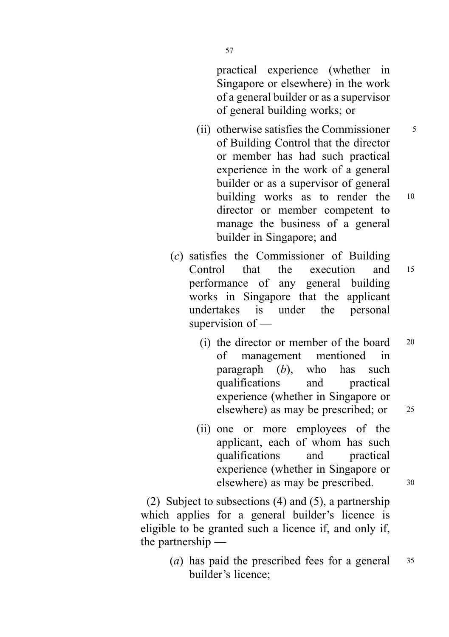practical experience (whether in Singapore or elsewhere) in the work of a general builder or as a supervisor of general building works; or

- (ii) otherwise satisfies the Commissioner  $\frac{5}{5}$ of Building Control that the director or member has had such practical experience in the work of a general builder or as a supervisor of general building works as to render the <sup>10</sup> director or member competent to manage the business of a general builder in Singapore; and
- (c) satisfies the Commissioner of Building Control that the execution and <sup>15</sup> performance of any general building works in Singapore that the applicant undertakes is under the personal supervision of —
	- (i) the director or member of the board  $20$ of management mentioned in paragraph  $(b)$ , who has such qualifications and practical experience (whether in Singapore or elsewhere) as may be prescribed; or 25
	- (ii) one or more employees of the applicant, each of whom has such qualifications and practical experience (whether in Singapore or elsewhere) as may be prescribed.  $30$

(2) Subject to subsections (4) and (5), a partnership which applies for a general builder's licence is eligible to be granted such a licence if, and only if, the partnership —

> (*a*) has paid the prescribed fees for a general 35 builder's licence;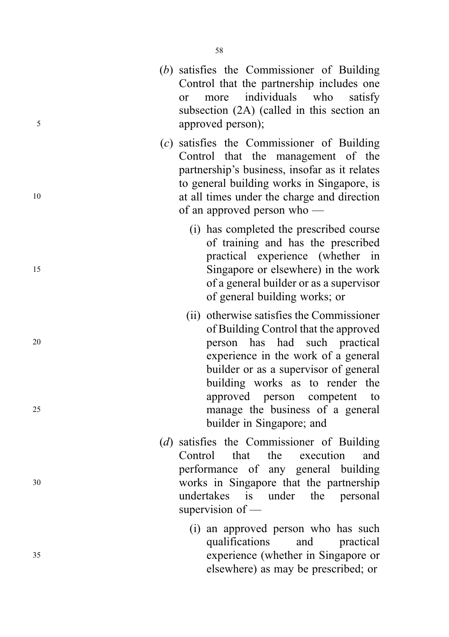- ( b) satisfies the Commissioner of Building Control that the partnership includes one or more individuals who satisfy subsection (2A) (called in this section an <sup>5</sup> approved person);
- (c) satisfies the Commissioner of Building Control that the management of the partnership 's business, insofar as it relates to general building works in Singapore, is <sup>10</sup> at all times under the charge and direction of an approved person who —
- (i) has completed the prescribed course of training and has the prescribed practical experience (whether in <sup>15</sup> Singapore or elsewhere) in the work of a general builder or as a supervisor of general building works; or
- (ii) otherwise satisfies the Commissioner of Building Control that the approved <sup>20</sup> person has had such practical experience in the work of a general builder or as a supervisor of general building works as to render the approved person competent to <sup>25</sup> manage the business of a general builder in Singapore; and
- ( d) satisfies the Commissioner of Building Control that the execution and performance of any general building <sup>30</sup> works in Singapore that the partnership undertakes is under the personal supervision of —
- (i) an approved person who has such qualifications and practical <sup>35</sup> experience (whether in Singapore or elsewhere) as may be prescribed; or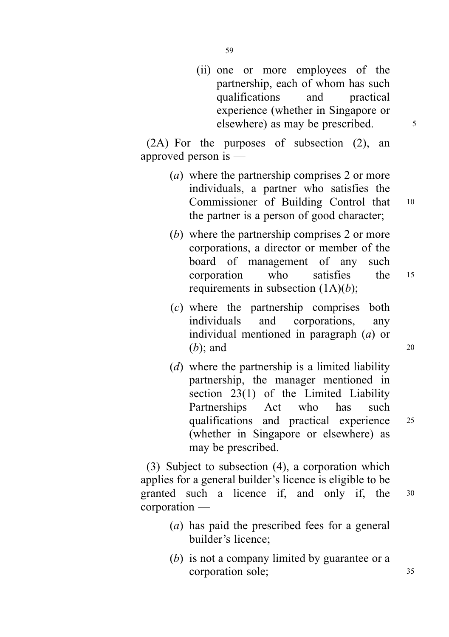(ii) one or more employees of the partnership, each of whom has such qualifications and practical experience (whether in Singapore or elsewhere) as may be prescribed.  $\frac{5}{10}$ 

(2A) For the purposes of subsection (2), an approved person is —

- (a) where the partnership comprises 2 or more individuals, a partner who satisfies the Commissioner of Building Control that <sup>10</sup> the partner is a person of good character;
- (b) where the partnership comprises 2 or more corporations, a director or member of the board of management of any such corporation who satisfies the <sup>15</sup> requirements in subsection  $(1A)(b)$ ;
- (c) where the partnership comprises both individuals and corporations, any individual mentioned in paragraph (a) or  $(b)$ ; and 20
- (d) where the partnership is a limited liability partnership, the manager mentioned in section 23(1) of the Limited Liability Partnerships Act who has such qualifications and practical experience <sup>25</sup> (whether in Singapore or elsewhere) as may be prescribed.

(3) Subject to subsection (4), a corporation which applies for a general builder's licence is eligible to be granted such a licence if, and only if, the <sup>30</sup> corporation —

- (a) has paid the prescribed fees for a general builder's licence;
- (b) is not a company limited by guarantee or a corporation sole; 35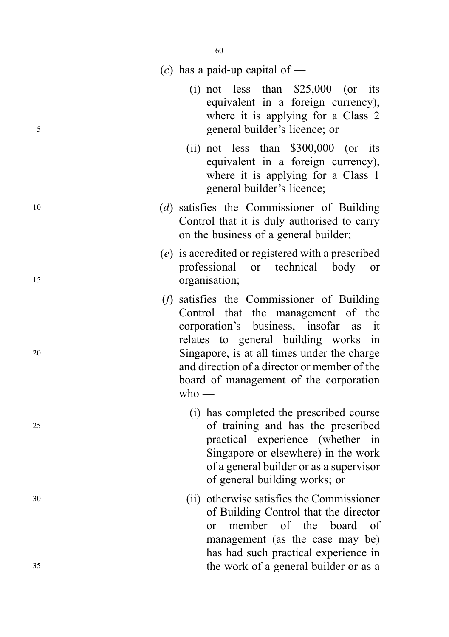|    | (c) has a paid-up capital of —                                                                                                                                                                                                                                                                                        |
|----|-----------------------------------------------------------------------------------------------------------------------------------------------------------------------------------------------------------------------------------------------------------------------------------------------------------------------|
| 5  | (i) not less than $$25,000$ (or its<br>equivalent in a foreign currency),<br>where it is applying for a Class 2<br>general builder's licence; or                                                                                                                                                                      |
|    | (ii) not less than $$300,000$ (or its<br>equivalent in a foreign currency),<br>where it is applying for a Class 1<br>general builder's licence;                                                                                                                                                                       |
| 10 | (d) satisfies the Commissioner of Building<br>Control that it is duly authorised to carry<br>on the business of a general builder;                                                                                                                                                                                    |
| 15 | (e) is accredited or registered with a prescribed<br>professional or technical body or<br>organisation;                                                                                                                                                                                                               |
| 20 | (f) satisfies the Commissioner of Building<br>Control that the management of the<br>corporation's business, insofar as it<br>relates to general building works in<br>Singapore, is at all times under the charge<br>and direction of a director or member of the<br>board of management of the corporation<br>$who$ — |
| 25 | (i) has completed the prescribed course<br>of training and has the prescribed<br>practical experience (whether in<br>Singapore or elsewhere) in the work<br>of a general builder or as a supervisor<br>of general building works; or                                                                                  |
| 30 | (ii) otherwise satisfies the Commissioner<br>of Building Control that the director<br>member of the board<br>of<br>or<br>management (as the case may be)<br>has had such practical experience in                                                                                                                      |
| 35 | the work of a general builder or as a                                                                                                                                                                                                                                                                                 |
|    |                                                                                                                                                                                                                                                                                                                       |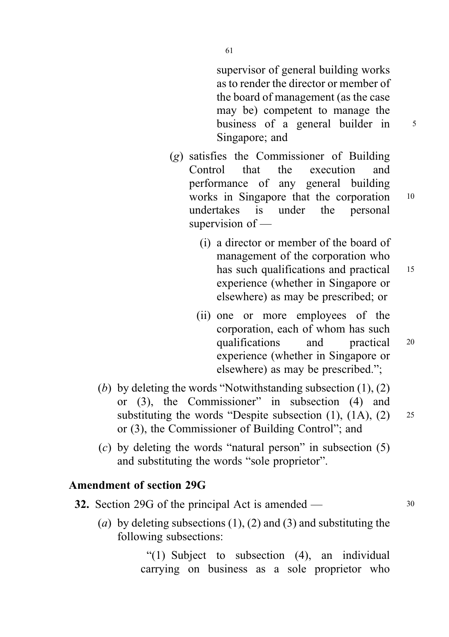supervisor of general building works as to render the director or member of the board of management (as the case may be) competent to manage the business of a general builder in  $5$ Singapore; and

- (g) satisfies the Commissioner of Building Control that the execution and performance of any general building works in Singapore that the corporation 10 undertakes is under the personal supervision of —
	- (i) a director or member of the board of management of the corporation who has such qualifications and practical 15 experience (whether in Singapore or elsewhere) as may be prescribed; or
	- (ii) one or more employees of the corporation, each of whom has such qualifications and practical <sup>20</sup> experience (whether in Singapore or elsewhere) as may be prescribed.";
- (b) by deleting the words "Notwithstanding subsection  $(1)$ ,  $(2)$ or (3), the Commissioner" in subsection (4) and substituting the words "Despite subsection  $(1)$ ,  $(1A)$ ,  $(2)$  25 or (3), the Commissioner of Building Control"; and
- (c) by deleting the words "natural person" in subsection (5) and substituting the words "sole proprietor".

#### Amendment of section 29G

- **32.** Section 29G of the principal Act is amended 30
	- (a) by deleting subsections  $(1)$ ,  $(2)$  and  $(3)$  and substituting the following subsections:

"(1) Subject to subsection (4), an individual carrying on business as a sole proprietor who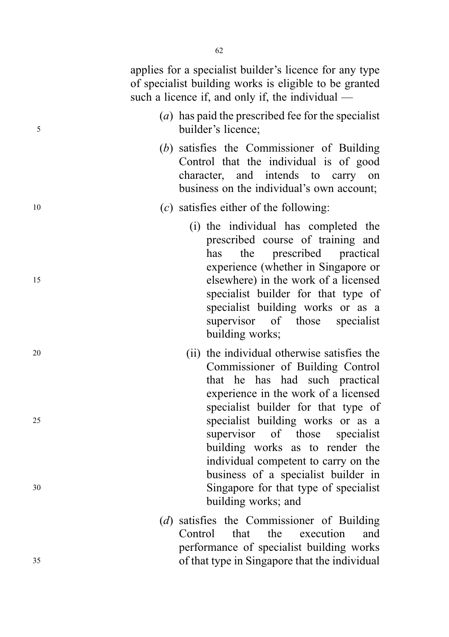applies for a specialist builder's licence for any type of specialist building works is eligible to be granted such a licence if, and only if, the individual — (a) has paid the prescribed fee for the specialist

<sup>5</sup> builder's licence; (b) satisfies the Commissioner of Building Control that the individual is of good character, and intends to carry on

business on the individual's own account;

- <sup>10</sup> (c) satisfies either of the following:
- (i) the individual has completed the prescribed course of training and has the prescribed practical experience (whether in Singapore or <sup>15</sup> elsewhere) in the work of a licensed specialist builder for that type of specialist building works or as a supervisor of those specialist building works;
- <sup>20</sup> (ii) the individual otherwise satisfies the Commissioner of Building Control that he has had such practical experience in the work of a licensed specialist builder for that type of <sup>25</sup> specialist building works or as a supervisor of those specialist building works as to render the individual competent to carry on the business of a specialist builder in <sup>30</sup> Singapore for that type of specialist building works; and
- (d) satisfies the Commissioner of Building Control that the execution and performance of specialist building works <sup>35</sup> of that type in Singapore that the individual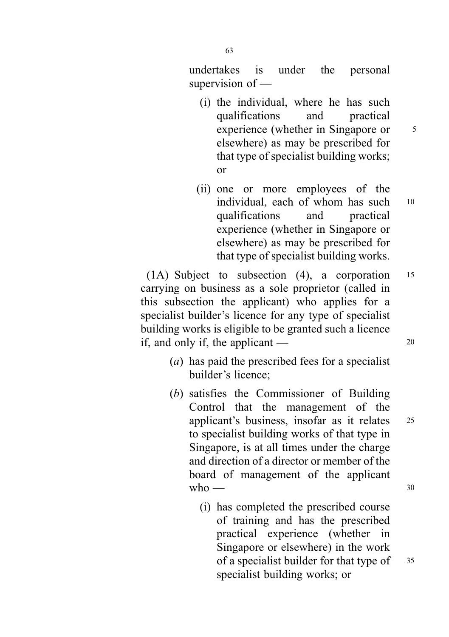undertakes is under the personal supervision of —

- (i) the individual, where he has such qualifications and practical experience (whether in Singapore or 5 elsewhere) as may be prescribed for that type of specialist building works; or
- (ii) one or more employees of the individual, each of whom has such  $10$ qualifications and practical experience (whether in Singapore or elsewhere) as may be prescribed for that type of specialist building works.

(1A) Subject to subsection (4), a corporation <sup>15</sup> carrying on business as a sole proprietor (called in this subsection the applicant) who applies for a specialist builder's licence for any type of specialist building works is eligible to be granted such a licence if, and only if, the applicant —  $20$ 

- (a) has paid the prescribed fees for a specialist builder's licence;
- (b) satisfies the Commissioner of Building Control that the management of the applicant's business, insofar as it relates <sup>25</sup> to specialist building works of that type in Singapore, is at all times under the charge and direction of a director or member of the board of management of the applicant  $who \longrightarrow$  30
	- (i) has completed the prescribed course of training and has the prescribed practical experience (whether in Singapore or elsewhere) in the work of a specialist builder for that type of 35 specialist building works; or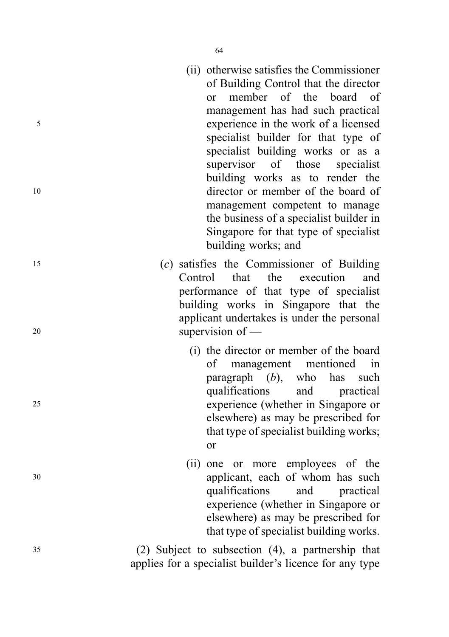- (ii) otherwise satisfies the Commissioner of Building Control that the director or member of the board of management has had such practical <sup>5</sup> experience in the work of a licensed specialist builder for that type of specialist building works or as a supervisor of those specialist building works as to render the <sup>10</sup> director or member of the board of management competent to manage the business of a specialist builder in Singapore for that type of specialist building works; and
- <sup>15</sup> (c) satisfies the Commissioner of Building Control that the execution and performance of that type of specialist building works in Singapore that the applicant undertakes is under the personal <sup>20</sup> supervision of —
- (i) the director or member of the board of management mentioned in paragraph  $(b)$ , who has such qualifications and practical <sup>25</sup> experience (whether in Singapore or elsewhere) as may be prescribed for that type of specialist building works; or
- (ii) one or more employees of the <sup>30</sup> applicant, each of whom has such qualifications and practical experience (whether in Singapore or elsewhere) as may be prescribed for that type of specialist building works.

<sup>35</sup> (2) Subject to subsection (4), a partnership that applies for a specialist builder's licence for any type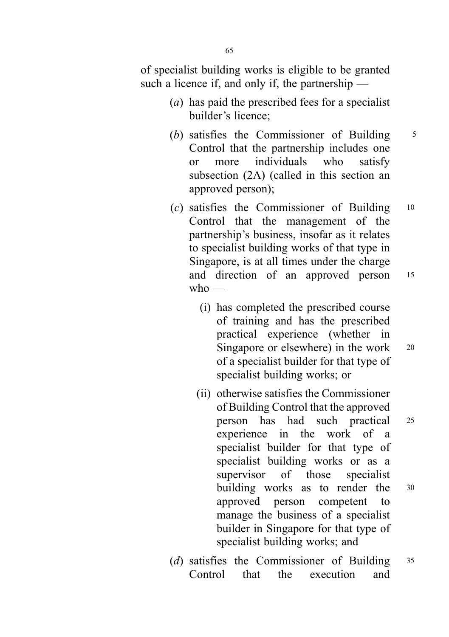of specialist building works is eligible to be granted such a licence if, and only if, the partnership —

- (a) has paid the prescribed fees for a specialist builder's licence;
- (b) satisfies the Commissioner of Building  $5$ Control that the partnership includes one or more individuals who satisfy subsection (2A) (called in this section an approved person);
- (c) satisfies the Commissioner of Building <sup>10</sup> Control that the management of the partnership's business, insofar as it relates to specialist building works of that type in Singapore, is at all times under the charge and direction of an approved person <sup>15</sup>  $w$ ho —
	- (i) has completed the prescribed course of training and has the prescribed practical experience (whether in Singapore or elsewhere) in the work <sup>20</sup> of a specialist builder for that type of specialist building works; or
	- (ii) otherwise satisfies the Commissioner of Building Control that the approved person has had such practical <sup>25</sup> experience in the work of a specialist builder for that type of specialist building works or as a supervisor of those specialist building works as to render the <sup>30</sup> approved person competent to manage the business of a specialist builder in Singapore for that type of specialist building works; and
- (d) satisfies the Commissioner of Building <sup>35</sup> Control that the execution and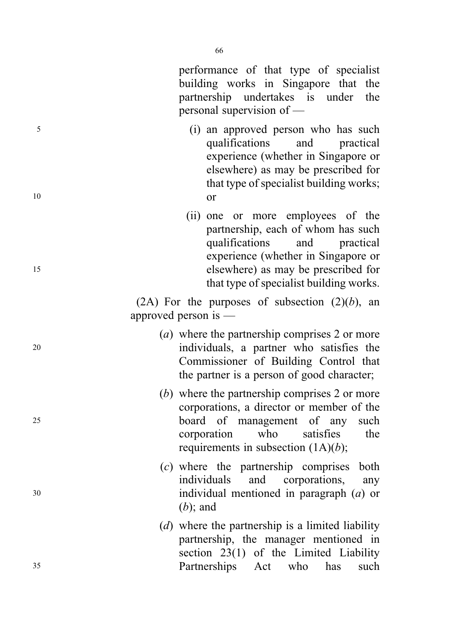<sup>25</sup> board of management of any such corporation who satisfies the requirements in subsection  $(1A)(b)$ ;

(c) where the partnership comprises both individuals and corporations, any <sup>30</sup> individual mentioned in paragraph (a) or  $(b)$ ; and

(d) where the partnership is a limited liability partnership, the manager mentioned in section 23(1) of the Limited Liability <sup>35</sup> Partnerships Act who has such

66

performance of that type of specialist building works in Singapore that the partnership undertakes is under the personal supervision of —

<sup>5</sup> (i) an approved person who has such qualifications and practical experience (whether in Singapore or elsewhere) as may be prescribed for that type of specialist building works; <sup>10</sup> or

(ii) one or more employees of the partnership, each of whom has such qualifications and practical experience (whether in Singapore or <sup>15</sup> elsewhere) as may be prescribed for that type of specialist building works.

> (2A) For the purposes of subsection  $(2)(b)$ , an approved person is —

- (a) where the partnership comprises 2 or more <sup>20</sup> individuals, a partner who satisfies the Commissioner of Building Control that the partner is a person of good character;
	- (b) where the partnership comprises 2 or more corporations, a director or member of the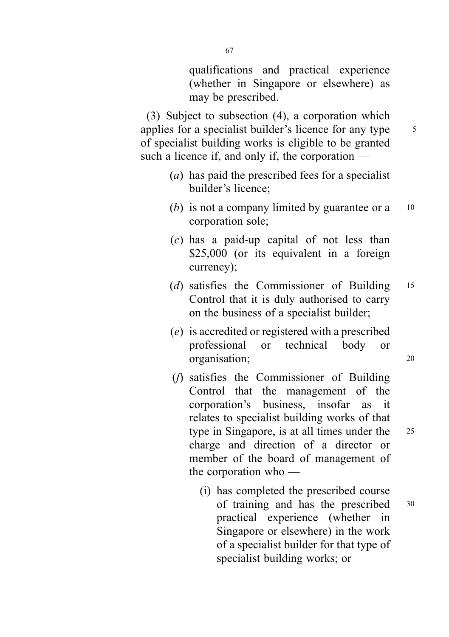qualifications and practical experience (whether in Singapore or elsewhere) as may be prescribed.

(3) Subject to subsection (4), a corporation which applies for a specialist builder's licence for any type  $\frac{5}{5}$ of specialist building works is eligible to be granted such a licence if, and only if, the corporation —

- (a) has paid the prescribed fees for a specialist builder's licence;
- (b) is not a company limited by guarantee or a  $10$ corporation sole;
- (c) has a paid-up capital of not less than \$25,000 (or its equivalent in a foreign currency);
- (d) satisfies the Commissioner of Building 15 Control that it is duly authorised to carry on the business of a specialist builder;
- (e) is accredited or registered with a prescribed professional or technical body or organisation; <sup>20</sup>
- (f) satisfies the Commissioner of Building Control that the management of the corporation's business, insofar as it relates to specialist building works of that type in Singapore, is at all times under the 25 charge and direction of a director or member of the board of management of the corporation who —
	- (i) has completed the prescribed course of training and has the prescribed <sup>30</sup> practical experience (whether in Singapore or elsewhere) in the work of a specialist builder for that type of specialist building works; or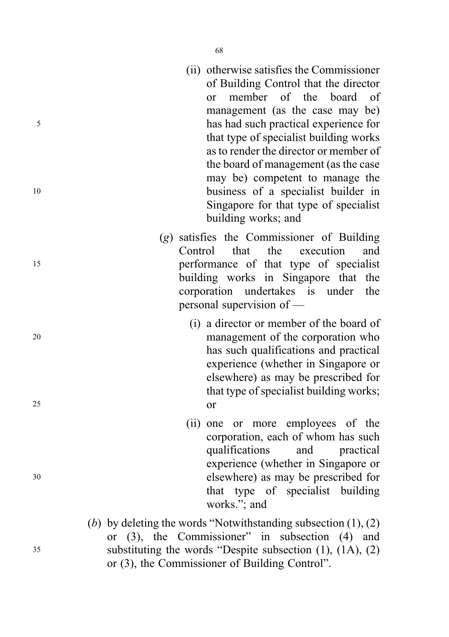- (ii) otherwise satisfies the Commissioner of Building Control that the director or member of the board of management (as the case may be) <sup>5</sup> has had such practical experience for that type of specialist building works as to render the director or member of the board of management (as the case may be) competent to manage the <sup>10</sup> business of a specialist builder in Singapore for that type of specialist building works; and
- (g) satisfies the Commissioner of Building Control that the execution and <sup>15</sup> performance of that type of specialist building works in Singapore that the corporation undertakes is under the personal supervision of —
- (i) a director or member of the board of <sup>20</sup> management of the corporation who has such qualifications and practical experience (whether in Singapore or elsewhere) as may be prescribed for that type of specialist building works; <sup>25</sup> or
- (ii) one or more employees of the corporation, each of whom has such qualifications and practical experience (whether in Singapore or <sup>30</sup> elsewhere) as may be prescribed for that type of specialist building works."; and
- (b) by deleting the words "Notwithstanding subsection  $(1)$ ,  $(2)$ or (3), the Commissioner" in subsection (4) and <sup>35</sup> substituting the words "Despite subsection (1), (1A), (2) or (3), the Commissioner of Building Control".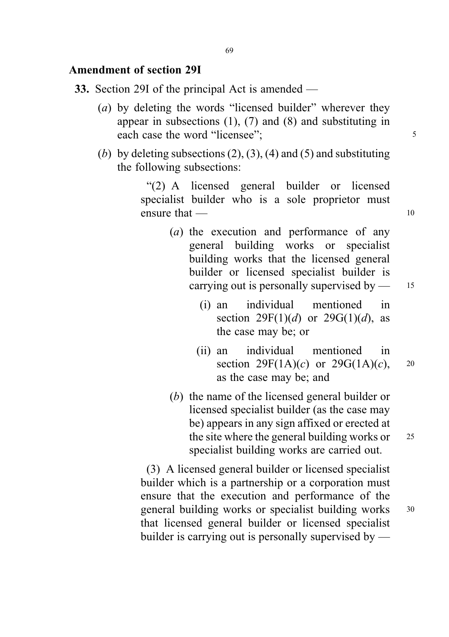#### Amendment of section 29I

- 33. Section 29I of the principal Act is amended
	- (a) by deleting the words "licensed builder" wherever they appear in subsections  $(1)$ ,  $(7)$  and  $(8)$  and substituting in each case the word "licensee"; 5
	- (b) by deleting subsections  $(2)$ ,  $(3)$ ,  $(4)$  and  $(5)$  and substituting the following subsections:

"(2) A licensed general builder or licensed specialist builder who is a sole proprietor must ensure that — 10

- (a) the execution and performance of any general building works or specialist building works that the licensed general builder or licensed specialist builder is carrying out is personally supervised by — 15
	- (i) an individual mentioned in section  $29F(1)(d)$  or  $29G(1)(d)$ , as the case may be; or
	- (ii) an individual mentioned in section  $29F(1A)(c)$  or  $29G(1A)(c)$ , 20 as the case may be; and
- (b) the name of the licensed general builder or licensed specialist builder (as the case may be) appears in any sign affixed or erected at the site where the general building works or  $25$ specialist building works are carried out.

(3) A licensed general builder or licensed specialist builder which is a partnership or a corporation must ensure that the execution and performance of the general building works or specialist building works <sup>30</sup> that licensed general builder or licensed specialist builder is carrying out is personally supervised by —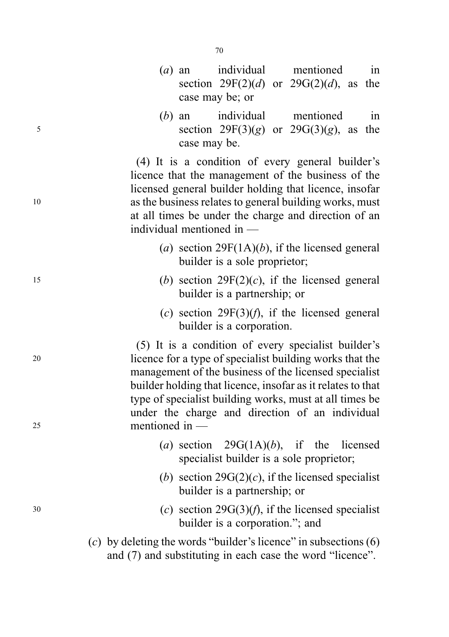- (a) an individual mentioned in section  $29F(2)(d)$  or  $29G(2)(d)$ , as the case may be; or
- (b) an individual mentioned in  $5$  section  $29F(3)(g)$  or  $29G(3)(g)$ , as the case may be.

(4) It is a condition of every general builder's licence that the management of the business of the licensed general builder holding that licence, insofar <sup>10</sup> as the business relates to general building works, must at all times be under the charge and direction of an individual mentioned in —

- (a) section 29 $F(1A)(b)$ , if the licensed general builder is a sole proprietor;
- 15 (b) section  $29F(2)(c)$ , if the licensed general builder is a partnership; or
	- (c) section  $29F(3)(f)$ , if the licensed general builder is a corporation.

(5) It is a condition of every specialist builder's <sup>20</sup> licence for a type of specialist building works that the management of the business of the licensed specialist builder holding that licence, insofar as it relates to that type of specialist building works, must at all times be under the charge and direction of an individual <sup>25</sup> mentioned in —

- (a) section  $29G(1A)(b)$ , if the licensed specialist builder is a sole proprietor;
- (b) section  $29G(2)(c)$ , if the licensed specialist builder is a partnership; or
- $(c)$  section 29 $G(3)(f)$ , if the licensed specialist builder is a corporation."; and
	- (c) by deleting the words "builder's licence" in subsections  $(6)$ and (7) and substituting in each case the word "licence".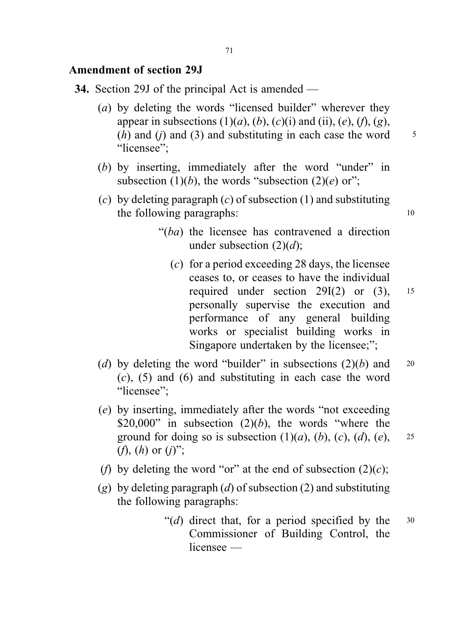#### Amendment of section 29J

- 34. Section 29J of the principal Act is amended
	- (a) by deleting the words "licensed builder" wherever they appear in subsections  $(1)(a)$ ,  $(b)$ ,  $(c)(i)$  and  $(ii)$ ,  $(e)$ ,  $(f)$ ,  $(g)$ , (*h*) and (*j*) and (3) and substituting in each case the word  $\frac{5}{5}$ "licensee";
	- (b) by inserting, immediately after the word "under" in subsection (1)(b), the words "subsection (2)(e) or";
	- (c) by deleting paragraph  $(c)$  of subsection  $(1)$  and substituting the following paragraphs: 10
		- "(ba) the licensee has contravened a direction under subsection  $(2)(d)$ ;
			- (c) for a period exceeding 28 days, the licensee ceases to, or ceases to have the individual required under section  $29I(2)$  or  $(3)$ ,  $15$ personally supervise the execution and performance of any general building works or specialist building works in Singapore undertaken by the licensee;";
	- (d) by deleting the word "builder" in subsections  $(2)(b)$  and 20  $(c)$ ,  $(5)$  and  $(6)$  and substituting in each case the word "licensee":
	- (e) by inserting, immediately after the words "not exceeding \$20,000" in subsection  $(2)(b)$ , the words "where the ground for doing so is subsection  $(1)(a)$ ,  $(b)$ ,  $(c)$ ,  $(d)$ ,  $(e)$ , 25 (*f*), (*h*) or (*j*)";
	- (f) by deleting the word "or" at the end of subsection  $(2)(c)$ ;
	- (g) by deleting paragraph (d) of subsection (2) and substituting the following paragraphs:
		- "(d) direct that, for a period specified by the  $30$ Commissioner of Building Control, the licensee —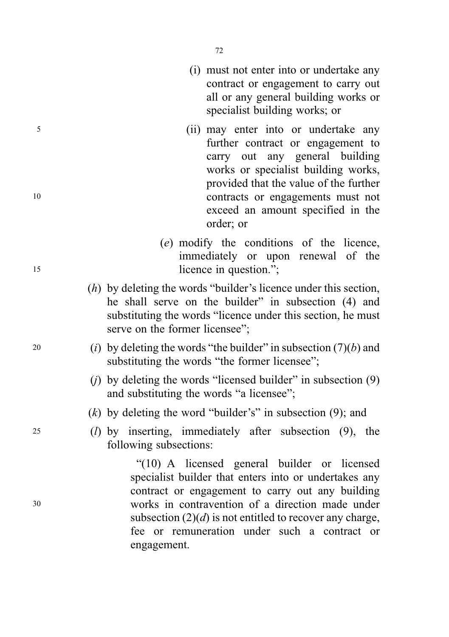- (i) must not enter into or undertake any contract or engagement to carry out all or any general building works or specialist building works; or
- <sup>5</sup> (ii) may enter into or undertake any further contract or engagement to carry out any general building works or specialist building works, provided that the value of the further <sup>10</sup> contracts or engagements must not exceed an amount specified in the order; or
- (e) modify the conditions of the licence, immediately or upon renewal of the 15 licence in question.";
	- (h) by deleting the words "builder's licence under this section, he shall serve on the builder" in subsection (4) and substituting the words "licence under this section, he must serve on the former licensee";
- <sup>20</sup> (i) by deleting the words "the builder" in subsection  $(7)(b)$  and substituting the words "the former licensee";
	- (i) by deleting the words "licensed builder" in subsection  $(9)$ and substituting the words "a licensee";
	- $(k)$  by deleting the word "builder's" in subsection (9); and
- <sup>25</sup> (l) by inserting, immediately after subsection (9), the following subsections:

"(10) A licensed general builder or licensed specialist builder that enters into or undertakes any contract or engagement to carry out any building <sup>30</sup> works in contravention of a direction made under subsection  $(2)(d)$  is not entitled to recover any charge. fee or remuneration under such a contract or engagement.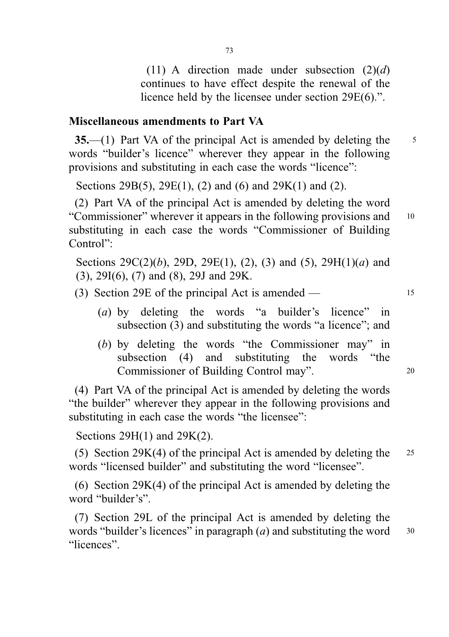(11) A direction made under subsection  $(2)(d)$ continues to have effect despite the renewal of the licence held by the licensee under section 29E(6).".

### Miscellaneous amendments to Part VA

 $35$ —(1) Part VA of the principal Act is amended by deleting the  $5$ words "builder's licence" wherever they appear in the following provisions and substituting in each case the words "licence":

Sections 29B(5), 29E(1), (2) and (6) and 29K(1) and (2).

(2) Part VA of the principal Act is amended by deleting the word "Commissioner" wherever it appears in the following provisions and <sup>10</sup> substituting in each case the words "Commissioner of Building Control":

Sections  $29C(2)(b)$ ,  $29D$ ,  $29E(1)$ ,  $(2)$ ,  $(3)$  and  $(5)$ ,  $29H(1)(a)$  and (3), 29I(6), (7) and (8), 29J and 29K.

(3) Section 29E of the principal Act is amended — <sup>15</sup>

- (a) by deleting the words "a builder's licence" in subsection (3) and substituting the words "a licence"; and
- (b) by deleting the words "the Commissioner may" in subsection (4) and substituting the words "the Commissioner of Building Control may". <sup>20</sup>

(4) Part VA of the principal Act is amended by deleting the words "the builder" wherever they appear in the following provisions and substituting in each case the words "the licensee":

Sections 29H(1) and 29K(2).

(5) Section 29K(4) of the principal Act is amended by deleting the <sup>25</sup> words "licensed builder" and substituting the word "licensee".

(6) Section 29K(4) of the principal Act is amended by deleting the word "builder's".

(7) Section 29L of the principal Act is amended by deleting the words "builder's licences" in paragraph  $(a)$  and substituting the word  $30$ "licences".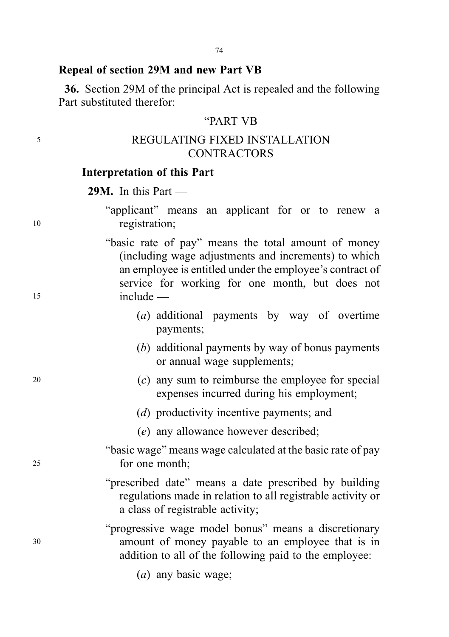#### Repeal of section 29M and new Part VB

36. Section 29M of the principal Act is repealed and the following Part substituted therefor:

#### "PART VB

## <sup>5</sup> REGULATING FIXED INSTALLATION **CONTRACTORS**

#### Interpretation of this Part

29M. In this Part —

|    | "applicant" means an applicant for or to renew a |               |  |  |  |  |  |
|----|--------------------------------------------------|---------------|--|--|--|--|--|
| 10 |                                                  | registration; |  |  |  |  |  |

"basic rate of pay" means the total amount of money (including wage adjustments and increments) to which an employee is entitled under the employee's contract of service for working for one month, but does not <sup>15</sup> include —

- (a) additional payments by way of overtime payments;
- (b) additional payments by way of bonus payments or annual wage supplements;
- $(2)$  any sum to reimburse the employee for special expenses incurred during his employment;
	- (d) productivity incentive payments; and
	- (e) any allowance however described;
- "basic wage" means wage calculated at the basic rate of pay <sup>25</sup> for one month;
	- "prescribed date" means a date prescribed by building regulations made in relation to all registrable activity or a class of registrable activity;

"progressive wage model bonus" means a discretionary <sup>30</sup> amount of money payable to an employee that is in addition to all of the following paid to the employee:

(a) any basic wage;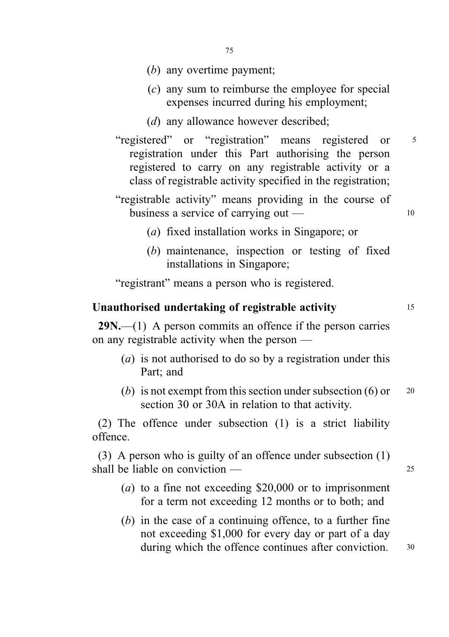- (b) any overtime payment;
- (c) any sum to reimburse the employee for special expenses incurred during his employment;
- (d) any allowance however described:
- "registered" or "registration" means registered or <sup>5</sup> registration under this Part authorising the person registered to carry on any registrable activity or a class of registrable activity specified in the registration;
- "registrable activity" means providing in the course of business a service of carrying out — 10
	- (a) fixed installation works in Singapore; or
	- (b) maintenance, inspection or testing of fixed installations in Singapore;

"registrant" means a person who is registered.

### Unauthorised undertaking of registrable activity 15

 $29N$ .—(1) A person commits an offence if the person carries on any registrable activity when the person —

- (a) is not authorised to do so by a registration under this Part; and
- (b) is not exempt from this section under subsection  $(6)$  or  $20$ section 30 or 30A in relation to that activity.

(2) The offence under subsection (1) is a strict liability offence.

(3) A person who is guilty of an offence under subsection (1) shall be liable on conviction —

- (a) to a fine not exceeding  $$20,000$  or to imprisonment for a term not exceeding 12 months or to both; and
- (b) in the case of a continuing offence, to a further fine not exceeding \$1,000 for every day or part of a day during which the offence continues after conviction. 30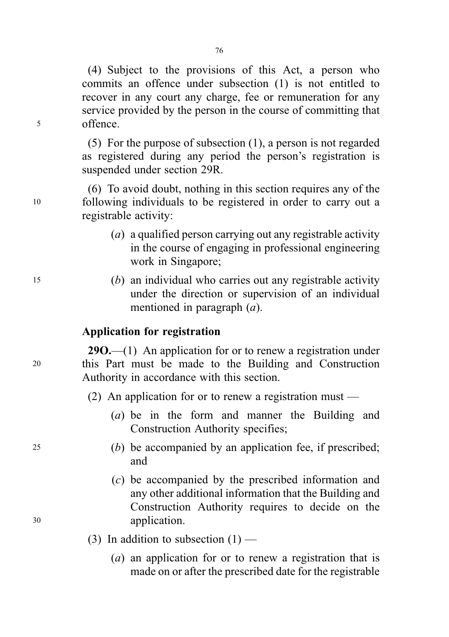(4) Subject to the provisions of this Act, a person who commits an offence under subsection (1) is not entitled to recover in any court any charge, fee or remuneration for any service provided by the person in the course of committing that <sup>5</sup> offence.

> (5) For the purpose of subsection (1), a person is not regarded as registered during any period the person's registration is suspended under section 29R.

(6) To avoid doubt, nothing in this section requires any of the <sup>10</sup> following individuals to be registered in order to carry out a registrable activity:

- (a) a qualified person carrying out any registrable activity in the course of engaging in professional engineering work in Singapore;
- <sup>15</sup> (b) an individual who carries out any registrable activity under the direction or supervision of an individual mentioned in paragraph (a).

### Application for registration

290.—(1) An application for or to renew a registration under <sup>20</sup> this Part must be made to the Building and Construction Authority in accordance with this section.

- (2) An application for or to renew a registration must
	- (a) be in the form and manner the Building and Construction Authority specifies;
- <sup>25</sup> (b) be accompanied by an application fee, if prescribed; and
- (c) be accompanied by the prescribed information and any other additional information that the Building and Construction Authority requires to decide on the <sup>30</sup> application.
	- (3) In addition to subsection  $(1)$ 
		- (a) an application for or to renew a registration that is made on or after the prescribed date for the registrable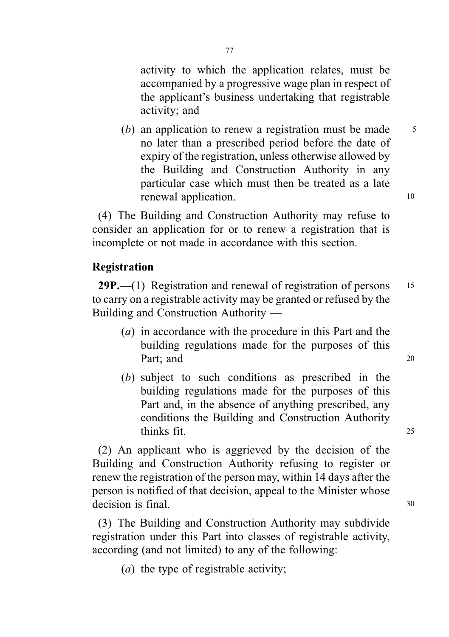activity to which the application relates, must be accompanied by a progressive wage plan in respect of the applicant's business undertaking that registrable activity; and

(b) an application to renew a registration must be made  $\frac{5}{5}$ no later than a prescribed period before the date of expiry of the registration, unless otherwise allowed by the Building and Construction Authority in any particular case which must then be treated as a late renewal application. 10

(4) The Building and Construction Authority may refuse to consider an application for or to renew a registration that is incomplete or not made in accordance with this section.

## Registration

29P.—(1) Registration and renewal of registration of persons 15 to carry on a registrable activity may be granted or refused by the Building and Construction Authority —

- (a) in accordance with the procedure in this Part and the building regulations made for the purposes of this Part: and 20
- (b) subject to such conditions as prescribed in the building regulations made for the purposes of this Part and, in the absence of anything prescribed, any conditions the Building and Construction Authority thinks fit. <sup>25</sup>

(2) An applicant who is aggrieved by the decision of the Building and Construction Authority refusing to register or renew the registration of the person may, within 14 days after the person is notified of that decision, appeal to the Minister whose decision is final. 30

(3) The Building and Construction Authority may subdivide registration under this Part into classes of registrable activity, according (and not limited) to any of the following:

(a) the type of registrable activity;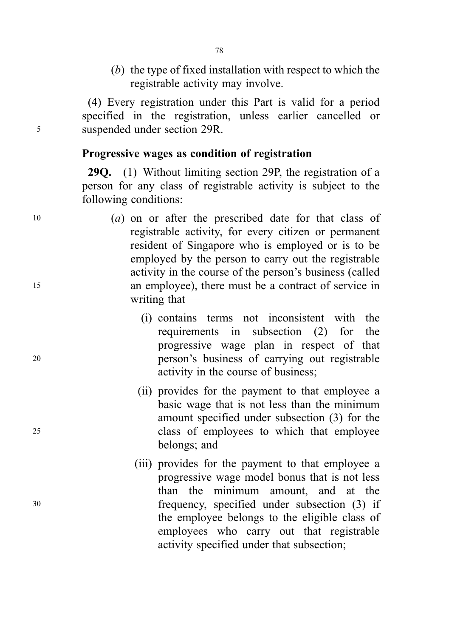(b) the type of fixed installation with respect to which the registrable activity may involve.

(4) Every registration under this Part is valid for a period specified in the registration, unless earlier cancelled or <sup>5</sup> suspended under section 29R.

#### Progressive wages as condition of registration

**29Q.**—(1) Without limiting section 29P, the registration of a person for any class of registrable activity is subject to the following conditions:

- <sup>10</sup> (a) on or after the prescribed date for that class of registrable activity, for every citizen or permanent resident of Singapore who is employed or is to be employed by the person to carry out the registrable activity in the course of the person's business (called <sup>15</sup> an employee), there must be a contract of service in writing that —
- (i) contains terms not inconsistent with the requirements in subsection (2) for the progressive wage plan in respect of that <sup>20</sup> person's business of carrying out registrable activity in the course of business;
- (ii) provides for the payment to that employee a basic wage that is not less than the minimum amount specified under subsection (3) for the <sup>25</sup> class of employees to which that employee belongs; and
- (iii) provides for the payment to that employee a progressive wage model bonus that is not less than the minimum amount, and at the <sup>30</sup> frequency, specified under subsection (3) if the employee belongs to the eligible class of employees who carry out that registrable activity specified under that subsection;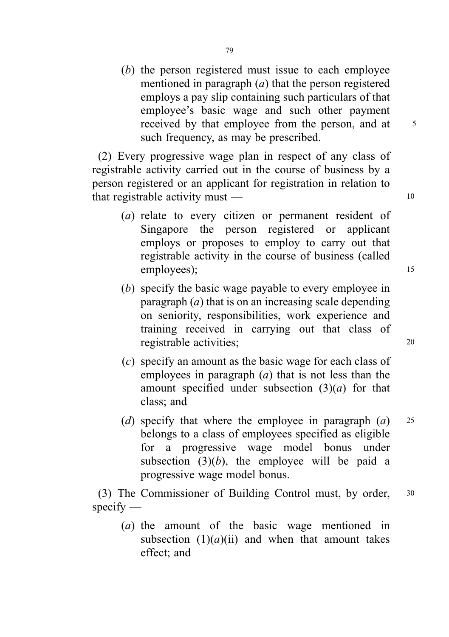(b) the person registered must issue to each employee mentioned in paragraph  $(a)$  that the person registered employs a pay slip containing such particulars of that employee's basic wage and such other payment received by that employee from the person, and at 5 such frequency, as may be prescribed.

(2) Every progressive wage plan in respect of any class of registrable activity carried out in the course of business by a person registered or an applicant for registration in relation to that registrable activity must  $-$  10

- (a) relate to every citizen or permanent resident of Singapore the person registered or applicant employs or proposes to employ to carry out that registrable activity in the course of business (called employees); 15
- (b) specify the basic wage payable to every employee in paragraph  $(a)$  that is on an increasing scale depending on seniority, responsibilities, work experience and training received in carrying out that class of registrable activities; 20
- (c) specify an amount as the basic wage for each class of employees in paragraph  $(a)$  that is not less than the amount specified under subsection  $(3)(a)$  for that class; and
- (d) specify that where the employee in paragraph  $(a)$  25 belongs to a class of employees specified as eligible for a progressive wage model bonus under subsection  $(3)(b)$ , the employee will be paid a progressive wage model bonus.

(3) The Commissioner of Building Control must, by order, <sup>30</sup> specify —

(a) the amount of the basic wage mentioned in subsection  $(1)(a)(ii)$  and when that amount takes effect; and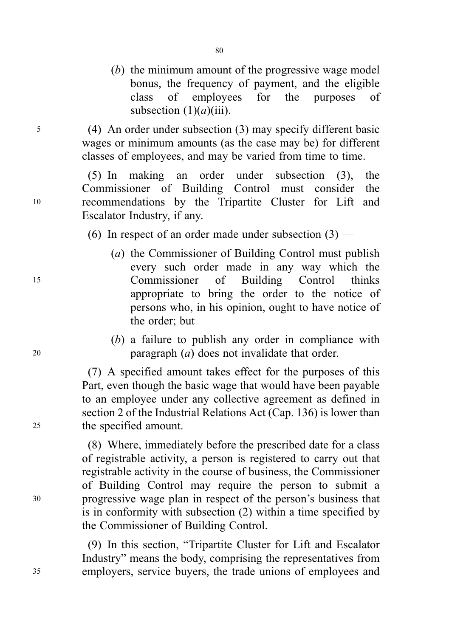(b) the minimum amount of the progressive wage model bonus, the frequency of payment, and the eligible class of employees for the purposes of subsection  $(1)(a)(iii)$ .

<sup>5</sup> (4) An order under subsection (3) may specify different basic wages or minimum amounts (as the case may be) for different classes of employees, and may be varied from time to time.

(5) In making an order under subsection (3), the Commissioner of Building Control must consider the <sup>10</sup> recommendations by the Tripartite Cluster for Lift and Escalator Industry, if any.

(6) In respect of an order made under subsection  $(3)$  —

- (a) the Commissioner of Building Control must publish every such order made in any way which the <sup>15</sup> Commissioner of Building Control thinks appropriate to bring the order to the notice of persons who, in his opinion, ought to have notice of the order; but
- (b) a failure to publish any order in compliance with <sup>20</sup> paragraph (a) does not invalidate that order.

(7) A specified amount takes effect for the purposes of this Part, even though the basic wage that would have been payable to an employee under any collective agreement as defined in section 2 of the Industrial Relations Act (Cap. 136) is lower than <sup>25</sup> the specified amount.

(8) Where, immediately before the prescribed date for a class of registrable activity, a person is registered to carry out that registrable activity in the course of business, the Commissioner of Building Control may require the person to submit a <sup>30</sup> progressive wage plan in respect of the person's business that is in conformity with subsection (2) within a time specified by the Commissioner of Building Control.

(9) In this section, "Tripartite Cluster for Lift and Escalator Industry" means the body, comprising the representatives from <sup>35</sup> employers, service buyers, the trade unions of employees and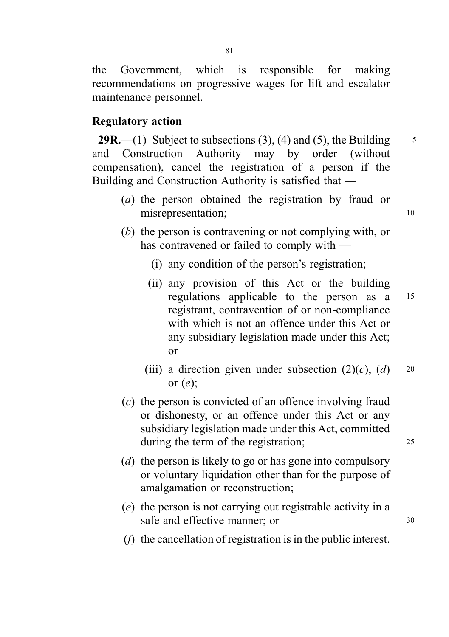the Government, which is responsible for making recommendations on progressive wages for lift and escalator maintenance personnel.

### Regulatory action

**29R.**—(1) Subject to subsections (3), (4) and (5), the Building  $\frac{5}{5}$ and Construction Authority may by order (without compensation), cancel the registration of a person if the Building and Construction Authority is satisfied that —

- (a) the person obtained the registration by fraud or misrepresentation; 10
- (b) the person is contravening or not complying with, or has contravened or failed to comply with —
	- (i) any condition of the person's registration;
	- (ii) any provision of this Act or the building regulations applicable to the person as a <sup>15</sup> registrant, contravention of or non-compliance with which is not an offence under this Act or any subsidiary legislation made under this Act; or
	- (iii) a direction given under subsection  $(2)(c)$ ,  $(d)$  20 or  $(e)$ ;
- (c) the person is convicted of an offence involving fraud or dishonesty, or an offence under this Act or any subsidiary legislation made under this Act, committed during the term of the registration; 25
- (d) the person is likely to go or has gone into compulsory or voluntary liquidation other than for the purpose of amalgamation or reconstruction;
- (e) the person is not carrying out registrable activity in a safe and effective manner; or  $30$

(f) the cancellation of registration is in the public interest.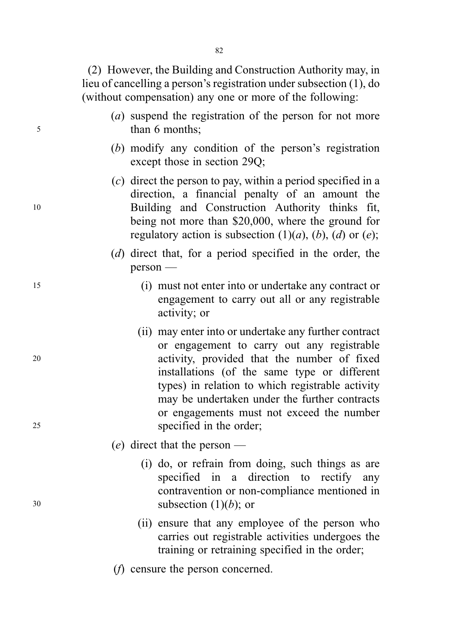(2) However, the Building and Construction Authority may, in lieu of cancelling a person's registration under subsection (1), do (without compensation) any one or more of the following:

- (a) suspend the registration of the person for not more <sup>5</sup> than 6 months;
	- (b) modify any condition of the person's registration except those in section 29Q;
- (c) direct the person to pay, within a period specified in a direction, a financial penalty of an amount the <sup>10</sup> Building and Construction Authority thinks fit, being not more than \$20,000, where the ground for regulatory action is subsection  $(1)(a)$ ,  $(b)$ ,  $(d)$  or  $(e)$ ;
	- (d) direct that, for a period specified in the order, the person —
- <sup>15</sup> (i) must not enter into or undertake any contract or engagement to carry out all or any registrable activity; or
- (ii) may enter into or undertake any further contract or engagement to carry out any registrable <sup>20</sup> activity, provided that the number of fixed installations (of the same type or different types) in relation to which registrable activity may be undertaken under the further contracts or engagements must not exceed the number <sup>25</sup> specified in the order;
	- (e) direct that the person —
- (i) do, or refrain from doing, such things as are specified in a direction to rectify any contravention or non-compliance mentioned in  $30$  subsection  $(1)(b)$ ; or
	- (ii) ensure that any employee of the person who carries out registrable activities undergoes the training or retraining specified in the order;
	- (f) censure the person concerned.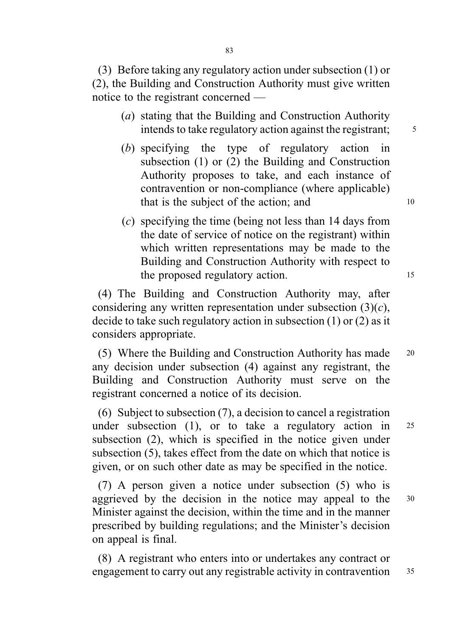(3) Before taking any regulatory action under subsection (1) or (2), the Building and Construction Authority must give written notice to the registrant concerned —

- (a) stating that the Building and Construction Authority intends to take regulatory action against the registrant;  $\frac{5}{5}$
- (b) specifying the type of regulatory action in subsection (1) or (2) the Building and Construction Authority proposes to take, and each instance of contravention or non-compliance (where applicable) that is the subject of the action; and 10
- (c) specifying the time (being not less than 14 days from the date of service of notice on the registrant) within which written representations may be made to the Building and Construction Authority with respect to the proposed regulatory action. 15

(4) The Building and Construction Authority may, after considering any written representation under subsection  $(3)(c)$ , decide to take such regulatory action in subsection (1) or (2) as it considers appropriate.

(5) Where the Building and Construction Authority has made <sup>20</sup> any decision under subsection (4) against any registrant, the Building and Construction Authority must serve on the registrant concerned a notice of its decision.

(6) Subject to subsection (7), a decision to cancel a registration under subsection (1), or to take a regulatory action in  $25$ subsection (2), which is specified in the notice given under subsection (5), takes effect from the date on which that notice is given, or on such other date as may be specified in the notice.

(7) A person given a notice under subsection (5) who is aggrieved by the decision in the notice may appeal to the <sup>30</sup> Minister against the decision, within the time and in the manner prescribed by building regulations; and the Minister's decision on appeal is final.

(8) A registrant who enters into or undertakes any contract or engagement to carry out any registrable activity in contravention 35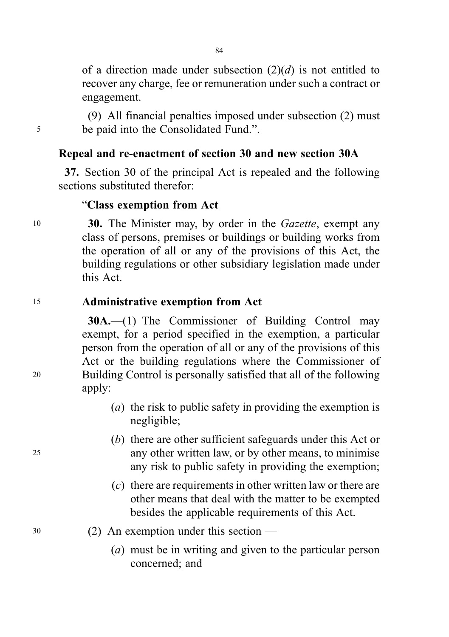of a direction made under subsection  $(2)(d)$  is not entitled to recover any charge, fee or remuneration under such a contract or engagement.

(9) All financial penalties imposed under subsection (2) must <sup>5</sup> be paid into the Consolidated Fund.".

## Repeal and re-enactment of section 30 and new section 30A

37. Section 30 of the principal Act is repealed and the following sections substituted therefor:

#### "Class exemption from Act

10 30. The Minister may, by order in the *Gazette*, exempt any class of persons, premises or buildings or building works from the operation of all or any of the provisions of this Act, the building regulations or other subsidiary legislation made under this Act.

#### <sup>15</sup> Administrative exemption from Act

30A.—(1) The Commissioner of Building Control may exempt, for a period specified in the exemption, a particular person from the operation of all or any of the provisions of this Act or the building regulations where the Commissioner of <sup>20</sup> Building Control is personally satisfied that all of the following apply:

- (a) the risk to public safety in providing the exemption is negligible;
- (b) there are other sufficient safeguards under this Act or <sup>25</sup> any other written law, or by other means, to minimise any risk to public safety in providing the exemption;
	- (c) there are requirements in other written law or there are other means that deal with the matter to be exempted besides the applicable requirements of this Act.
- <sup>30</sup> (2) An exemption under this section
	- (a) must be in writing and given to the particular person concerned; and

84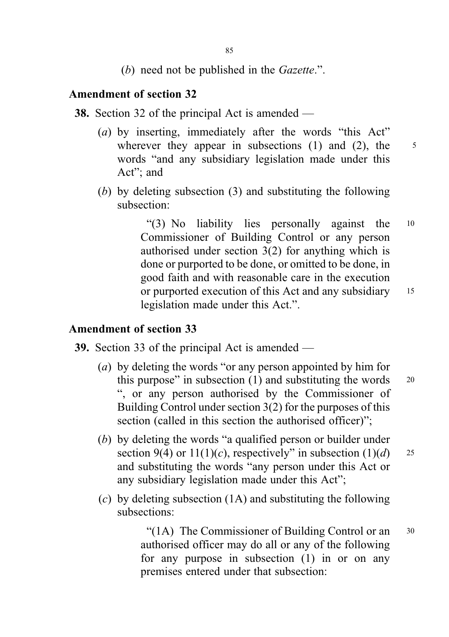(b) need not be published in the *Gazette*.".

## Amendment of section 32

- 38. Section 32 of the principal Act is amended
	- (a) by inserting, immediately after the words "this Act" wherever they appear in subsections  $(1)$  and  $(2)$ , the  $5$ words "and any subsidiary legislation made under this Act"; and
	- (b) by deleting subsection (3) and substituting the following subsection:

"(3) No liability lies personally against the <sup>10</sup> Commissioner of Building Control or any person authorised under section 3(2) for anything which is done or purported to be done, or omitted to be done, in good faith and with reasonable care in the execution or purported execution of this Act and any subsidiary 15 legislation made under this Act.".

#### Amendment of section 33

39. Section 33 of the principal Act is amended —

- (a) by deleting the words "or any person appointed by him for this purpose" in subsection  $(1)$  and substituting the words  $20$ ", or any person authorised by the Commissioner of Building Control under section 3(2) for the purposes of this section (called in this section the authorised officer)";
- (b) by deleting the words "a qualified person or builder under section 9(4) or  $11(1)(c)$ , respectively" in subsection  $(1)(d)$  25 and substituting the words "any person under this Act or any subsidiary legislation made under this Act";
- (c) by deleting subsection  $(1A)$  and substituting the following subsections:

" $(1A)$  The Commissioner of Building Control or an  $30$ authorised officer may do all or any of the following for any purpose in subsection (1) in or on any premises entered under that subsection: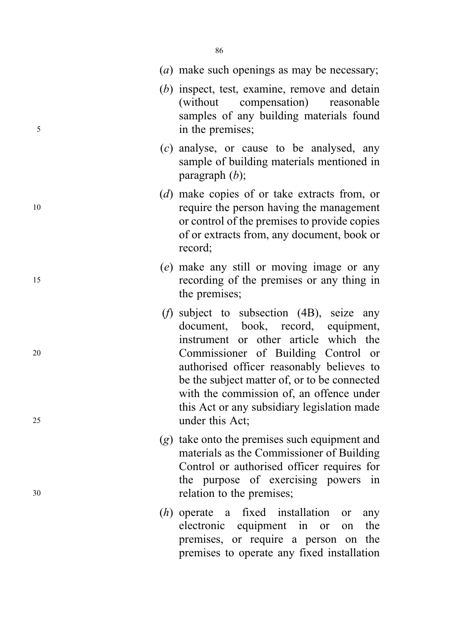|          | ( <i>a</i> ) make such openings as may be necessary;                                                                                                                                                                                                                                                                                                                                   |
|----------|----------------------------------------------------------------------------------------------------------------------------------------------------------------------------------------------------------------------------------------------------------------------------------------------------------------------------------------------------------------------------------------|
| 5        | (b) inspect, test, examine, remove and detain<br>(without compensation)<br>reasonable<br>samples of any building materials found<br>in the premises;                                                                                                                                                                                                                                   |
|          | $(c)$ analyse, or cause to be analysed, any<br>sample of building materials mentioned in<br>paragraph $(b)$ ;                                                                                                                                                                                                                                                                          |
| 10       | (d) make copies of or take extracts from, or<br>require the person having the management<br>or control of the premises to provide copies<br>of or extracts from, any document, book or<br>record;                                                                                                                                                                                      |
| 15       | (e) make any still or moving image or any<br>recording of the premises or any thing in<br>the premises;                                                                                                                                                                                                                                                                                |
| 20<br>25 | ( <i>f</i> ) subject to subsection $(4B)$ , seize any<br>document, book, record, equipment,<br>instrument or other article which the<br>Commissioner of Building Control or<br>authorised officer reasonably believes to<br>be the subject matter of, or to be connected<br>with the commission of, an offence under<br>this Act or any subsidiary legislation made<br>under this Act; |
| 30       | $(g)$ take onto the premises such equipment and<br>materials as the Commissioner of Building<br>Control or authorised officer requires for<br>the purpose of exercising powers in<br>relation to the premises;                                                                                                                                                                         |
|          | $(h)$ operate a fixed installation<br>or<br>any<br>electronic equipment in<br>the<br><b>or</b><br>on<br>premises, or require a person on the<br>premises to operate any fixed installation                                                                                                                                                                                             |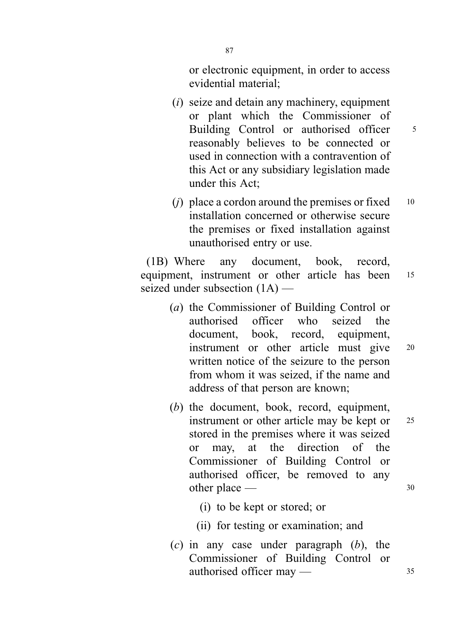or electronic equipment, in order to access evidential material;

- (i) seize and detain any machinery, equipment or plant which the Commissioner of Building Control or authorised officer 5 reasonably believes to be connected or used in connection with a contravention of this Act or any subsidiary legislation made under this Act;
- (*j*) place a cordon around the premises or fixed  $10$ installation concerned or otherwise secure the premises or fixed installation against unauthorised entry or use.

(1B) Where any document, book, record, equipment, instrument or other article has been 15 seized under subsection (1A) —

- (a) the Commissioner of Building Control or authorised officer who seized the document, book, record, equipment, instrument or other article must give <sup>20</sup> written notice of the seizure to the person from whom it was seized, if the name and address of that person are known;
- (b) the document, book, record, equipment, instrument or other article may be kept or 25 stored in the premises where it was seized or may, at the direction of the Commissioner of Building Control or authorised officer, be removed to any other place — 30
	- (i) to be kept or stored; or
	- (ii) for testing or examination; and
- $(c)$  in any case under paragraph  $(b)$ , the Commissioner of Building Control or authorised officer may — 35

87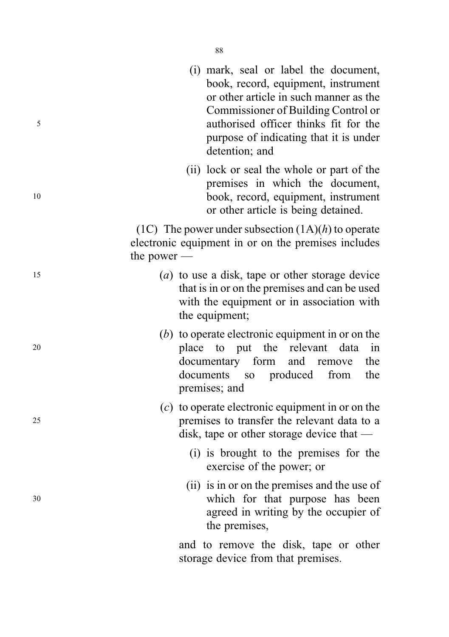- (i) mark, seal or label the document, book, record, equipment, instrument or other article in such manner as the Commissioner of Building Control or <sup>5</sup> authorised officer thinks fit for the purpose of indicating that it is under detention; and
- (ii) lock or seal the whole or part of the premises in which the document, <sup>10</sup> book, record, equipment, instrument or other article is being detained.

(1C) The power under subsection  $(1A)(h)$  to operate electronic equipment in or on the premises includes the power —

- <sup>15</sup> (a) to use a disk, tape or other storage device that is in or on the premises and can be used with the equipment or in association with the equipment;
- (b) to operate electronic equipment in or on the <sup>20</sup> place to put the relevant data in documentary form and remove the documents so produced from the premises; and
- (c) to operate electronic equipment in or on the <sup>25</sup> premises to transfer the relevant data to a disk, tape or other storage device that —
	- (i) is brought to the premises for the exercise of the power; or
- (ii) is in or on the premises and the use of <sup>30</sup> which for that purpose has been agreed in writing by the occupier of the premises,

and to remove the disk, tape or other storage device from that premises.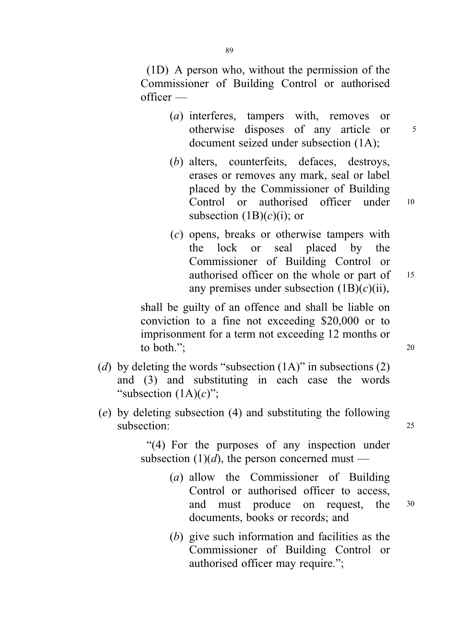(1D) A person who, without the permission of the Commissioner of Building Control or authorised officer —

- (a) interferes, tampers with, removes or otherwise disposes of any article or <sup>5</sup> document seized under subsection (1A);
- (b) alters, counterfeits, defaces, destroys, erases or removes any mark, seal or label placed by the Commissioner of Building Control or authorised officer under <sup>10</sup> subsection  $(1B)(c)(i)$ ; or
- (c) opens, breaks or otherwise tampers with the lock or seal placed by the Commissioner of Building Control or authorised officer on the whole or part of 15 any premises under subsection  $(1B)(c)(ii)$ ,

shall be guilty of an offence and shall be liable on conviction to a fine not exceeding \$20,000 or to imprisonment for a term not exceeding 12 months or to both."; 20

- (d) by deleting the words "subsection  $(1A)$ " in subsections  $(2)$ and (3) and substituting in each case the words "subsection  $(1A)(c)$ ";
- (e) by deleting subsection (4) and substituting the following subsection: 25

"(4) For the purposes of any inspection under subsection  $(1)(d)$ , the person concerned must —

- (a) allow the Commissioner of Building Control or authorised officer to access, and must produce on request, the <sup>30</sup> documents, books or records; and
- (b) give such information and facilities as the Commissioner of Building Control or authorised officer may require.";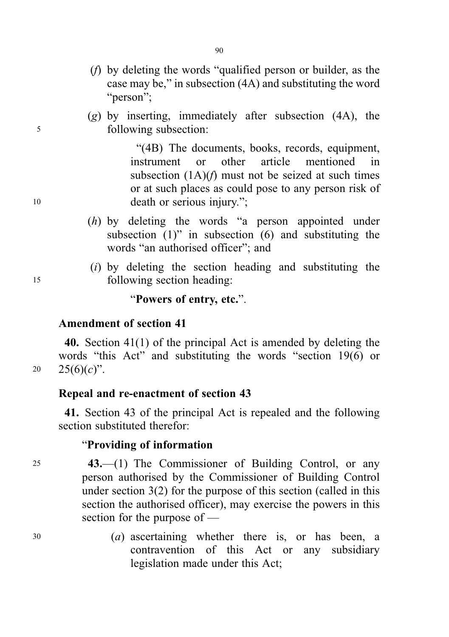- (f) by deleting the words "qualified person or builder, as the case may be," in subsection (4A) and substituting the word "person";
- $(g)$  by inserting, immediately after subsection  $(4A)$ , the <sup>5</sup> following subsection:

"(4B) The documents, books, records, equipment, instrument or other article mentioned in subsection  $(1A)(f)$  must not be seized at such times or at such places as could pose to any person risk of 10 death or serious injury.";

- (h) by deleting the words "a person appointed under subsection  $(1)$ " in subsection  $(6)$  and substituting the words "an authorised officer"; and
- (i) by deleting the section heading and substituting the <sup>15</sup> following section heading:

"Powers of entry, etc.".

#### Amendment of section 41

40. Section 41(1) of the principal Act is amended by deleting the words "this Act" and substituting the words "section 19(6) or 20  $25(6)(c)$ ".

## Repeal and re-enactment of section 43

41. Section 43 of the principal Act is repealed and the following section substituted therefor:

#### "Providing of information

- <sup>25</sup> 43.—(1) The Commissioner of Building Control, or any person authorised by the Commissioner of Building Control under section 3(2) for the purpose of this section (called in this section the authorised officer), may exercise the powers in this section for the purpose of —
- <sup>30</sup> (a) ascertaining whether there is, or has been, a contravention of this Act or any subsidiary legislation made under this Act;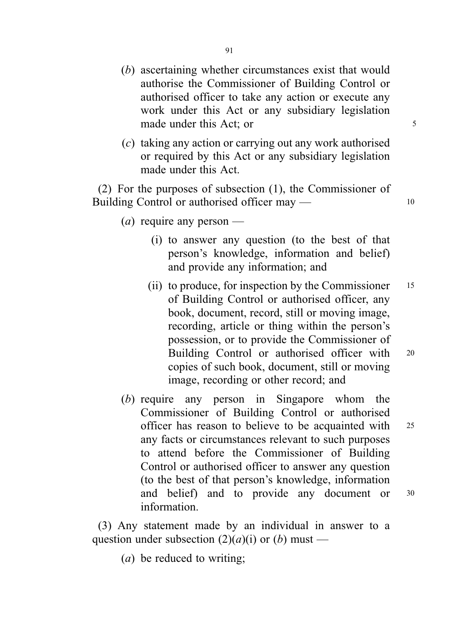- (b) ascertaining whether circumstances exist that would authorise the Commissioner of Building Control or authorised officer to take any action or execute any work under this Act or any subsidiary legislation made under this Act; or 5
- (c) taking any action or carrying out any work authorised or required by this Act or any subsidiary legislation made under this Act.

(2) For the purposes of subsection (1), the Commissioner of Building Control or authorised officer may — 10

- (*a*) require any person
	- (i) to answer any question (to the best of that person's knowledge, information and belief) and provide any information; and
	- (ii) to produce, for inspection by the Commissioner  $15$ of Building Control or authorised officer, any book, document, record, still or moving image, recording, article or thing within the person's possession, or to provide the Commissioner of Building Control or authorised officer with <sup>20</sup> copies of such book, document, still or moving image, recording or other record; and
- (b) require any person in Singapore whom the Commissioner of Building Control or authorised officer has reason to believe to be acquainted with <sup>25</sup> any facts or circumstances relevant to such purposes to attend before the Commissioner of Building Control or authorised officer to answer any question (to the best of that person's knowledge, information and belief) and to provide any document or <sup>30</sup> information.

(3) Any statement made by an individual in answer to a question under subsection  $(2)(a)(i)$  or  $(b)$  must —

(a) be reduced to writing;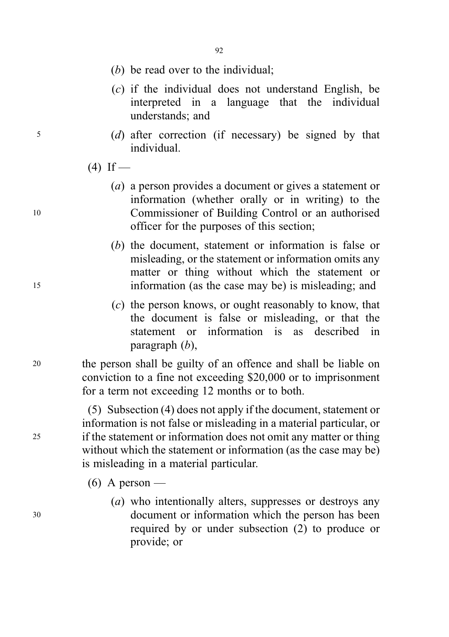92

- (b) be read over to the individual;
- (c) if the individual does not understand English, be interpreted in a language that the individual understands; and
- <sup>5</sup> (d) after correction (if necessary) be signed by that individual.

 $(4)$  If —

- (a) a person provides a document or gives a statement or information (whether orally or in writing) to the <sup>10</sup> Commissioner of Building Control or an authorised officer for the purposes of this section;
- (b) the document, statement or information is false or misleading, or the statement or information omits any matter or thing without which the statement or <sup>15</sup> information (as the case may be) is misleading; and
	- (c) the person knows, or ought reasonably to know, that the document is false or misleading, or that the statement or information is as described in paragraph (b),

<sup>20</sup> the person shall be guilty of an offence and shall be liable on conviction to a fine not exceeding \$20,000 or to imprisonment for a term not exceeding 12 months or to both.

(5) Subsection (4) does not apply if the document, statement or information is not false or misleading in a material particular, or <sup>25</sup> if the statement or information does not omit any matter or thing without which the statement or information (as the case may be) is misleading in a material particular.

- $(6)$  A person —
- (a) who intentionally alters, suppresses or destroys any <sup>30</sup> document or information which the person has been required by or under subsection (2) to produce or provide; or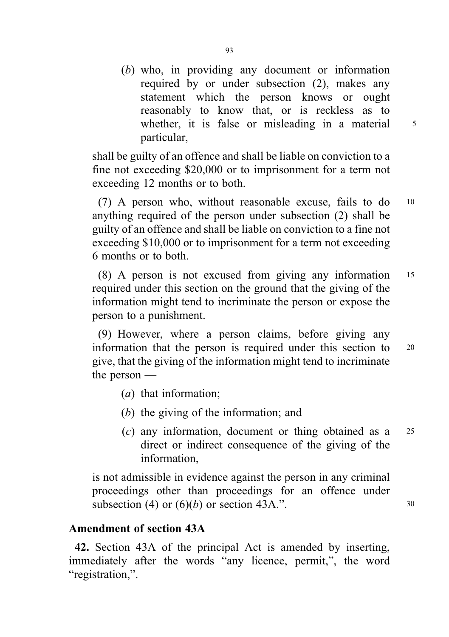(b) who, in providing any document or information required by or under subsection (2), makes any statement which the person knows or ought reasonably to know that, or is reckless as to whether, it is false or misleading in a material 5 particular,

shall be guilty of an offence and shall be liable on conviction to a fine not exceeding \$20,000 or to imprisonment for a term not exceeding 12 months or to both.

(7) A person who, without reasonable excuse, fails to do <sup>10</sup> anything required of the person under subsection (2) shall be guilty of an offence and shall be liable on conviction to a fine not exceeding \$10,000 or to imprisonment for a term not exceeding 6 months or to both.

(8) A person is not excused from giving any information <sup>15</sup> required under this section on the ground that the giving of the information might tend to incriminate the person or expose the person to a punishment.

(9) However, where a person claims, before giving any information that the person is required under this section to <sup>20</sup> give, that the giving of the information might tend to incriminate the person —

- (a) that information;
- (b) the giving of the information; and
- (c) any information, document or thing obtained as a <sup>25</sup> direct or indirect consequence of the giving of the information,

is not admissible in evidence against the person in any criminal proceedings other than proceedings for an offence under subsection (4) or  $(6)(b)$  or section 43A.". 30

### Amendment of section 43A

42. Section 43A of the principal Act is amended by inserting, immediately after the words "any licence, permit,", the word "registration,".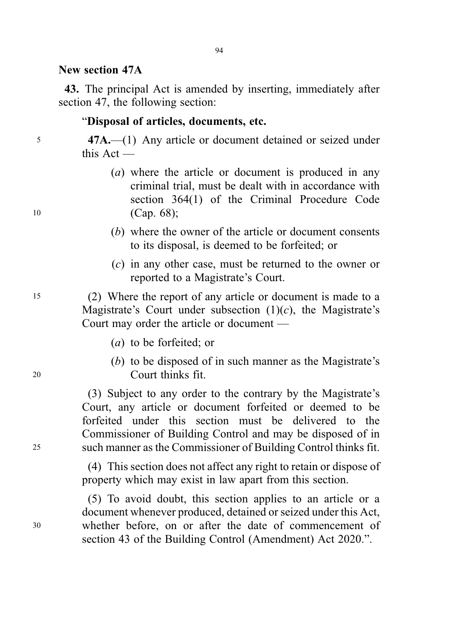#### New section 47A

43. The principal Act is amended by inserting, immediately after section 47, the following section:

#### "Disposal of articles, documents, etc.

<sup>5</sup> 47A.—(1) Any article or document detained or seized under this Act —

- (a) where the article or document is produced in any criminal trial, must be dealt with in accordance with section 364(1) of the Criminal Procedure Code 10 (Cap. 68);
	- (b) where the owner of the article or document consents to its disposal, is deemed to be forfeited; or
	- (c) in any other case, must be returned to the owner or reported to a Magistrate's Court.

<sup>15</sup> (2) Where the report of any article or document is made to a Magistrate's Court under subsection  $(1)(c)$ , the Magistrate's Court may order the article or document —

- (a) to be forfeited; or
- (b) to be disposed of in such manner as the Magistrate's <sup>20</sup> Court thinks fit.

(3) Subject to any order to the contrary by the Magistrate's Court, any article or document forfeited or deemed to be forfeited under this section must be delivered to the Commissioner of Building Control and may be disposed of in <sup>25</sup> such manner as the Commissioner of Building Control thinks fit.

> (4) This section does not affect any right to retain or dispose of property which may exist in law apart from this section.

(5) To avoid doubt, this section applies to an article or a document whenever produced, detained or seized under this Act, <sup>30</sup> whether before, on or after the date of commencement of section 43 of the Building Control (Amendment) Act 2020.".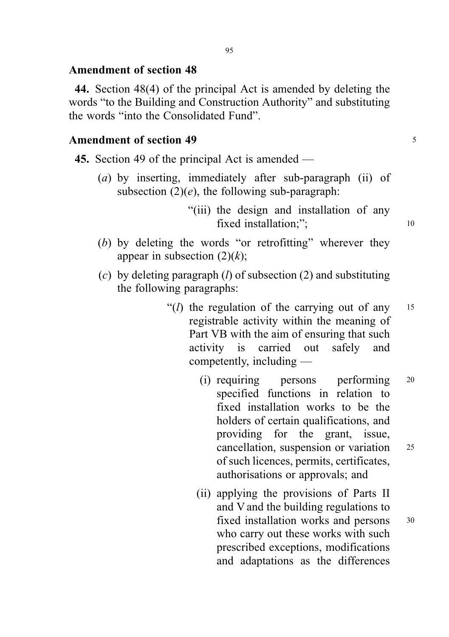### Amendment of section 48

44. Section 48(4) of the principal Act is amended by deleting the words "to the Building and Construction Authority" and substituting the words "into the Consolidated Fund".

### Amendment of section 49 <sup>5</sup>

- 45. Section 49 of the principal Act is amended
	- (a) by inserting, immediately after sub-paragraph (ii) of subsection  $(2)(e)$ , the following sub-paragraph:
		- "(iii) the design and installation of any fixed installation:": 10
	- (b) by deleting the words "or retrofitting" wherever they appear in subsection  $(2)(k)$ ;
	- (c) by deleting paragraph  $(l)$  of subsection  $(2)$  and substituting the following paragraphs:
		- "( $l$ ) the regulation of the carrying out of any  $15$ registrable activity within the meaning of Part VB with the aim of ensuring that such activity is carried out safely and competently, including —
			- (i) requiring persons performing <sup>20</sup> specified functions in relation to fixed installation works to be the holders of certain qualifications, and providing for the grant, issue, cancellation, suspension or variation <sup>25</sup> of such licences, permits, certificates, authorisations or approvals; and
			- (ii) applying the provisions of Parts II and V and the building regulations to fixed installation works and persons 30 who carry out these works with such prescribed exceptions, modifications and adaptations as the differences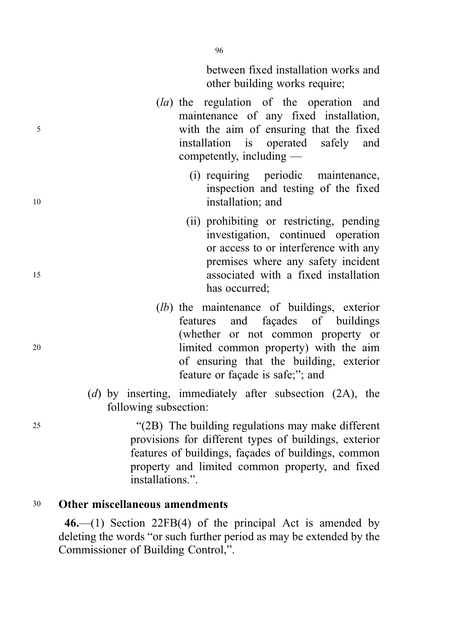between fixed installation works and other building works require;

- (la) the regulation of the operation and maintenance of any fixed installation, <sup>5</sup> with the aim of ensuring that the fixed installation is operated safely and competently, including —
- (i) requiring periodic maintenance, inspection and testing of the fixed 10 installation; and
- (ii) prohibiting or restricting, pending investigation, continued operation or access to or interference with any premises where any safety incident <sup>15</sup> associated with a fixed installation has occurred;
- (lb) the maintenance of buildings, exterior features and façades of buildings (whether or not common property or <sup>20</sup> limited common property) with the aim of ensuring that the building, exterior feature or façade is safe;"; and
	- (d) by inserting, immediately after subsection (2A), the following subsection:

<sup>25</sup> "(2B) The building regulations may make different provisions for different types of buildings, exterior features of buildings, façades of buildings, common property and limited common property, and fixed installations"

### <sup>30</sup> Other miscellaneous amendments

46.—(1) Section 22FB(4) of the principal Act is amended by deleting the words "or such further period as may be extended by the Commissioner of Building Control,".

96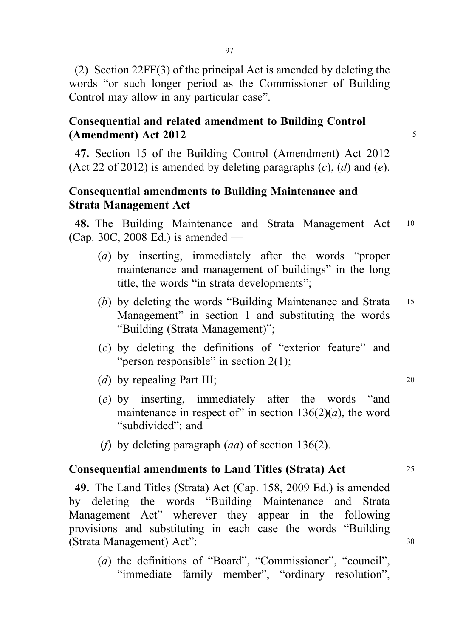(2) Section 22FF(3) of the principal Act is amended by deleting the words "or such longer period as the Commissioner of Building Control may allow in any particular case".

## Consequential and related amendment to Building Control  $(Amendment)$  Act 2012  $\qquad \qquad$  5

47. Section 15 of the Building Control (Amendment) Act 2012 (Act 22 of 2012) is amended by deleting paragraphs  $(c)$ ,  $(d)$  and  $(e)$ .

# Consequential amendments to Building Maintenance and Strata Management Act

48. The Building Maintenance and Strata Management Act <sup>10</sup> (Cap. 30C, 2008 Ed.) is amended —

- (a) by inserting, immediately after the words "proper maintenance and management of buildings" in the long title, the words "in strata developments";
- (b) by deleting the words "Building Maintenance and Strata 15 Management" in section 1 and substituting the words "Building (Strata Management)";
- (c) by deleting the definitions of "exterior feature" and "person responsible" in section 2(1);
- (d) by repealing Part III; 20
- (e) by inserting, immediately after the words "and maintenance in respect of" in section  $136(2)(a)$ , the word "subdivided": and
- (*f*) by deleting paragraph  $(aa)$  of section 136(2).

## Consequential amendments to Land Titles (Strata) Act <sup>25</sup>

49. The Land Titles (Strata) Act (Cap. 158, 2009 Ed.) is amended by deleting the words "Building Maintenance and Strata Management Act" wherever they appear in the following provisions and substituting in each case the words "Building (Strata Management) Act": <sup>30</sup>

(a) the definitions of "Board", "Commissioner", "council", "immediate family member", "ordinary resolution",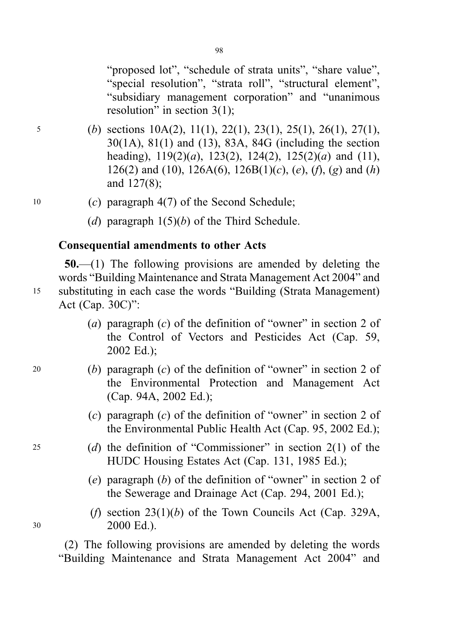"proposed lot", "schedule of strata units", "share value", "special resolution", "strata roll", "structural element", "subsidiary management corporation" and "unanimous resolution" in section 3(1);

- <sup>5</sup> (b) sections 10A(2), 11(1), 22(1), 23(1), 25(1), 26(1), 27(1), 30(1A), 81(1) and (13), 83A, 84G (including the section heading),  $119(2)(a)$ ,  $123(2)$ ,  $124(2)$ ,  $125(2)(a)$  and  $(11)$ , 126(2) and (10), 126A(6), 126B(1)(c), (e), (f), (g) and (h) and 127(8);
- 10 (c) paragraph  $4(7)$  of the Second Schedule;
	- (d) paragraph  $1(5)(b)$  of the Third Schedule.

#### Consequential amendments to other Acts

50.—(1) The following provisions are amended by deleting the words "Building Maintenance and Strata Management Act 2004" and <sup>15</sup> substituting in each case the words "Building (Strata Management) Act (Cap. 30C)":

- (a) paragraph  $(c)$  of the definition of "owner" in section 2 of the Control of Vectors and Pesticides Act (Cap. 59, 2002 Ed.);
- 20 (b) paragraph  $(c)$  of the definition of "owner" in section 2 of the Environmental Protection and Management Act (Cap. 94A, 2002 Ed.);
	- (c) paragraph (c) of the definition of "owner" in section 2 of the Environmental Public Health Act (Cap. 95, 2002 Ed.);
- <sup>25</sup> (d) the definition of "Commissioner" in section 2(1) of the HUDC Housing Estates Act (Cap. 131, 1985 Ed.);
	- (e) paragraph (b) of the definition of "owner" in section 2 of the Sewerage and Drainage Act (Cap. 294, 2001 Ed.);
- (f) section  $23(1)(b)$  of the Town Councils Act (Cap. 329A, <sup>30</sup> 2000 Ed.).

(2) The following provisions are amended by deleting the words "Building Maintenance and Strata Management Act 2004" and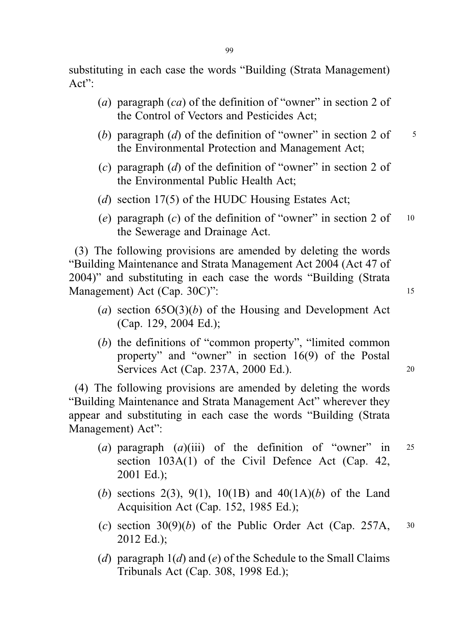substituting in each case the words "Building (Strata Management)  $Act"$ :

- (a) paragraph  $(ca)$  of the definition of "owner" in section 2 of the Control of Vectors and Pesticides Act;
- (b) paragraph (d) of the definition of "owner" in section 2 of  $\frac{5}{5}$ the Environmental Protection and Management Act;
- (c) paragraph (d) of the definition of "owner" in section 2 of the Environmental Public Health Act;
- (d) section 17(5) of the HUDC Housing Estates Act;
- (e) paragraph (c) of the definition of "owner" in section 2 of  $10$ the Sewerage and Drainage Act.

(3) The following provisions are amended by deleting the words "Building Maintenance and Strata Management Act 2004 (Act 47 of 2004)" and substituting in each case the words "Building (Strata Management) Act (Cap. 30C)": 15

- (a) section  $65O(3)(b)$  of the Housing and Development Act (Cap. 129, 2004 Ed.);
- (b) the definitions of "common property", "limited common property" and "owner" in section 16(9) of the Postal Services Act (Cap. 237A, 2000 Ed.). 20

(4) The following provisions are amended by deleting the words "Building Maintenance and Strata Management Act" wherever they appear and substituting in each case the words "Building (Strata Management) Act":

- (a) paragraph  $(a)$ (iii) of the definition of "owner" in 25 section 103A(1) of the Civil Defence Act (Cap. 42, 2001 Ed.);
- (b) sections 2(3), 9(1), 10(1B) and  $40(1A)(b)$  of the Land Acquisition Act (Cap. 152, 1985 Ed.);
- (c) section  $30(9)(b)$  of the Public Order Act (Cap. 257A,  $30$ 2012 Ed.);
- (d) paragraph  $1(d)$  and (e) of the Schedule to the Small Claims Tribunals Act (Cap. 308, 1998 Ed.);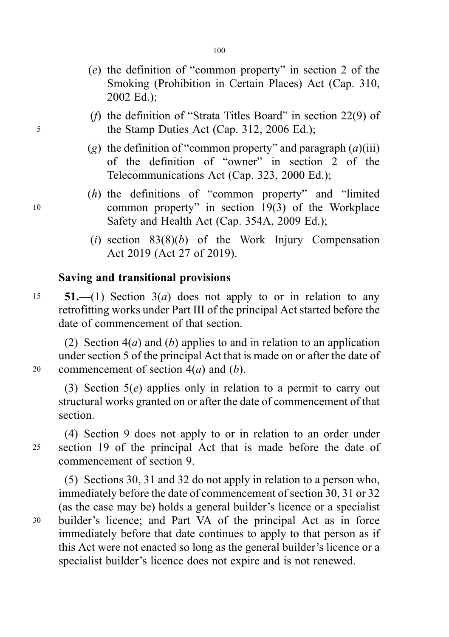- (e) the definition of "common property" in section 2 of the Smoking (Prohibition in Certain Places) Act (Cap. 310,
- (f) the definition of "Strata Titles Board" in section 22(9) of <sup>5</sup> the Stamp Duties Act (Cap. 312, 2006 Ed.);
	- (g) the definition of "common property" and paragraph  $(a)$ (iii) of the definition of "owner" in section 2 of the Telecommunications Act (Cap. 323, 2000 Ed.);
- (h) the definitions of "common property" and "limited <sup>10</sup> common property" in section 19(3) of the Workplace Safety and Health Act (Cap. 354A, 2009 Ed.);
	- (i) section  $83(8)(b)$  of the Work Injury Compensation Act 2019 (Act 27 of 2019).

## Saving and transitional provisions

2002 Ed.);

15 **51.**—(1) Section  $3(a)$  does not apply to or in relation to any retrofitting works under Part III of the principal Act started before the date of commencement of that section.

(2) Section  $4(a)$  and (b) applies to and in relation to an application under section 5 of the principal Act that is made on or after the date of 20 commencement of section  $4(a)$  and  $(b)$ .

(3) Section 5(e) applies only in relation to a permit to carry out structural works granted on or after the date of commencement of that section.

(4) Section 9 does not apply to or in relation to an order under <sup>25</sup> section 19 of the principal Act that is made before the date of commencement of section 9.

(5) Sections 30, 31 and 32 do not apply in relation to a person who, immediately before the date of commencement of section 30, 31 or 32 (as the case may be) holds a general builder's licence or a specialist <sup>30</sup> builder's licence; and Part VA of the principal Act as in force immediately before that date continues to apply to that person as if this Act were not enacted so long as the general builder's licence or a specialist builder's licence does not expire and is not renewed.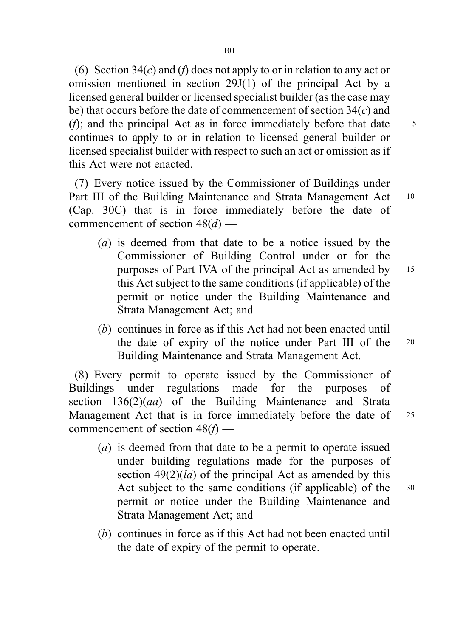(6) Section 34(c) and (f) does not apply to or in relation to any act or omission mentioned in section 29J(1) of the principal Act by a licensed general builder or licensed specialist builder (as the case may be) that occurs before the date of commencement of section  $34(c)$  and (*f*); and the principal Act as in force immediately before that date  $\frac{5}{5}$ continues to apply to or in relation to licensed general builder or licensed specialist builder with respect to such an act or omission as if this Act were not enacted.

(7) Every notice issued by the Commissioner of Buildings under Part III of the Building Maintenance and Strata Management Act 10 (Cap. 30C) that is in force immediately before the date of commencement of section  $48(d)$  —

- (a) is deemed from that date to be a notice issued by the Commissioner of Building Control under or for the purposes of Part IVA of the principal Act as amended by <sup>15</sup> this Act subject to the same conditions (if applicable) of the permit or notice under the Building Maintenance and Strata Management Act; and
- (b) continues in force as if this Act had not been enacted until the date of expiry of the notice under Part III of the <sup>20</sup> Building Maintenance and Strata Management Act.

(8) Every permit to operate issued by the Commissioner of Buildings under regulations made for the purposes of section  $136(2)(aa)$  of the Building Maintenance and Strata Management Act that is in force immediately before the date of 25 commencement of section  $48(f)$  —

- (a) is deemed from that date to be a permit to operate issued under building regulations made for the purposes of section  $49(2)(la)$  of the principal Act as amended by this Act subject to the same conditions (if applicable) of the 30 permit or notice under the Building Maintenance and Strata Management Act; and
- (b) continues in force as if this Act had not been enacted until the date of expiry of the permit to operate.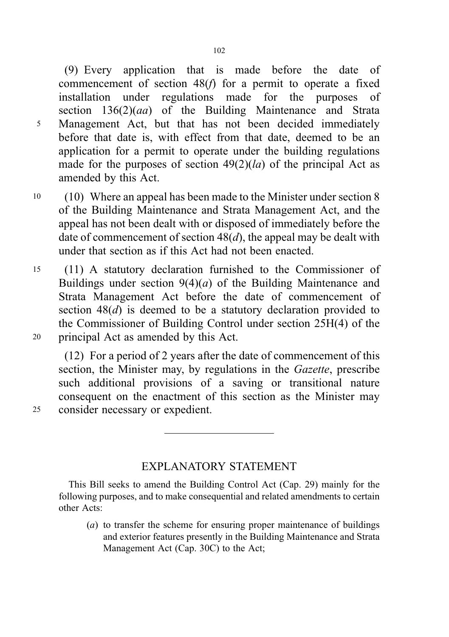(9) Every application that is made before the date of commencement of section  $48(f)$  for a permit to operate a fixed installation under regulations made for the purposes of section  $136(2)(aa)$  of the Building Maintenance and Strata <sup>5</sup> Management Act, but that has not been decided immediately before that date is, with effect from that date, deemed to be an application for a permit to operate under the building regulations made for the purposes of section  $49(2)(la)$  of the principal Act as amended by this Act.

- <sup>10</sup> (10) Where an appeal has been made to the Minister under section 8 of the Building Maintenance and Strata Management Act, and the appeal has not been dealt with or disposed of immediately before the date of commencement of section  $48(d)$ , the appeal may be dealt with under that section as if this Act had not been enacted.
- <sup>15</sup> (11) A statutory declaration furnished to the Commissioner of Buildings under section  $9(4)(a)$  of the Building Maintenance and Strata Management Act before the date of commencement of section  $48(d)$  is deemed to be a statutory declaration provided to the Commissioner of Building Control under section 25H(4) of the <sup>20</sup> principal Act as amended by this Act.

(12) For a period of 2 years after the date of commencement of this section, the Minister may, by regulations in the *Gazette*, prescribe such additional provisions of a saving or transitional nature consequent on the enactment of this section as the Minister may <sup>25</sup> consider necessary or expedient.

EXPLANATORY STATEMENT

This Bill seeks to amend the Building Control Act (Cap. 29) mainly for the following purposes, and to make consequential and related amendments to certain other Acts:

(a) to transfer the scheme for ensuring proper maintenance of buildings and exterior features presently in the Building Maintenance and Strata Management Act (Cap. 30C) to the Act;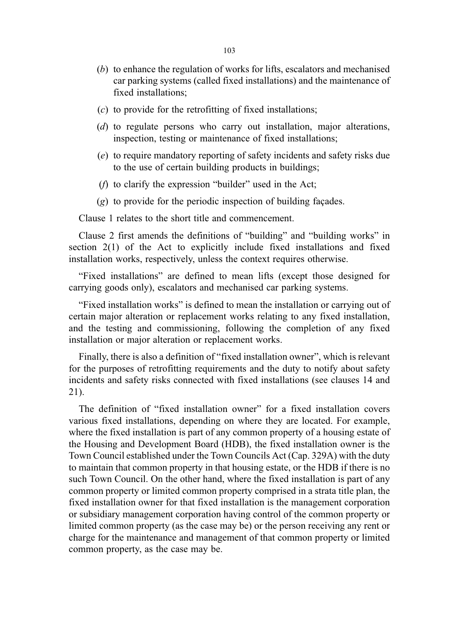- (b) to enhance the regulation of works for lifts, escalators and mechanised car parking systems (called fixed installations) and the maintenance of fixed installations;
- $(c)$  to provide for the retrofitting of fixed installations;
- (d) to regulate persons who carry out installation, major alterations, inspection, testing or maintenance of fixed installations;
- (e) to require mandatory reporting of safety incidents and safety risks due to the use of certain building products in buildings;
- ( $f$ ) to clarify the expression "builder" used in the Act;
- (g) to provide for the periodic inspection of building façades.

Clause 1 relates to the short title and commencement.

Clause 2 first amends the definitions of "building" and "building works" in section 2(1) of the Act to explicitly include fixed installations and fixed installation works, respectively, unless the context requires otherwise.

"Fixed installations" are defined to mean lifts (except those designed for carrying goods only), escalators and mechanised car parking systems.

"Fixed installation works" is defined to mean the installation or carrying out of certain major alteration or replacement works relating to any fixed installation, and the testing and commissioning, following the completion of any fixed installation or major alteration or replacement works.

Finally, there is also a definition of "fixed installation owner", which is relevant for the purposes of retrofitting requirements and the duty to notify about safety incidents and safety risks connected with fixed installations (see clauses 14 and 21).

The definition of "fixed installation owner" for a fixed installation covers various fixed installations, depending on where they are located. For example, where the fixed installation is part of any common property of a housing estate of the Housing and Development Board (HDB), the fixed installation owner is the Town Council established under the Town Councils Act (Cap. 329A) with the duty to maintain that common property in that housing estate, or the HDB if there is no such Town Council. On the other hand, where the fixed installation is part of any common property or limited common property comprised in a strata title plan, the fixed installation owner for that fixed installation is the management corporation or subsidiary management corporation having control of the common property or limited common property (as the case may be) or the person receiving any rent or charge for the maintenance and management of that common property or limited common property, as the case may be.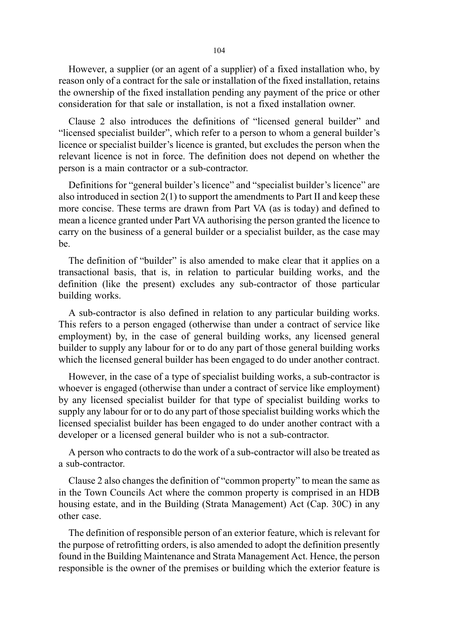However, a supplier (or an agent of a supplier) of a fixed installation who, by reason only of a contract for the sale or installation of the fixed installation, retains the ownership of the fixed installation pending any payment of the price or other consideration for that sale or installation, is not a fixed installation owner.

Clause 2 also introduces the definitions of "licensed general builder" and "licensed specialist builder", which refer to a person to whom a general builder's licence or specialist builder's licence is granted, but excludes the person when the relevant licence is not in force. The definition does not depend on whether the person is a main contractor or a sub-contractor.

Definitions for "general builder's licence" and "specialist builder's licence" are also introduced in section 2(1) to support the amendments to Part II and keep these more concise. These terms are drawn from Part VA (as is today) and defined to mean a licence granted under Part VA authorising the person granted the licence to carry on the business of a general builder or a specialist builder, as the case may be.

The definition of "builder" is also amended to make clear that it applies on a transactional basis, that is, in relation to particular building works, and the definition (like the present) excludes any sub-contractor of those particular building works.

A sub-contractor is also defined in relation to any particular building works. This refers to a person engaged (otherwise than under a contract of service like employment) by, in the case of general building works, any licensed general builder to supply any labour for or to do any part of those general building works which the licensed general builder has been engaged to do under another contract.

However, in the case of a type of specialist building works, a sub-contractor is whoever is engaged (otherwise than under a contract of service like employment) by any licensed specialist builder for that type of specialist building works to supply any labour for or to do any part of those specialist building works which the licensed specialist builder has been engaged to do under another contract with a developer or a licensed general builder who is not a sub-contractor.

A person who contracts to do the work of a sub-contractor will also be treated as a sub-contractor.

Clause 2 also changes the definition of "common property" to mean the same as in the Town Councils Act where the common property is comprised in an HDB housing estate, and in the Building (Strata Management) Act (Cap. 30C) in any other case.

The definition of responsible person of an exterior feature, which is relevant for the purpose of retrofitting orders, is also amended to adopt the definition presently found in the Building Maintenance and Strata Management Act. Hence, the person responsible is the owner of the premises or building which the exterior feature is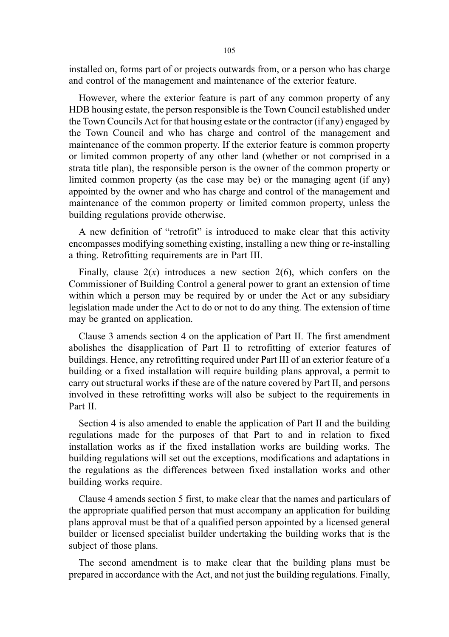installed on, forms part of or projects outwards from, or a person who has charge and control of the management and maintenance of the exterior feature.

However, where the exterior feature is part of any common property of any HDB housing estate, the person responsible is the Town Council established under the Town Councils Act for that housing estate or the contractor (if any) engaged by the Town Council and who has charge and control of the management and maintenance of the common property. If the exterior feature is common property or limited common property of any other land (whether or not comprised in a strata title plan), the responsible person is the owner of the common property or limited common property (as the case may be) or the managing agent (if any) appointed by the owner and who has charge and control of the management and maintenance of the common property or limited common property, unless the building regulations provide otherwise.

A new definition of "retrofit" is introduced to make clear that this activity encompasses modifying something existing, installing a new thing or re-installing a thing. Retrofitting requirements are in Part III.

Finally, clause  $2(x)$  introduces a new section  $2(6)$ , which confers on the Commissioner of Building Control a general power to grant an extension of time within which a person may be required by or under the Act or any subsidiary legislation made under the Act to do or not to do any thing. The extension of time may be granted on application.

Clause 3 amends section 4 on the application of Part II. The first amendment abolishes the disapplication of Part II to retrofitting of exterior features of buildings. Hence, any retrofitting required under Part III of an exterior feature of a building or a fixed installation will require building plans approval, a permit to carry out structural works if these are of the nature covered by Part II, and persons involved in these retrofitting works will also be subject to the requirements in Part II.

Section 4 is also amended to enable the application of Part II and the building regulations made for the purposes of that Part to and in relation to fixed installation works as if the fixed installation works are building works. The building regulations will set out the exceptions, modifications and adaptations in the regulations as the differences between fixed installation works and other building works require.

Clause 4 amends section 5 first, to make clear that the names and particulars of the appropriate qualified person that must accompany an application for building plans approval must be that of a qualified person appointed by a licensed general builder or licensed specialist builder undertaking the building works that is the subject of those plans.

The second amendment is to make clear that the building plans must be prepared in accordance with the Act, and not just the building regulations. Finally,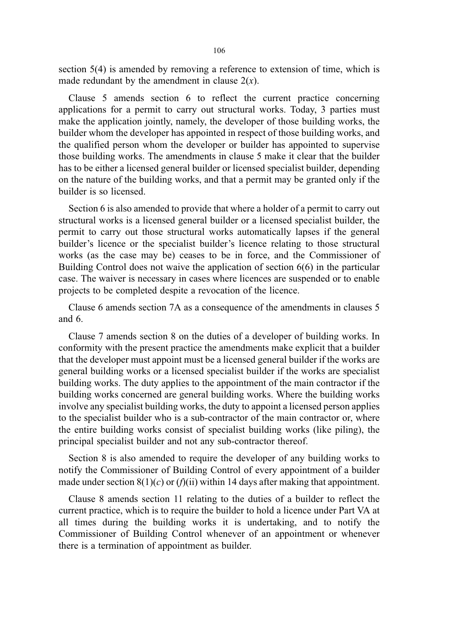section 5(4) is amended by removing a reference to extension of time, which is made redundant by the amendment in clause  $2(x)$ .

Clause 5 amends section 6 to reflect the current practice concerning applications for a permit to carry out structural works. Today, 3 parties must make the application jointly, namely, the developer of those building works, the builder whom the developer has appointed in respect of those building works, and the qualified person whom the developer or builder has appointed to supervise those building works. The amendments in clause 5 make it clear that the builder has to be either a licensed general builder or licensed specialist builder, depending on the nature of the building works, and that a permit may be granted only if the builder is so licensed.

Section 6 is also amended to provide that where a holder of a permit to carry out structural works is a licensed general builder or a licensed specialist builder, the permit to carry out those structural works automatically lapses if the general builder's licence or the specialist builder's licence relating to those structural works (as the case may be) ceases to be in force, and the Commissioner of Building Control does not waive the application of section 6(6) in the particular case. The waiver is necessary in cases where licences are suspended or to enable projects to be completed despite a revocation of the licence.

Clause 6 amends section 7A as a consequence of the amendments in clauses 5 and 6.

Clause 7 amends section 8 on the duties of a developer of building works. In conformity with the present practice the amendments make explicit that a builder that the developer must appoint must be a licensed general builder if the works are general building works or a licensed specialist builder if the works are specialist building works. The duty applies to the appointment of the main contractor if the building works concerned are general building works. Where the building works involve any specialist building works, the duty to appoint a licensed person applies to the specialist builder who is a sub-contractor of the main contractor or, where the entire building works consist of specialist building works (like piling), the principal specialist builder and not any sub-contractor thereof.

Section 8 is also amended to require the developer of any building works to notify the Commissioner of Building Control of every appointment of a builder made under section  $8(1)(c)$  or  $(f)(ii)$  within 14 days after making that appointment.

Clause 8 amends section 11 relating to the duties of a builder to reflect the current practice, which is to require the builder to hold a licence under Part VA at all times during the building works it is undertaking, and to notify the Commissioner of Building Control whenever of an appointment or whenever there is a termination of appointment as builder.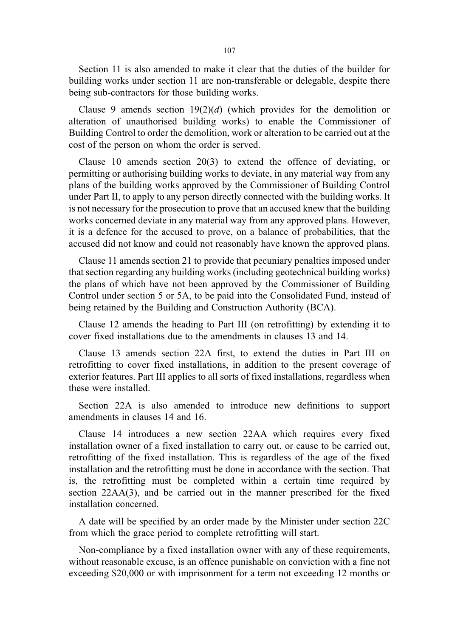Section 11 is also amended to make it clear that the duties of the builder for building works under section 11 are non-transferable or delegable, despite there being sub-contractors for those building works.

Clause 9 amends section  $19(2)(d)$  (which provides for the demolition or alteration of unauthorised building works) to enable the Commissioner of Building Control to order the demolition, work or alteration to be carried out at the cost of the person on whom the order is served.

Clause 10 amends section 20(3) to extend the offence of deviating, or permitting or authorising building works to deviate, in any material way from any plans of the building works approved by the Commissioner of Building Control under Part II, to apply to any person directly connected with the building works. It is not necessary for the prosecution to prove that an accused knew that the building works concerned deviate in any material way from any approved plans. However, it is a defence for the accused to prove, on a balance of probabilities, that the accused did not know and could not reasonably have known the approved plans.

Clause 11 amends section 21 to provide that pecuniary penalties imposed under that section regarding any building works (including geotechnical building works) the plans of which have not been approved by the Commissioner of Building Control under section 5 or 5A, to be paid into the Consolidated Fund, instead of being retained by the Building and Construction Authority (BCA).

Clause 12 amends the heading to Part III (on retrofitting) by extending it to cover fixed installations due to the amendments in clauses 13 and 14.

Clause 13 amends section 22A first, to extend the duties in Part III on retrofitting to cover fixed installations, in addition to the present coverage of exterior features. Part III applies to all sorts of fixed installations, regardless when these were installed.

Section 22A is also amended to introduce new definitions to support amendments in clauses 14 and 16.

Clause 14 introduces a new section 22AA which requires every fixed installation owner of a fixed installation to carry out, or cause to be carried out, retrofitting of the fixed installation. This is regardless of the age of the fixed installation and the retrofitting must be done in accordance with the section. That is, the retrofitting must be completed within a certain time required by section 22AA(3), and be carried out in the manner prescribed for the fixed installation concerned.

A date will be specified by an order made by the Minister under section 22C from which the grace period to complete retrofitting will start.

Non-compliance by a fixed installation owner with any of these requirements, without reasonable excuse, is an offence punishable on conviction with a fine not exceeding \$20,000 or with imprisonment for a term not exceeding 12 months or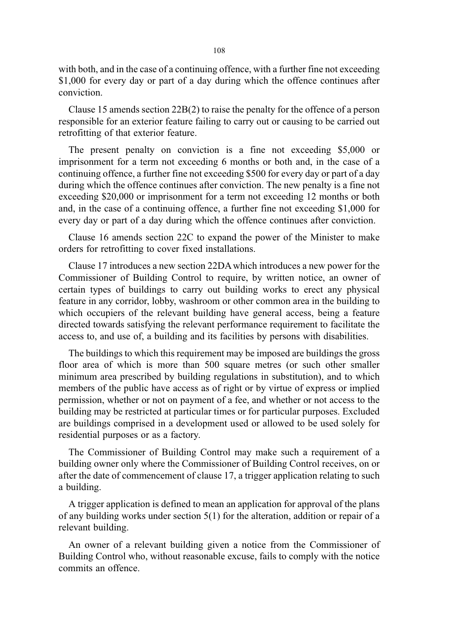with both, and in the case of a continuing offence, with a further fine not exceeding \$1,000 for every day or part of a day during which the offence continues after conviction.

Clause 15 amends section 22B(2) to raise the penalty for the offence of a person responsible for an exterior feature failing to carry out or causing to be carried out retrofitting of that exterior feature.

The present penalty on conviction is a fine not exceeding \$5,000 or imprisonment for a term not exceeding 6 months or both and, in the case of a continuing offence, a further fine not exceeding \$500 for every day or part of a day during which the offence continues after conviction. The new penalty is a fine not exceeding \$20,000 or imprisonment for a term not exceeding 12 months or both and, in the case of a continuing offence, a further fine not exceeding \$1,000 for every day or part of a day during which the offence continues after conviction.

Clause 16 amends section 22C to expand the power of the Minister to make orders for retrofitting to cover fixed installations.

Clause 17 introduces a new section 22DA which introduces a new power for the Commissioner of Building Control to require, by written notice, an owner of certain types of buildings to carry out building works to erect any physical feature in any corridor, lobby, washroom or other common area in the building to which occupiers of the relevant building have general access, being a feature directed towards satisfying the relevant performance requirement to facilitate the access to, and use of, a building and its facilities by persons with disabilities.

The buildings to which this requirement may be imposed are buildings the gross floor area of which is more than 500 square metres (or such other smaller minimum area prescribed by building regulations in substitution), and to which members of the public have access as of right or by virtue of express or implied permission, whether or not on payment of a fee, and whether or not access to the building may be restricted at particular times or for particular purposes. Excluded are buildings comprised in a development used or allowed to be used solely for residential purposes or as a factory.

The Commissioner of Building Control may make such a requirement of a building owner only where the Commissioner of Building Control receives, on or after the date of commencement of clause 17, a trigger application relating to such a building.

A trigger application is defined to mean an application for approval of the plans of any building works under section 5(1) for the alteration, addition or repair of a relevant building.

An owner of a relevant building given a notice from the Commissioner of Building Control who, without reasonable excuse, fails to comply with the notice commits an offence.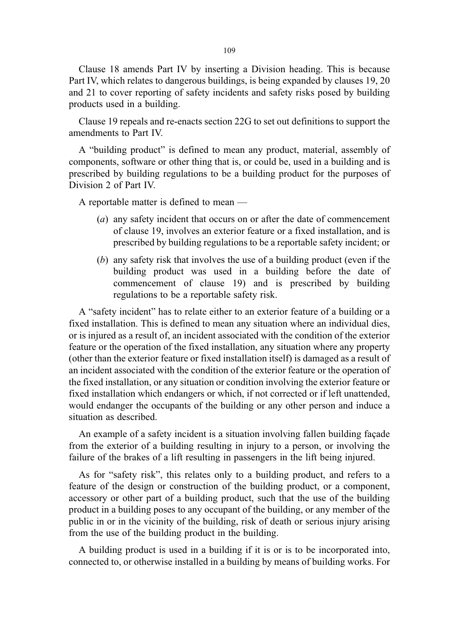Clause 18 amends Part IV by inserting a Division heading. This is because Part IV, which relates to dangerous buildings, is being expanded by clauses 19, 20 and 21 to cover reporting of safety incidents and safety risks posed by building products used in a building.

Clause 19 repeals and re-enacts section 22G to set out definitions to support the amendments to Part IV.

A "building product" is defined to mean any product, material, assembly of components, software or other thing that is, or could be, used in a building and is prescribed by building regulations to be a building product for the purposes of Division 2 of Part IV.

A reportable matter is defined to mean —

- (a) any safety incident that occurs on or after the date of commencement of clause 19, involves an exterior feature or a fixed installation, and is prescribed by building regulations to be a reportable safety incident; or
- (b) any safety risk that involves the use of a building product (even if the building product was used in a building before the date of commencement of clause 19) and is prescribed by building regulations to be a reportable safety risk.

A "safety incident" has to relate either to an exterior feature of a building or a fixed installation. This is defined to mean any situation where an individual dies, or is injured as a result of, an incident associated with the condition of the exterior feature or the operation of the fixed installation, any situation where any property (other than the exterior feature or fixed installation itself) is damaged as a result of an incident associated with the condition of the exterior feature or the operation of the fixed installation, or any situation or condition involving the exterior feature or fixed installation which endangers or which, if not corrected or if left unattended, would endanger the occupants of the building or any other person and induce a situation as described.

An example of a safety incident is a situation involving fallen building façade from the exterior of a building resulting in injury to a person, or involving the failure of the brakes of a lift resulting in passengers in the lift being injured.

As for "safety risk", this relates only to a building product, and refers to a feature of the design or construction of the building product, or a component, accessory or other part of a building product, such that the use of the building product in a building poses to any occupant of the building, or any member of the public in or in the vicinity of the building, risk of death or serious injury arising from the use of the building product in the building.

A building product is used in a building if it is or is to be incorporated into, connected to, or otherwise installed in a building by means of building works. For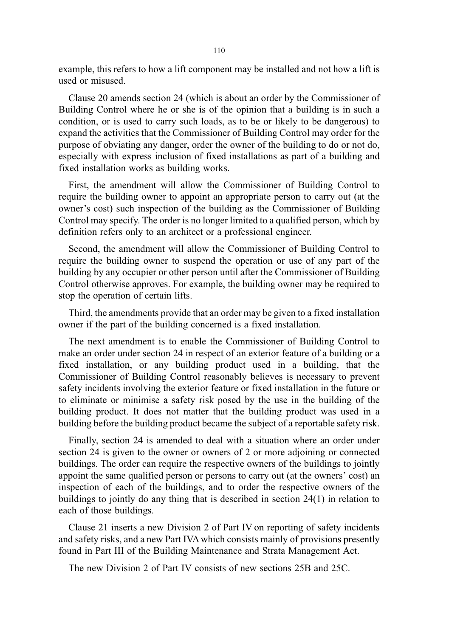example, this refers to how a lift component may be installed and not how a lift is used or misused.

Clause 20 amends section 24 (which is about an order by the Commissioner of Building Control where he or she is of the opinion that a building is in such a condition, or is used to carry such loads, as to be or likely to be dangerous) to expand the activities that the Commissioner of Building Control may order for the purpose of obviating any danger, order the owner of the building to do or not do, especially with express inclusion of fixed installations as part of a building and fixed installation works as building works.

First, the amendment will allow the Commissioner of Building Control to require the building owner to appoint an appropriate person to carry out (at the owner's cost) such inspection of the building as the Commissioner of Building Control may specify. The order is no longer limited to a qualified person, which by definition refers only to an architect or a professional engineer.

Second, the amendment will allow the Commissioner of Building Control to require the building owner to suspend the operation or use of any part of the building by any occupier or other person until after the Commissioner of Building Control otherwise approves. For example, the building owner may be required to stop the operation of certain lifts.

Third, the amendments provide that an order may be given to a fixed installation owner if the part of the building concerned is a fixed installation.

The next amendment is to enable the Commissioner of Building Control to make an order under section 24 in respect of an exterior feature of a building or a fixed installation, or any building product used in a building, that the Commissioner of Building Control reasonably believes is necessary to prevent safety incidents involving the exterior feature or fixed installation in the future or to eliminate or minimise a safety risk posed by the use in the building of the building product. It does not matter that the building product was used in a building before the building product became the subject of a reportable safety risk.

Finally, section 24 is amended to deal with a situation where an order under section 24 is given to the owner or owners of 2 or more adjoining or connected buildings. The order can require the respective owners of the buildings to jointly appoint the same qualified person or persons to carry out (at the owners' cost) an inspection of each of the buildings, and to order the respective owners of the buildings to jointly do any thing that is described in section 24(1) in relation to each of those buildings.

Clause 21 inserts a new Division 2 of Part IV on reporting of safety incidents and safety risks, and a new Part IVA which consists mainly of provisions presently found in Part III of the Building Maintenance and Strata Management Act.

The new Division 2 of Part IV consists of new sections 25B and 25C.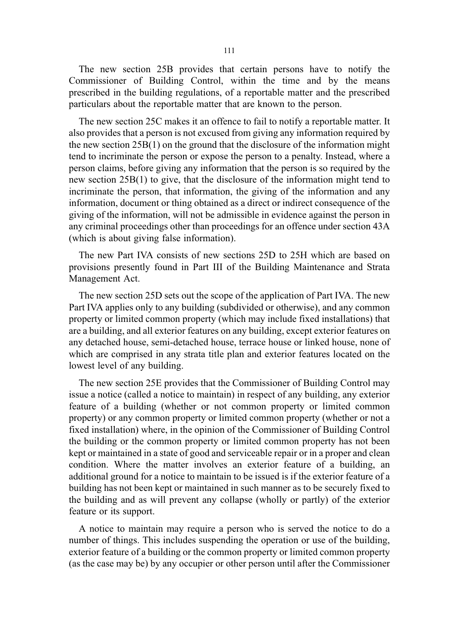The new section 25B provides that certain persons have to notify the Commissioner of Building Control, within the time and by the means prescribed in the building regulations, of a reportable matter and the prescribed particulars about the reportable matter that are known to the person.

The new section 25C makes it an offence to fail to notify a reportable matter. It also provides that a person is not excused from giving any information required by the new section 25B(1) on the ground that the disclosure of the information might tend to incriminate the person or expose the person to a penalty. Instead, where a person claims, before giving any information that the person is so required by the new section 25B(1) to give, that the disclosure of the information might tend to incriminate the person, that information, the giving of the information and any information, document or thing obtained as a direct or indirect consequence of the giving of the information, will not be admissible in evidence against the person in any criminal proceedings other than proceedings for an offence under section 43A (which is about giving false information).

The new Part IVA consists of new sections 25D to 25H which are based on provisions presently found in Part III of the Building Maintenance and Strata Management Act.

The new section 25D sets out the scope of the application of Part IVA. The new Part IVA applies only to any building (subdivided or otherwise), and any common property or limited common property (which may include fixed installations) that are a building, and all exterior features on any building, except exterior features on any detached house, semi-detached house, terrace house or linked house, none of which are comprised in any strata title plan and exterior features located on the lowest level of any building.

The new section 25E provides that the Commissioner of Building Control may issue a notice (called a notice to maintain) in respect of any building, any exterior feature of a building (whether or not common property or limited common property) or any common property or limited common property (whether or not a fixed installation) where, in the opinion of the Commissioner of Building Control the building or the common property or limited common property has not been kept or maintained in a state of good and serviceable repair or in a proper and clean condition. Where the matter involves an exterior feature of a building, an additional ground for a notice to maintain to be issued is if the exterior feature of a building has not been kept or maintained in such manner as to be securely fixed to the building and as will prevent any collapse (wholly or partly) of the exterior feature or its support.

A notice to maintain may require a person who is served the notice to do a number of things. This includes suspending the operation or use of the building, exterior feature of a building or the common property or limited common property (as the case may be) by any occupier or other person until after the Commissioner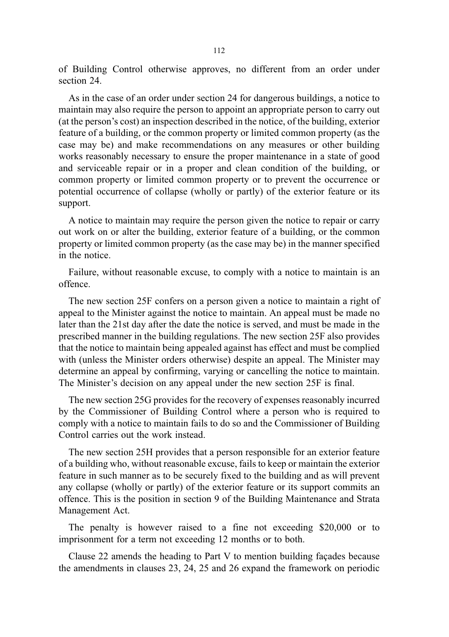of Building Control otherwise approves, no different from an order under section 24.

As in the case of an order under section 24 for dangerous buildings, a notice to maintain may also require the person to appoint an appropriate person to carry out (at the person's cost) an inspection described in the notice, of the building, exterior feature of a building, or the common property or limited common property (as the case may be) and make recommendations on any measures or other building works reasonably necessary to ensure the proper maintenance in a state of good and serviceable repair or in a proper and clean condition of the building, or common property or limited common property or to prevent the occurrence or potential occurrence of collapse (wholly or partly) of the exterior feature or its support.

A notice to maintain may require the person given the notice to repair or carry out work on or alter the building, exterior feature of a building, or the common property or limited common property (as the case may be) in the manner specified in the notice.

Failure, without reasonable excuse, to comply with a notice to maintain is an offence.

The new section 25F confers on a person given a notice to maintain a right of appeal to the Minister against the notice to maintain. An appeal must be made no later than the 21st day after the date the notice is served, and must be made in the prescribed manner in the building regulations. The new section 25F also provides that the notice to maintain being appealed against has effect and must be complied with (unless the Minister orders otherwise) despite an appeal. The Minister may determine an appeal by confirming, varying or cancelling the notice to maintain. The Minister's decision on any appeal under the new section 25F is final.

The new section 25G provides for the recovery of expenses reasonably incurred by the Commissioner of Building Control where a person who is required to comply with a notice to maintain fails to do so and the Commissioner of Building Control carries out the work instead.

The new section 25H provides that a person responsible for an exterior feature of a building who, without reasonable excuse, fails to keep or maintain the exterior feature in such manner as to be securely fixed to the building and as will prevent any collapse (wholly or partly) of the exterior feature or its support commits an offence. This is the position in section 9 of the Building Maintenance and Strata Management Act.

The penalty is however raised to a fine not exceeding \$20,000 or to imprisonment for a term not exceeding 12 months or to both.

Clause 22 amends the heading to Part V to mention building façades because the amendments in clauses 23, 24, 25 and 26 expand the framework on periodic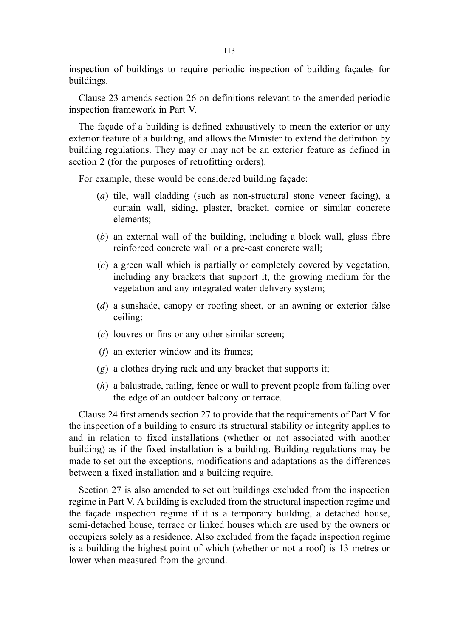inspection of buildings to require periodic inspection of building façades for buildings.

Clause 23 amends section 26 on definitions relevant to the amended periodic inspection framework in Part V.

The façade of a building is defined exhaustively to mean the exterior or any exterior feature of a building, and allows the Minister to extend the definition by building regulations. They may or may not be an exterior feature as defined in section 2 (for the purposes of retrofitting orders).

For example, these would be considered building façade:

- (a) tile, wall cladding (such as non-structural stone veneer facing), a curtain wall, siding, plaster, bracket, cornice or similar concrete elements;
- (b) an external wall of the building, including a block wall, glass fibre reinforced concrete wall or a pre-cast concrete wall;
- (c) a green wall which is partially or completely covered by vegetation, including any brackets that support it, the growing medium for the vegetation and any integrated water delivery system;
- (d) a sunshade, canopy or roofing sheet, or an awning or exterior false ceiling;
- (e) louvres or fins or any other similar screen;
- (f) an exterior window and its frames;
- (g) a clothes drying rack and any bracket that supports it;
- (h) a balustrade, railing, fence or wall to prevent people from falling over the edge of an outdoor balcony or terrace.

Clause 24 first amends section 27 to provide that the requirements of Part V for the inspection of a building to ensure its structural stability or integrity applies to and in relation to fixed installations (whether or not associated with another building) as if the fixed installation is a building. Building regulations may be made to set out the exceptions, modifications and adaptations as the differences between a fixed installation and a building require.

Section 27 is also amended to set out buildings excluded from the inspection regime in Part V. A building is excluded from the structural inspection regime and the façade inspection regime if it is a temporary building, a detached house, semi-detached house, terrace or linked houses which are used by the owners or occupiers solely as a residence. Also excluded from the façade inspection regime is a building the highest point of which (whether or not a roof) is 13 metres or lower when measured from the ground.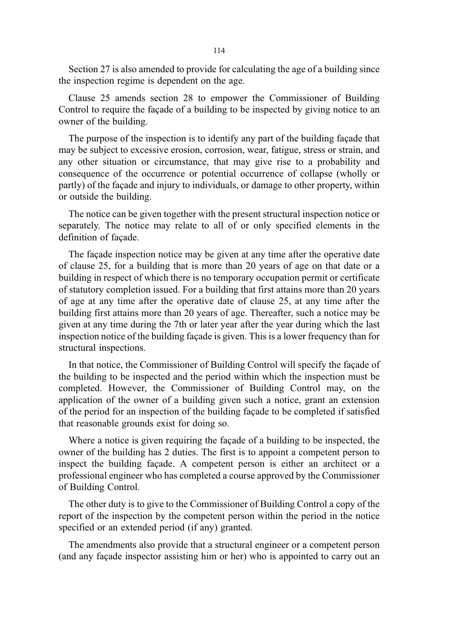Section 27 is also amended to provide for calculating the age of a building since the inspection regime is dependent on the age.

Clause 25 amends section 28 to empower the Commissioner of Building Control to require the façade of a building to be inspected by giving notice to an owner of the building.

The purpose of the inspection is to identify any part of the building façade that may be subject to excessive erosion, corrosion, wear, fatigue, stress or strain, and any other situation or circumstance, that may give rise to a probability and consequence of the occurrence or potential occurrence of collapse (wholly or partly) of the façade and injury to individuals, or damage to other property, within or outside the building.

The notice can be given together with the present structural inspection notice or separately. The notice may relate to all of or only specified elements in the definition of façade.

The façade inspection notice may be given at any time after the operative date of clause 25, for a building that is more than 20 years of age on that date or a building in respect of which there is no temporary occupation permit or certificate of statutory completion issued. For a building that first attains more than 20 years of age at any time after the operative date of clause 25, at any time after the building first attains more than 20 years of age. Thereafter, such a notice may be given at any time during the 7th or later year after the year during which the last inspection notice of the building façade is given. This is a lower frequency than for structural inspections.

In that notice, the Commissioner of Building Control will specify the façade of the building to be inspected and the period within which the inspection must be completed. However, the Commissioner of Building Control may, on the application of the owner of a building given such a notice, grant an extension of the period for an inspection of the building façade to be completed if satisfied that reasonable grounds exist for doing so.

Where a notice is given requiring the façade of a building to be inspected, the owner of the building has 2 duties. The first is to appoint a competent person to inspect the building façade. A competent person is either an architect or a professional engineer who has completed a course approved by the Commissioner of Building Control.

The other duty is to give to the Commissioner of Building Control a copy of the report of the inspection by the competent person within the period in the notice specified or an extended period (if any) granted.

The amendments also provide that a structural engineer or a competent person (and any façade inspector assisting him or her) who is appointed to carry out an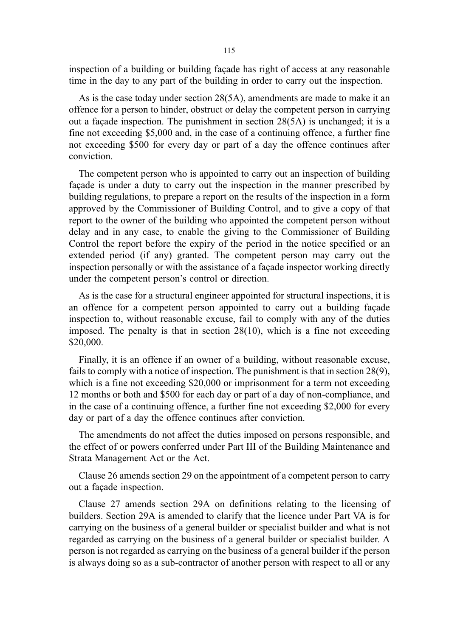inspection of a building or building façade has right of access at any reasonable time in the day to any part of the building in order to carry out the inspection.

As is the case today under section 28(5A), amendments are made to make it an offence for a person to hinder, obstruct or delay the competent person in carrying out a façade inspection. The punishment in section 28(5A) is unchanged; it is a fine not exceeding \$5,000 and, in the case of a continuing offence, a further fine not exceeding \$500 for every day or part of a day the offence continues after conviction.

The competent person who is appointed to carry out an inspection of building façade is under a duty to carry out the inspection in the manner prescribed by building regulations, to prepare a report on the results of the inspection in a form approved by the Commissioner of Building Control, and to give a copy of that report to the owner of the building who appointed the competent person without delay and in any case, to enable the giving to the Commissioner of Building Control the report before the expiry of the period in the notice specified or an extended period (if any) granted. The competent person may carry out the inspection personally or with the assistance of a façade inspector working directly under the competent person's control or direction.

As is the case for a structural engineer appointed for structural inspections, it is an offence for a competent person appointed to carry out a building façade inspection to, without reasonable excuse, fail to comply with any of the duties imposed. The penalty is that in section  $28(10)$ , which is a fine not exceeding \$20,000.

Finally, it is an offence if an owner of a building, without reasonable excuse, fails to comply with a notice of inspection. The punishment is that in section 28(9), which is a fine not exceeding \$20,000 or imprisonment for a term not exceeding 12 months or both and \$500 for each day or part of a day of non-compliance, and in the case of a continuing offence, a further fine not exceeding \$2,000 for every day or part of a day the offence continues after conviction.

The amendments do not affect the duties imposed on persons responsible, and the effect of or powers conferred under Part III of the Building Maintenance and Strata Management Act or the Act.

Clause 26 amends section 29 on the appointment of a competent person to carry out a façade inspection.

Clause 27 amends section 29A on definitions relating to the licensing of builders. Section 29A is amended to clarify that the licence under Part VA is for carrying on the business of a general builder or specialist builder and what is not regarded as carrying on the business of a general builder or specialist builder. A person is not regarded as carrying on the business of a general builder if the person is always doing so as a sub-contractor of another person with respect to all or any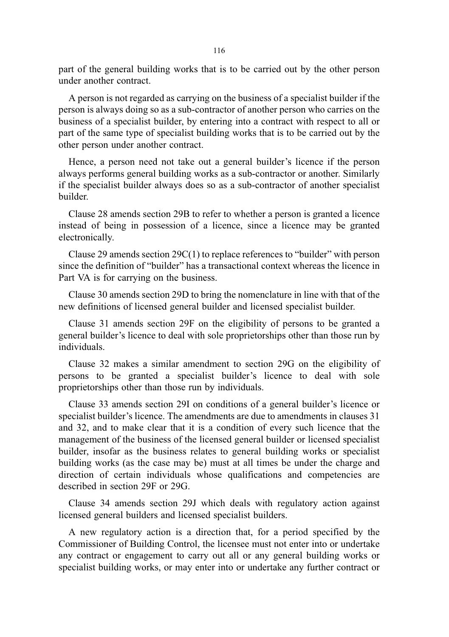part of the general building works that is to be carried out by the other person under another contract.

A person is not regarded as carrying on the business of a specialist builder if the person is always doing so as a sub-contractor of another person who carries on the business of a specialist builder, by entering into a contract with respect to all or part of the same type of specialist building works that is to be carried out by the other person under another contract.

Hence, a person need not take out a general builder's licence if the person always performs general building works as a sub-contractor or another. Similarly if the specialist builder always does so as a sub-contractor of another specialist builder.

Clause 28 amends section 29B to refer to whether a person is granted a licence instead of being in possession of a licence, since a licence may be granted electronically.

Clause 29 amends section 29C(1) to replace references to "builder" with person since the definition of "builder" has a transactional context whereas the licence in Part VA is for carrying on the business.

Clause 30 amends section 29D to bring the nomenclature in line with that of the new definitions of licensed general builder and licensed specialist builder.

Clause 31 amends section 29F on the eligibility of persons to be granted a general builder's licence to deal with sole proprietorships other than those run by individuals.

Clause 32 makes a similar amendment to section 29G on the eligibility of persons to be granted a specialist builder's licence to deal with sole proprietorships other than those run by individuals.

Clause 33 amends section 29I on conditions of a general builder's licence or specialist builder's licence. The amendments are due to amendments in clauses 31 and 32, and to make clear that it is a condition of every such licence that the management of the business of the licensed general builder or licensed specialist builder, insofar as the business relates to general building works or specialist building works (as the case may be) must at all times be under the charge and direction of certain individuals whose qualifications and competencies are described in section 29F or 29G.

Clause 34 amends section 29J which deals with regulatory action against licensed general builders and licensed specialist builders.

A new regulatory action is a direction that, for a period specified by the Commissioner of Building Control, the licensee must not enter into or undertake any contract or engagement to carry out all or any general building works or specialist building works, or may enter into or undertake any further contract or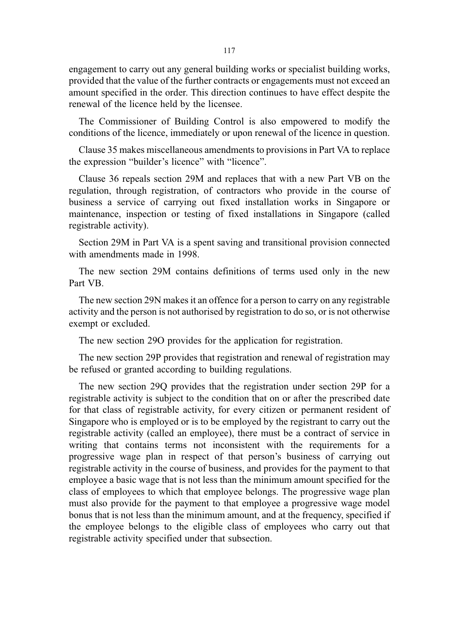engagement to carry out any general building works or specialist building works, provided that the value of the further contracts or engagements must not exceed an amount specified in the order. This direction continues to have effect despite the renewal of the licence held by the licensee.

The Commissioner of Building Control is also empowered to modify the conditions of the licence, immediately or upon renewal of the licence in question.

Clause 35 makes miscellaneous amendments to provisions in Part VA to replace the expression "builder's licence" with "licence".

Clause 36 repeals section 29M and replaces that with a new Part VB on the regulation, through registration, of contractors who provide in the course of business a service of carrying out fixed installation works in Singapore or maintenance, inspection or testing of fixed installations in Singapore (called registrable activity).

Section 29M in Part VA is a spent saving and transitional provision connected with amendments made in 1998.

The new section 29M contains definitions of terms used only in the new Part VB.

The new section 29N makes it an offence for a person to carry on any registrable activity and the person is not authorised by registration to do so, or is not otherwise exempt or excluded.

The new section 29O provides for the application for registration.

The new section 29P provides that registration and renewal of registration may be refused or granted according to building regulations.

The new section 29Q provides that the registration under section 29P for a registrable activity is subject to the condition that on or after the prescribed date for that class of registrable activity, for every citizen or permanent resident of Singapore who is employed or is to be employed by the registrant to carry out the registrable activity (called an employee), there must be a contract of service in writing that contains terms not inconsistent with the requirements for a progressive wage plan in respect of that person's business of carrying out registrable activity in the course of business, and provides for the payment to that employee a basic wage that is not less than the minimum amount specified for the class of employees to which that employee belongs. The progressive wage plan must also provide for the payment to that employee a progressive wage model bonus that is not less than the minimum amount, and at the frequency, specified if the employee belongs to the eligible class of employees who carry out that registrable activity specified under that subsection.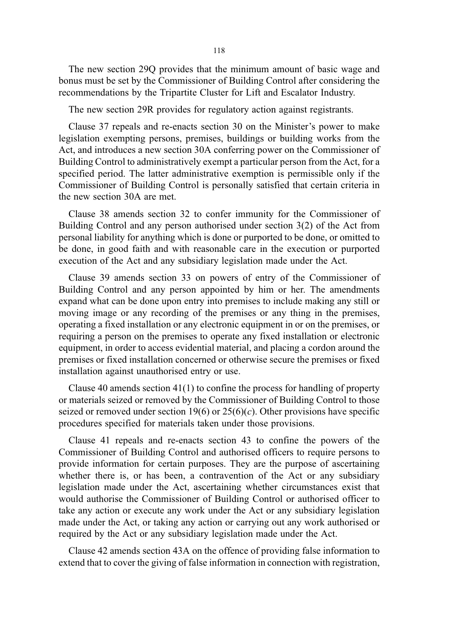The new section 29Q provides that the minimum amount of basic wage and bonus must be set by the Commissioner of Building Control after considering the recommendations by the Tripartite Cluster for Lift and Escalator Industry.

The new section 29R provides for regulatory action against registrants.

Clause 37 repeals and re-enacts section 30 on the Minister's power to make legislation exempting persons, premises, buildings or building works from the Act, and introduces a new section 30A conferring power on the Commissioner of Building Control to administratively exempt a particular person from the Act, for a specified period. The latter administrative exemption is permissible only if the Commissioner of Building Control is personally satisfied that certain criteria in the new section 30A are met.

Clause 38 amends section 32 to confer immunity for the Commissioner of Building Control and any person authorised under section 3(2) of the Act from personal liability for anything which is done or purported to be done, or omitted to be done, in good faith and with reasonable care in the execution or purported execution of the Act and any subsidiary legislation made under the Act.

Clause 39 amends section 33 on powers of entry of the Commissioner of Building Control and any person appointed by him or her. The amendments expand what can be done upon entry into premises to include making any still or moving image or any recording of the premises or any thing in the premises, operating a fixed installation or any electronic equipment in or on the premises, or requiring a person on the premises to operate any fixed installation or electronic equipment, in order to access evidential material, and placing a cordon around the premises or fixed installation concerned or otherwise secure the premises or fixed installation against unauthorised entry or use.

Clause 40 amends section 41(1) to confine the process for handling of property or materials seized or removed by the Commissioner of Building Control to those seized or removed under section 19(6) or  $25(6)(c)$ . Other provisions have specific procedures specified for materials taken under those provisions.

Clause 41 repeals and re-enacts section 43 to confine the powers of the Commissioner of Building Control and authorised officers to require persons to provide information for certain purposes. They are the purpose of ascertaining whether there is, or has been, a contravention of the Act or any subsidiary legislation made under the Act, ascertaining whether circumstances exist that would authorise the Commissioner of Building Control or authorised officer to take any action or execute any work under the Act or any subsidiary legislation made under the Act, or taking any action or carrying out any work authorised or required by the Act or any subsidiary legislation made under the Act.

Clause 42 amends section 43A on the offence of providing false information to extend that to cover the giving of false information in connection with registration,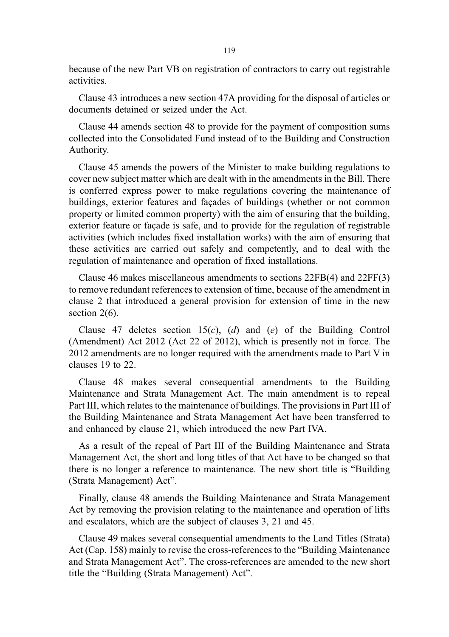because of the new Part VB on registration of contractors to carry out registrable activities.

Clause 43 introduces a new section 47A providing for the disposal of articles or documents detained or seized under the Act.

Clause 44 amends section 48 to provide for the payment of composition sums collected into the Consolidated Fund instead of to the Building and Construction Authority.

Clause 45 amends the powers of the Minister to make building regulations to cover new subject matter which are dealt with in the amendments in the Bill. There is conferred express power to make regulations covering the maintenance of buildings, exterior features and façades of buildings (whether or not common property or limited common property) with the aim of ensuring that the building, exterior feature or façade is safe, and to provide for the regulation of registrable activities (which includes fixed installation works) with the aim of ensuring that these activities are carried out safely and competently, and to deal with the regulation of maintenance and operation of fixed installations.

Clause 46 makes miscellaneous amendments to sections 22FB(4) and 22FF(3) to remove redundant references to extension of time, because of the amendment in clause 2 that introduced a general provision for extension of time in the new section 2(6).

Clause 47 deletes section  $15(c)$ , (d) and (e) of the Building Control (Amendment) Act 2012 (Act 22 of 2012), which is presently not in force. The 2012 amendments are no longer required with the amendments made to Part V in clauses 19 to 22.

Clause 48 makes several consequential amendments to the Building Maintenance and Strata Management Act. The main amendment is to repeal Part III, which relates to the maintenance of buildings. The provisions in Part III of the Building Maintenance and Strata Management Act have been transferred to and enhanced by clause 21, which introduced the new Part IVA.

As a result of the repeal of Part III of the Building Maintenance and Strata Management Act, the short and long titles of that Act have to be changed so that there is no longer a reference to maintenance. The new short title is "Building (Strata Management) Act".

Finally, clause 48 amends the Building Maintenance and Strata Management Act by removing the provision relating to the maintenance and operation of lifts and escalators, which are the subject of clauses 3, 21 and 45.

Clause 49 makes several consequential amendments to the Land Titles (Strata) Act (Cap. 158) mainly to revise the cross-references to the "Building Maintenance and Strata Management Act". The cross-references are amended to the new short title the "Building (Strata Management) Act".